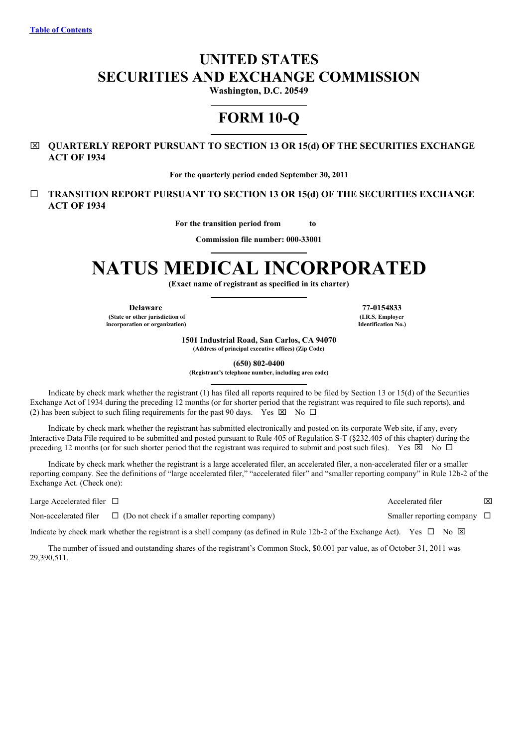# <span id="page-0-0"></span>**UNITED STATES SECURITIES AND EXCHANGE COMMISSION**

**Washington, D.C. 20549**

# **FORM 10-Q**

# x **QUARTERLY REPORT PURSUANT TO SECTION 13 OR 15(d) OF THE SECURITIES EXCHANGE ACT OF 1934**

**For the quarterly period ended September 30, 2011**

¨ **TRANSITION REPORT PURSUANT TO SECTION 13 OR 15(d) OF THE SECURITIES EXCHANGE ACT OF 1934**

**For the transition period from to**

**Commission file number: 000-33001**

# **NATUS MEDICAL INCORPORATED**

**(Exact name of registrant as specified in its charter)**

**Delaware 77-0154833 (State or other jurisdiction of incorporation or organization)**

**(I.R.S. Employer Identification No.)**

**1501 Industrial Road, San Carlos, CA 94070 (Address of principal executive offices) (Zip Code)**

**(650) 802-0400**

**(Registrant's telephone number, including area code)**

Indicate by check mark whether the registrant (1) has filed all reports required to be filed by Section 13 or 15(d) of the Securities Exchange Act of 1934 during the preceding 12 months (or for shorter period that the registrant was required to file such reports), and (2) has been subject to such filing requirements for the past 90 days. Yes  $\boxtimes$  No  $\Box$ 

Indicate by check mark whether the registrant has submitted electronically and posted on its corporate Web site, if any, every Interactive Data File required to be submitted and posted pursuant to Rule 405 of Regulation S-T (§232.405 of this chapter) during the preceding 12 months (or for such shorter period that the registrant was required to submit and post such files). Yes  $\boxtimes$  No  $\Box$ 

Indicate by check mark whether the registrant is a large accelerated filer, an accelerated filer, a non-accelerated filer or a smaller reporting company. See the definitions of "large accelerated filer," "accelerated filer" and "smaller reporting company" in Rule 12b-2 of the Exchange Act. (Check one):

Large Accelerated filer  $\Box$ 

Non-accelerated filer  $\Box$  (Do not check if a smaller reporting company) Smaller reporting company  $\Box$ 

Indicate by check mark whether the registrant is a shell company (as defined in Rule 12b-2 of the Exchange Act). Yes  $\Box$  No  $\boxtimes$ 

The number of issued and outstanding shares of the registrant's Common Stock, \$0.001 par value, as of October 31, 2011 was 29,390,511.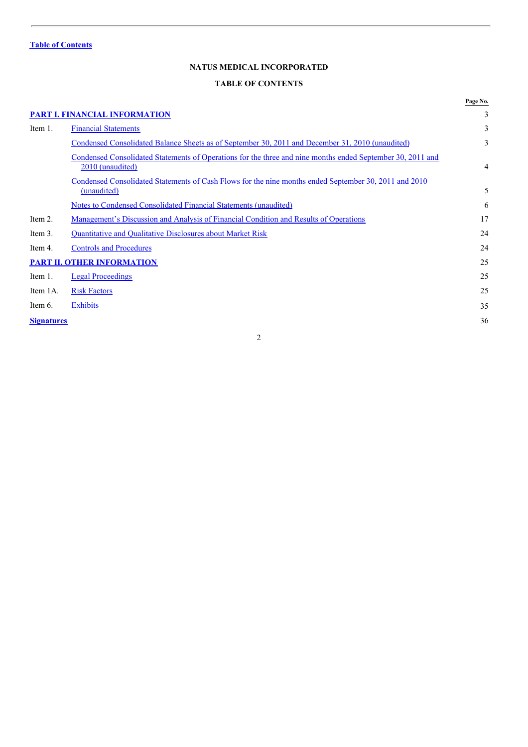# **NATUS MEDICAL INCORPORATED**

# **TABLE OF CONTENTS**

|                   |                                                                                                                                | Page No. |
|-------------------|--------------------------------------------------------------------------------------------------------------------------------|----------|
|                   | <b>PART I. FINANCIAL INFORMATION</b>                                                                                           | 3        |
| Item 1.           | <b>Financial Statements</b>                                                                                                    | 3        |
|                   | Condensed Consolidated Balance Sheets as of September 30, 2011 and December 31, 2010 (unaudited)                               | 3        |
|                   | Condensed Consolidated Statements of Operations for the three and nine months ended September 30, 2011 and<br>2010 (unaudited) | 4        |
|                   | Condensed Consolidated Statements of Cash Flows for the nine months ended September 30, 2011 and 2010<br>(unaudited)           | 5        |
|                   | Notes to Condensed Consolidated Financial Statements (unaudited)                                                               | 6        |
| Item 2.           | <u>Management's Discussion and Analysis of Financial Condition and Results of Operations</u>                                   | 17       |
| Item 3.           | <b>Quantitative and Qualitative Disclosures about Market Risk</b>                                                              | 24       |
| Item 4.           | <b>Controls and Procedures</b>                                                                                                 | 24       |
|                   | <b>PART II. OTHER INFORMATION</b>                                                                                              | 25       |
| Item 1.           | <b>Legal Proceedings</b>                                                                                                       | 25       |
| Item 1A.          | <b>Risk Factors</b>                                                                                                            | 25       |
| Item 6.           | Exhibits                                                                                                                       | 35       |
| <b>Signatures</b> |                                                                                                                                | 36       |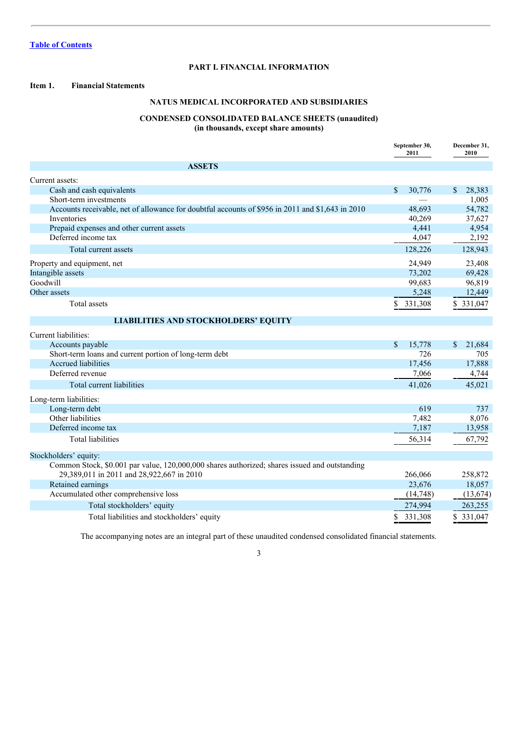### **PART I. FINANCIAL INFORMATION**

# **Item 1. Financial Statements**

# **NATUS MEDICAL INCORPORATED AND SUBSIDIARIES**

# **CONDENSED CONSOLIDATED BALANCE SHEETS (unaudited)**

**(in thousands, except share amounts)**

|                                                                                                  | September 30,<br>2011  | December 31,<br>2010   |
|--------------------------------------------------------------------------------------------------|------------------------|------------------------|
| <b>ASSETS</b>                                                                                    |                        |                        |
| Current assets:                                                                                  |                        |                        |
| Cash and cash equivalents                                                                        | \$<br>30,776           | \$<br>28,383           |
| Short-term investments                                                                           |                        | 1,005                  |
| Accounts receivable, net of allowance for doubtful accounts of \$956 in 2011 and \$1,643 in 2010 | 48.693                 | 54,782                 |
| Inventories                                                                                      | 40,269                 | 37,627                 |
| Prepaid expenses and other current assets                                                        | 4,441                  | 4,954                  |
| Deferred income tax                                                                              | 4,047                  | 2,192                  |
| Total current assets                                                                             | 128,226                | 128,943                |
| Property and equipment, net                                                                      | 24.949                 | 23,408                 |
| Intangible assets                                                                                | 73,202                 | 69,428                 |
| Goodwill                                                                                         | 99,683                 | 96,819                 |
| Other assets                                                                                     | 5,248                  | 12,449                 |
| <b>Total assets</b>                                                                              | \$ 331,308             | \$ 331,047             |
| <b>LIABILITIES AND STOCKHOLDERS' EQUITY</b>                                                      |                        |                        |
| Current liabilities:                                                                             |                        |                        |
| Accounts payable                                                                                 | $\mathbb{S}$<br>15,778 | $\mathbb{S}$<br>21,684 |
| Short-term loans and current portion of long-term debt                                           | 726                    | 705                    |
| Accrued liabilities                                                                              | 17,456                 | 17,888                 |
| Deferred revenue                                                                                 | 7,066                  | 4,744                  |
| Total current liabilities                                                                        | 41.026                 | 45,021                 |
| Long-term liabilities:                                                                           |                        |                        |
| Long-term debt                                                                                   | 619                    | 737                    |
| Other liabilities                                                                                | 7,482                  | 8,076                  |
| Deferred income tax                                                                              | 7,187                  | 13,958                 |
| <b>Total liabilities</b>                                                                         | 56,314                 | 67,792                 |
| Stockholders' equity:                                                                            |                        |                        |
| Common Stock, \$0.001 par value, 120,000,000 shares authorized; shares issued and outstanding    |                        |                        |
| 29,389,011 in 2011 and 28,922,667 in 2010                                                        | 266,066                | 258,872                |
| Retained earnings                                                                                | 23,676                 | 18,057                 |
| Accumulated other comprehensive loss                                                             | (14, 748)              | (13, 674)              |
| Total stockholders' equity                                                                       | 274,994                | 263,255                |
| Total liabilities and stockholders' equity                                                       | 331,308<br>\$          | \$<br>331,047          |

The accompanying notes are an integral part of these unaudited condensed consolidated financial statements.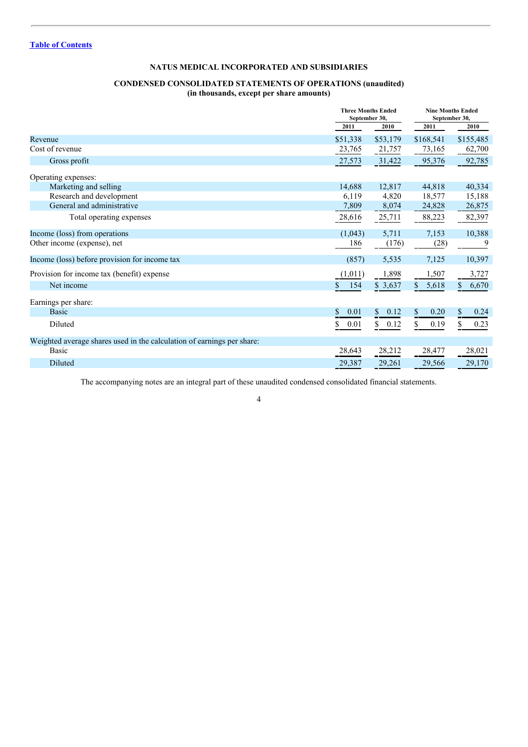### **NATUS MEDICAL INCORPORATED AND SUBSIDIARIES**

# **CONDENSED CONSOLIDATED STATEMENTS OF OPERATIONS (unaudited) (in thousands, except per share amounts)**

|                                                                        |            | <b>Three Months Ended</b><br>September 30, |                      | <b>Nine Months Ended</b><br>September 30, |
|------------------------------------------------------------------------|------------|--------------------------------------------|----------------------|-------------------------------------------|
|                                                                        | 2011       | 2010                                       | 2011                 | 2010                                      |
| Revenue                                                                | \$51,338   | \$53,179                                   | \$168,541            | \$155,485                                 |
| Cost of revenue                                                        | 23,765     | 21,757                                     | 73,165               | 62,700                                    |
| Gross profit                                                           | 27,573     | 31,422                                     | 95,376               | 92,785                                    |
| Operating expenses:                                                    |            |                                            |                      |                                           |
| Marketing and selling                                                  | 14,688     | 12,817                                     | 44,818               | 40,334                                    |
| Research and development                                               | 6,119      | 4,820                                      | 18,577               | 15,188                                    |
| General and administrative                                             | 7,809      | 8,074                                      | 24,828               | 26,875                                    |
| Total operating expenses                                               | 28,616     | 25,711                                     | 88,223               | 82,397                                    |
| Income (loss) from operations                                          | (1,043)    | 5,711                                      | 7,153                | 10,388                                    |
| Other income (expense), net                                            | 186        | (176)                                      | (28)                 | 9                                         |
| Income (loss) before provision for income tax                          | (857)      | 5,535                                      | 7,125                | 10,397                                    |
| Provision for income tax (benefit) expense                             | (1,011)    | 1,898                                      | 1,507                | 3,727                                     |
| Net income                                                             | 154        | \$3,637                                    | \$<br>5,618          | \$<br>6,670                               |
| Earnings per share:                                                    |            |                                            |                      |                                           |
| <b>Basic</b>                                                           | 0.01<br>\$ | 0.12<br>\$                                 | $\mathbb{S}$<br>0.20 | 0.24<br>\$                                |
| Diluted                                                                | 0.01       | \$<br>0.12                                 | \$<br>0.19           | 0.23                                      |
| Weighted average shares used in the calculation of earnings per share: |            |                                            |                      |                                           |
| <b>Basic</b>                                                           | 28,643     | 28,212                                     | 28,477               | 28,021                                    |
| Diluted                                                                | 29,387     | 29,261                                     | 29,566               | 29,170                                    |

The accompanying notes are an integral part of these unaudited condensed consolidated financial statements.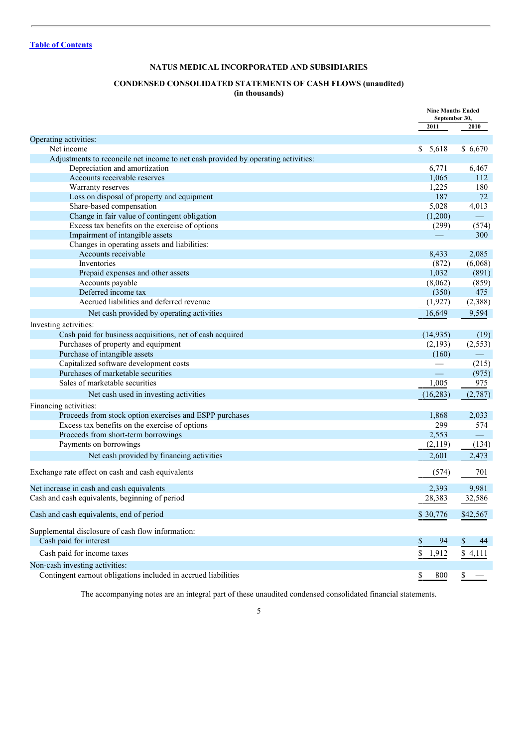# **NATUS MEDICAL INCORPORATED AND SUBSIDIARIES**

# **CONDENSED CONSOLIDATED STATEMENTS OF CASH FLOWS (unaudited) (in thousands)**

|                                                                                   | <b>Nine Months Ended</b><br>September 30, |          |
|-----------------------------------------------------------------------------------|-------------------------------------------|----------|
|                                                                                   | 2011                                      | 2010     |
| Operating activities:                                                             |                                           |          |
| Net income                                                                        | \$5,618                                   | \$6,670  |
| Adjustments to reconcile net income to net cash provided by operating activities: |                                           |          |
| Depreciation and amortization                                                     | 6,771                                     | 6,467    |
| Accounts receivable reserves                                                      | 1,065                                     | 112      |
| Warranty reserves                                                                 | 1,225                                     | 180      |
| Loss on disposal of property and equipment                                        | 187                                       | 72       |
| Share-based compensation                                                          | 5,028                                     | 4,013    |
| Change in fair value of contingent obligation                                     | (1,200)                                   |          |
| Excess tax benefits on the exercise of options                                    | (299)                                     | (574)    |
| Impairment of intangible assets                                                   |                                           | 300      |
| Changes in operating assets and liabilities:                                      |                                           |          |
| Accounts receivable                                                               | 8,433                                     | 2,085    |
| Inventories                                                                       | (872)                                     | (6,068)  |
| Prepaid expenses and other assets                                                 | 1,032                                     | (891)    |
| Accounts payable                                                                  | (8,062)                                   | (859)    |
| Deferred income tax                                                               | (350)                                     | 475      |
| Accrued liabilities and deferred revenue                                          | (1,927)                                   | (2,388)  |
| Net cash provided by operating activities                                         | 16,649                                    | 9,594    |
| Investing activities:                                                             |                                           |          |
| Cash paid for business acquisitions, net of cash acquired                         | (14, 935)                                 | (19)     |
| Purchases of property and equipment                                               | (2,193)                                   | (2, 553) |
| Purchase of intangible assets                                                     | (160)                                     |          |
| Capitalized software development costs                                            | $\overline{\phantom{a}}$                  | (215)    |
| Purchases of marketable securities                                                |                                           | (975)    |
| Sales of marketable securities                                                    | 1,005                                     | 975      |
| Net cash used in investing activities                                             | (16, 283)                                 | (2,787)  |
| Financing activities:                                                             |                                           |          |
| Proceeds from stock option exercises and ESPP purchases                           | 1,868                                     | 2,033    |
| Excess tax benefits on the exercise of options                                    | 299                                       | 574      |
| Proceeds from short-term borrowings                                               | 2,553                                     |          |
| Payments on borrowings                                                            | (2,119)                                   | (134)    |
| Net cash provided by financing activities                                         | 2,601                                     | 2,473    |
| Exchange rate effect on cash and cash equivalents                                 | (574)                                     | 701      |
| Net increase in cash and cash equivalents                                         | 2,393                                     | 9,981    |
| Cash and cash equivalents, beginning of period                                    | 28,383                                    | 32,586   |
| Cash and cash equivalents, end of period                                          | \$30,776                                  | \$42,567 |
| Supplemental disclosure of cash flow information:                                 |                                           |          |
| Cash paid for interest                                                            | \$<br>94                                  | \$<br>44 |
| Cash paid for income taxes                                                        | \$1,912                                   | \$4,111  |
| Non-cash investing activities:                                                    |                                           |          |
| Contingent earnout obligations included in accrued liabilities                    | \$<br>800                                 | \$       |

The accompanying notes are an integral part of these unaudited condensed consolidated financial statements.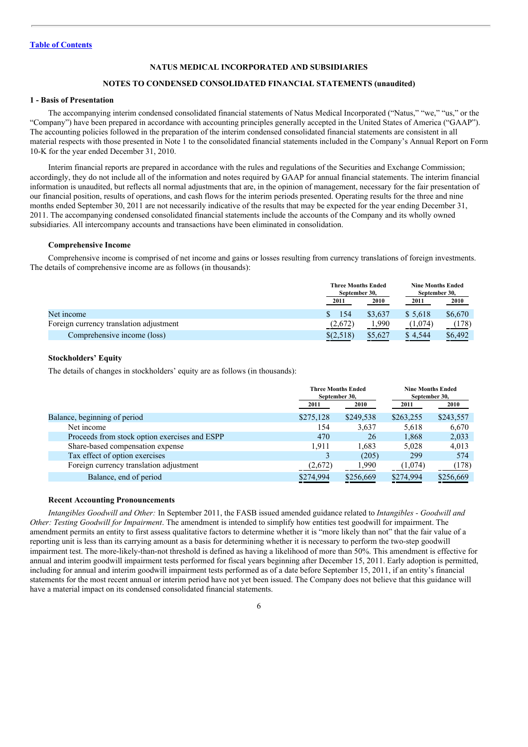### **NATUS MEDICAL INCORPORATED AND SUBSIDIARIES**

### **NOTES TO CONDENSED CONSOLIDATED FINANCIAL STATEMENTS (unaudited)**

#### **1 - Basis of Presentation**

The accompanying interim condensed consolidated financial statements of Natus Medical Incorporated ("Natus," "we," "us," or the "Company") have been prepared in accordance with accounting principles generally accepted in the United States of America ("GAAP"). The accounting policies followed in the preparation of the interim condensed consolidated financial statements are consistent in all material respects with those presented in Note 1 to the consolidated financial statements included in the Company's Annual Report on Form 10-K for the year ended December 31, 2010.

Interim financial reports are prepared in accordance with the rules and regulations of the Securities and Exchange Commission; accordingly, they do not include all of the information and notes required by GAAP for annual financial statements. The interim financial information is unaudited, but reflects all normal adjustments that are, in the opinion of management, necessary for the fair presentation of our financial position, results of operations, and cash flows for the interim periods presented. Operating results for the three and nine months ended September 30, 2011 are not necessarily indicative of the results that may be expected for the year ending December 31, 2011. The accompanying condensed consolidated financial statements include the accounts of the Company and its wholly owned subsidiaries. All intercompany accounts and transactions have been eliminated in consolidation.

#### **Comprehensive Income**

Comprehensive income is comprised of net income and gains or losses resulting from currency translations of foreign investments. The details of comprehensive income are as follows (in thousands):

|                                         |           | <b>Three Months Ended</b><br>September 30, |         | <b>Nine Months Ended</b><br>September 30, |
|-----------------------------------------|-----------|--------------------------------------------|---------|-------------------------------------------|
|                                         | 2011      | 2010                                       | 2011    | 2010                                      |
| Net income                              | 154       | \$3,637                                    | \$5.618 | \$6,670                                   |
| Foreign currency translation adjustment | (2,672)   | . 990                                      | (1,074) | (178)                                     |
| Comprehensive income (loss)             | \$(2,518) | \$5,627                                    | \$4,544 | \$6,492                                   |

### **Stockholders' Equity**

The details of changes in stockholders' equity are as follows (in thousands):

|                                               |           | <b>Three Months Ended</b><br>September 30, |           | <b>Nine Months Ended</b><br>September 30, |
|-----------------------------------------------|-----------|--------------------------------------------|-----------|-------------------------------------------|
|                                               | 2011      | 2010                                       | 2011      | 2010                                      |
| Balance, beginning of period                  | \$275,128 | \$249,538                                  | \$263,255 | \$243,557                                 |
| Net income                                    | 154       | 3,637                                      | 5,618     | 6,670                                     |
| Proceeds from stock option exercises and ESPP | 470       | 26                                         | 1.868     | 2,033                                     |
| Share-based compensation expense              | 1.911     | 1.683                                      | 5.028     | 4,013                                     |
| Tax effect of option exercises                |           | (205)                                      | 299       | 574                                       |
| Foreign currency translation adjustment       | (2,672)   | 1,990                                      | (1,074)   | (178)                                     |
| Balance, end of period                        | \$274,994 | \$256,669                                  | \$274,994 | \$256,669                                 |

#### **Recent Accounting Pronouncements**

*Intangibles Goodwill and Other:* In September 2011, the FASB issued amended guidance related to *Intangibles - Goodwill and Other: Testing Goodwill for Impairment*. The amendment is intended to simplify how entities test goodwill for impairment. The amendment permits an entity to first assess qualitative factors to determine whether it is "more likely than not" that the fair value of a reporting unit is less than its carrying amount as a basis for determining whether it is necessary to perform the two-step goodwill impairment test. The more-likely-than-not threshold is defined as having a likelihood of more than 50%. This amendment is effective for annual and interim goodwill impairment tests performed for fiscal years beginning after December 15, 2011. Early adoption is permitted, including for annual and interim goodwill impairment tests performed as of a date before September 15, 2011, if an entity's financial statements for the most recent annual or interim period have not yet been issued. The Company does not believe that this guidance will have a material impact on its condensed consolidated financial statements.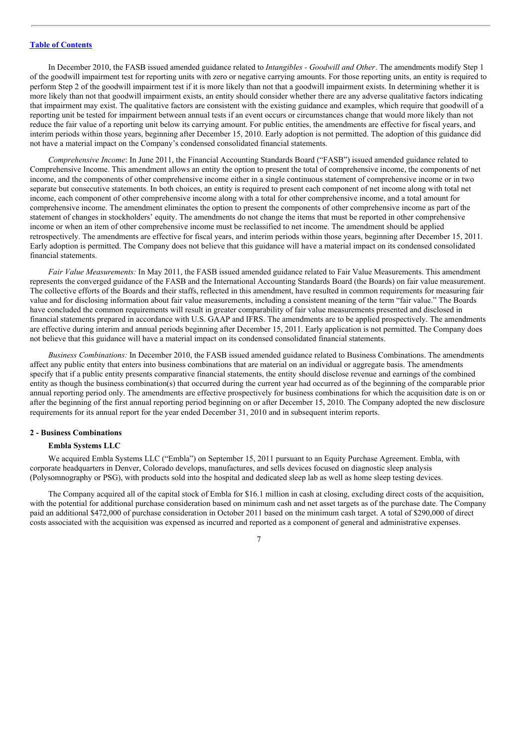In December 2010, the FASB issued amended guidance related to *Intangibles - Goodwill and Other*. The amendments modify Step 1 of the goodwill impairment test for reporting units with zero or negative carrying amounts. For those reporting units, an entity is required to perform Step 2 of the goodwill impairment test if it is more likely than not that a goodwill impairment exists. In determining whether it is more likely than not that goodwill impairment exists, an entity should consider whether there are any adverse qualitative factors indicating that impairment may exist. The qualitative factors are consistent with the existing guidance and examples, which require that goodwill of a reporting unit be tested for impairment between annual tests if an event occurs or circumstances change that would more likely than not reduce the fair value of a reporting unit below its carrying amount. For public entities, the amendments are effective for fiscal years, and interim periods within those years, beginning after December 15, 2010. Early adoption is not permitted. The adoption of this guidance did not have a material impact on the Company's condensed consolidated financial statements.

*Comprehensive Income*: In June 2011, the Financial Accounting Standards Board ("FASB") issued amended guidance related to Comprehensive Income. This amendment allows an entity the option to present the total of comprehensive income, the components of net income, and the components of other comprehensive income either in a single continuous statement of comprehensive income or in two separate but consecutive statements. In both choices, an entity is required to present each component of net income along with total net income, each component of other comprehensive income along with a total for other comprehensive income, and a total amount for comprehensive income. The amendment eliminates the option to present the components of other comprehensive income as part of the statement of changes in stockholders' equity. The amendments do not change the items that must be reported in other comprehensive income or when an item of other comprehensive income must be reclassified to net income. The amendment should be applied retrospectively. The amendments are effective for fiscal years, and interim periods within those years, beginning after December 15, 2011. Early adoption is permitted. The Company does not believe that this guidance will have a material impact on its condensed consolidated financial statements.

*Fair Value Measurements:* In May 2011, the FASB issued amended guidance related to Fair Value Measurements. This amendment represents the converged guidance of the FASB and the International Accounting Standards Board (the Boards) on fair value measurement. The collective efforts of the Boards and their staffs, reflected in this amendment, have resulted in common requirements for measuring fair value and for disclosing information about fair value measurements, including a consistent meaning of the term "fair value." The Boards have concluded the common requirements will result in greater comparability of fair value measurements presented and disclosed in financial statements prepared in accordance with U.S. GAAP and IFRS. The amendments are to be applied prospectively. The amendments are effective during interim and annual periods beginning after December 15, 2011. Early application is not permitted. The Company does not believe that this guidance will have a material impact on its condensed consolidated financial statements.

*Business Combinations:* In December 2010, the FASB issued amended guidance related to Business Combinations. The amendments affect any public entity that enters into business combinations that are material on an individual or aggregate basis. The amendments specify that if a public entity presents comparative financial statements, the entity should disclose revenue and earnings of the combined entity as though the business combination(s) that occurred during the current year had occurred as of the beginning of the comparable prior annual reporting period only. The amendments are effective prospectively for business combinations for which the acquisition date is on or after the beginning of the first annual reporting period beginning on or after December 15, 2010. The Company adopted the new disclosure requirements for its annual report for the year ended December 31, 2010 and in subsequent interim reports.

#### **2 - Business Combinations**

#### **Embla Systems LLC**

We acquired Embla Systems LLC ("Embla") on September 15, 2011 pursuant to an Equity Purchase Agreement. Embla, with corporate headquarters in Denver, Colorado develops, manufactures, and sells devices focused on diagnostic sleep analysis (Polysomnography or PSG), with products sold into the hospital and dedicated sleep lab as well as home sleep testing devices.

The Company acquired all of the capital stock of Embla for \$16.1 million in cash at closing, excluding direct costs of the acquisition, with the potential for additional purchase consideration based on minimum cash and net asset targets as of the purchase date. The Company paid an additional \$472,000 of purchase consideration in October 2011 based on the minimum cash target. A total of \$290,000 of direct costs associated with the acquisition was expensed as incurred and reported as a component of general and administrative expenses.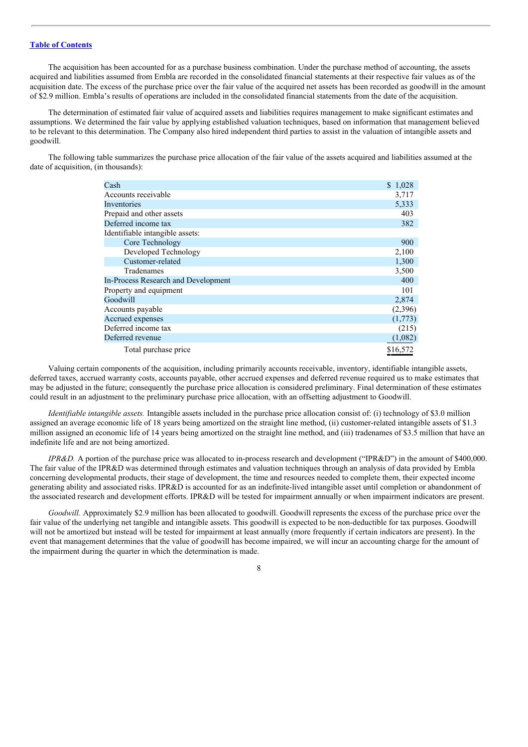The acquisition has been accounted for as a purchase business combination. Under the purchase method of accounting, the assets acquired and liabilities assumed from Embla are recorded in the consolidated financial statements at their respective fair values as of the acquisition date. The excess of the purchase price over the fair value of the acquired net assets has been recorded as goodwill in the amount of \$2.9 million. Embla's results of operations are included in the consolidated financial statements from the date of the acquisition.

The determination of estimated fair value of acquired assets and liabilities requires management to make significant estimates and assumptions. We determined the fair value by applying established valuation techniques, based on information that management believed to be relevant to this determination. The Company also hired independent third parties to assist in the valuation of intangible assets and goodwill.

The following table summarizes the purchase price allocation of the fair value of the assets acquired and liabilities assumed at the date of acquisition, (in thousands):

| Cash                                | \$1,028  |
|-------------------------------------|----------|
| Accounts receivable                 | 3,717    |
| Inventories                         | 5,333    |
| Prepaid and other assets            | 403      |
| Deferred income tax                 | 382      |
| Identifiable intangible assets:     |          |
| Core Technology                     | 900      |
| Developed Technology                | 2,100    |
| Customer-related                    | 1,300    |
| Tradenames                          | 3,500    |
| In-Process Research and Development | 400      |
| Property and equipment              | 101      |
| Goodwill                            | 2,874    |
| Accounts payable                    | (2,396)  |
| Accrued expenses                    | (1,773)  |
| Deferred income tax                 | (215)    |
| Deferred revenue                    | (1,082)  |
| Total purchase price                | \$16,572 |

Valuing certain components of the acquisition, including primarily accounts receivable, inventory, identifiable intangible assets, deferred taxes, accrued warranty costs, accounts payable, other accrued expenses and deferred revenue required us to make estimates that may be adjusted in the future; consequently the purchase price allocation is considered preliminary. Final determination of these estimates could result in an adjustment to the preliminary purchase price allocation, with an offsetting adjustment to Goodwill.

*Identifiable intangible assets.* Intangible assets included in the purchase price allocation consist of: (i) technology of \$3.0 million assigned an average economic life of 18 years being amortized on the straight line method, (ii) customer-related intangible assets of \$1.3 million assigned an economic life of 14 years being amortized on the straight line method, and (iii) tradenames of \$3.5 million that have an indefinite life and are not being amortized.

*IPR&D.* A portion of the purchase price was allocated to in-process research and development ("IPR&D") in the amount of \$400,000. The fair value of the IPR&D was determined through estimates and valuation techniques through an analysis of data provided by Embla concerning developmental products, their stage of development, the time and resources needed to complete them, their expected income generating ability and associated risks. IPR&D is accounted for as an indefinite-lived intangible asset until completion or abandonment of the associated research and development efforts. IPR&D will be tested for impairment annually or when impairment indicators are present.

*Goodwill.* Approximately \$2.9 million has been allocated to goodwill. Goodwill represents the excess of the purchase price over the fair value of the underlying net tangible and intangible assets. This goodwill is expected to be non-deductible for tax purposes. Goodwill will not be amortized but instead will be tested for impairment at least annually (more frequently if certain indicators are present). In the event that management determines that the value of goodwill has become impaired, we will incur an accounting charge for the amount of the impairment during the quarter in which the determination is made.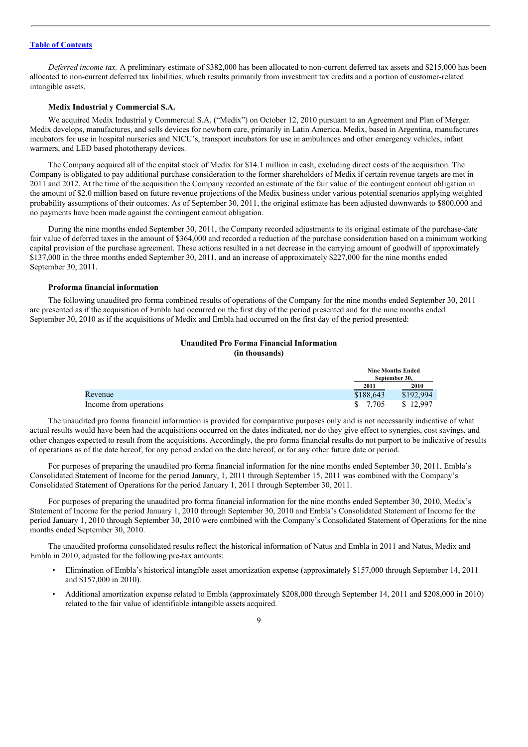*Deferred income tax.* A preliminary estimate of \$382,000 has been allocated to non-current deferred tax assets and \$215,000 has been allocated to non-current deferred tax liabilities, which results primarily from investment tax credits and a portion of customer-related intangible assets.

### **Medix Industrial y Commercial S.A.**

We acquired Medix Industrial y Commercial S.A. ("Medix") on October 12, 2010 pursuant to an Agreement and Plan of Merger. Medix develops, manufactures, and sells devices for newborn care, primarily in Latin America. Medix, based in Argentina, manufactures incubators for use in hospital nurseries and NICU's, transport incubators for use in ambulances and other emergency vehicles, infant warmers, and LED based phototherapy devices.

The Company acquired all of the capital stock of Medix for \$14.1 million in cash, excluding direct costs of the acquisition. The Company is obligated to pay additional purchase consideration to the former shareholders of Medix if certain revenue targets are met in 2011 and 2012. At the time of the acquisition the Company recorded an estimate of the fair value of the contingent earnout obligation in the amount of \$2.0 million based on future revenue projections of the Medix business under various potential scenarios applying weighted probability assumptions of their outcomes. As of September 30, 2011, the original estimate has been adjusted downwards to \$800,000 and no payments have been made against the contingent earnout obligation.

During the nine months ended September 30, 2011, the Company recorded adjustments to its original estimate of the purchase-date fair value of deferred taxes in the amount of \$364,000 and recorded a reduction of the purchase consideration based on a minimum working capital provision of the purchase agreement. These actions resulted in a net decrease in the carrying amount of goodwill of approximately \$137,000 in the three months ended September 30, 2011, and an increase of approximately \$227,000 for the nine months ended September 30, 2011.

### **Proforma financial information**

The following unaudited pro forma combined results of operations of the Company for the nine months ended September 30, 2011 are presented as if the acquisition of Embla had occurred on the first day of the period presented and for the nine months ended September 30, 2010 as if the acquisitions of Medix and Embla had occurred on the first day of the period presented:

### **Unaudited Pro Forma Financial Information (in thousands)**

|                        |           | <b>Nine Months Ended</b> |  |  |
|------------------------|-----------|--------------------------|--|--|
|                        |           | September 30.            |  |  |
|                        | 2011      | 2010                     |  |  |
| Revenue                | \$188,643 | \$192,994                |  |  |
| Income from operations | \$7.705   | \$12,997                 |  |  |

The unaudited pro forma financial information is provided for comparative purposes only and is not necessarily indicative of what actual results would have been had the acquisitions occurred on the dates indicated, nor do they give effect to synergies, cost savings, and other changes expected to result from the acquisitions. Accordingly, the pro forma financial results do not purport to be indicative of results of operations as of the date hereof, for any period ended on the date hereof, or for any other future date or period.

For purposes of preparing the unaudited pro forma financial information for the nine months ended September 30, 2011, Embla's Consolidated Statement of Income for the period January, 1, 2011 through September 15, 2011 was combined with the Company's Consolidated Statement of Operations for the period January 1, 2011 through September 30, 2011.

For purposes of preparing the unaudited pro forma financial information for the nine months ended September 30, 2010, Medix's Statement of Income for the period January 1, 2010 through September 30, 2010 and Embla's Consolidated Statement of Income for the period January 1, 2010 through September 30, 2010 were combined with the Company's Consolidated Statement of Operations for the nine months ended September 30, 2010.

The unaudited proforma consolidated results reflect the historical information of Natus and Embla in 2011 and Natus, Medix and Embla in 2010, adjusted for the following pre-tax amounts:

- Elimination of Embla's historical intangible asset amortization expense (approximately \$157,000 through September 14, 2011 and \$157,000 in 2010).
- Additional amortization expense related to Embla (approximately \$208,000 through September 14, 2011 and \$208,000 in 2010) related to the fair value of identifiable intangible assets acquired.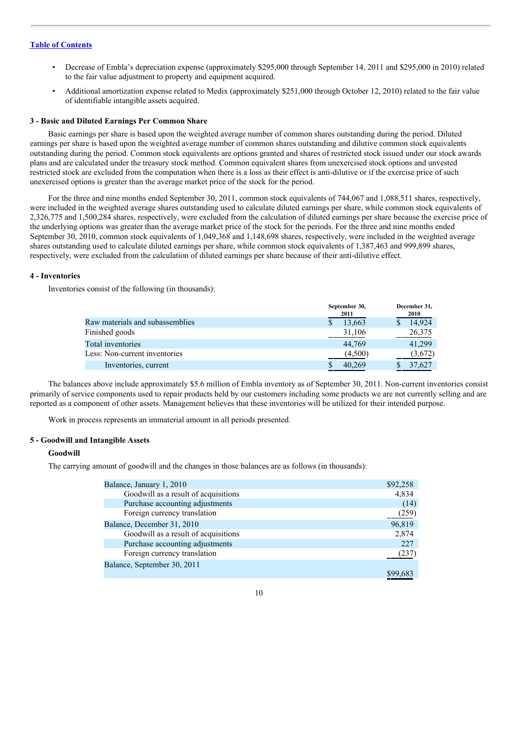- Decrease of Embla's depreciation expense (approximately \$295,000 through September 14, 2011 and \$295,000 in 2010) related to the fair value adjustment to property and equipment acquired.
- Additional amortization expense related to Medix (approximately \$251,000 through October 12, 2010) related to the fair value of identifiable intangible assets acquired.

#### **3 - Basic and Diluted Earnings Per Common Share**

Basic earnings per share is based upon the weighted average number of common shares outstanding during the period. Diluted earnings per share is based upon the weighted average number of common shares outstanding and dilutive common stock equivalents outstanding during the period. Common stock equivalents are options granted and shares of restricted stock issued under our stock awards plans and are calculated under the treasury stock method. Common equivalent shares from unexercised stock options and unvested restricted stock are excluded from the computation when there is a loss as their effect is anti-dilutive or if the exercise price of such unexercised options is greater than the average market price of the stock for the period.

For the three and nine months ended September 30, 2011, common stock equivalents of 744,067 and 1,088,511 shares, respectively, were included in the weighted average shares outstanding used to calculate diluted earnings per share, while common stock equivalents of 2,326,775 and 1,500,284 shares, respectively, were excluded from the calculation of diluted earnings per share because the exercise price of the underlying options was greater than the average market price of the stock for the periods. For the three and nine months ended September 30, 2010, common stock equivalents of 1,049,368 and 1,148,698 shares, respectively, were included in the weighted average shares outstanding used to calculate diluted earnings per share, while common stock equivalents of 1,387,463 and 999,899 shares, respectively, were excluded from the calculation of diluted earnings per share because of their anti-dilutive effect.

#### **4 - Inventories**

Inventories consist of the following (in thousands):

|                                 | September 30,<br>2011 | December 31,<br>2010 |
|---------------------------------|-----------------------|----------------------|
| Raw materials and subassemblies | 13.663                | 14.924               |
| Finished goods                  | 31,106                | 26,375               |
| Total inventories               | 44,769                | 41.299               |
| Less: Non-current inventories   | (4,500)               | (3,672)              |
| Inventories, current            | 40.269                | 37,627               |

The balances above include approximately \$5.6 million of Embla inventory as of September 30, 2011. Non-current inventories consist primarily of service components used to repair products held by our customers including some products we are not currently selling and are reported as a component of other assets. Management believes that these inventories will be utilized for their intended purpose.

Work in process represents an immaterial amount in all periods presented.

### **5 - Goodwill and Intangible Assets**

### **Goodwill**

The carrying amount of goodwill and the changes in those balances are as follows (in thousands):

| Balance, January 1, 2010             | \$92,258 |
|--------------------------------------|----------|
| Goodwill as a result of acquisitions | 4,834    |
| Purchase accounting adjustments      | (14)     |
| Foreign currency translation         | (259)    |
| Balance, December 31, 2010           | 96,819   |
| Goodwill as a result of acquisitions | 2,874    |
| Purchase accounting adjustments      | 227      |
| Foreign currency translation         | (237)    |
| Balance, September 30, 2011          |          |
|                                      | \$99,683 |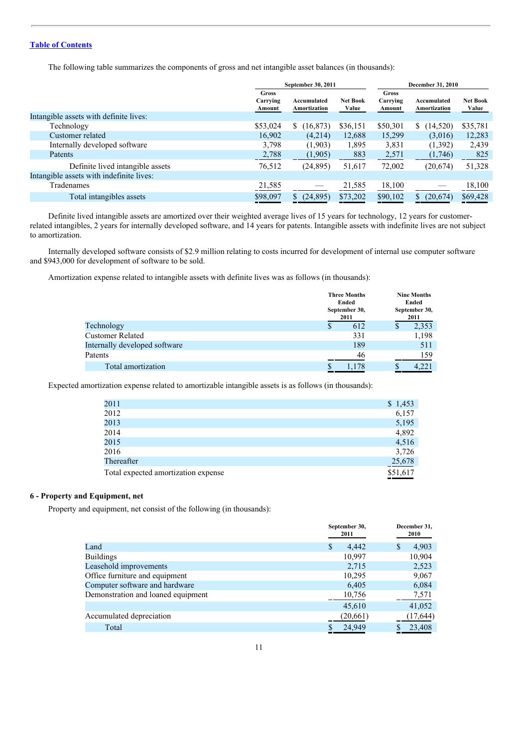The following table summarizes the components of gross and net intangible asset balances (in thousands):

|                                          | September 30, 2011          |                             |                                 |                             | December 31, 2010           |                          |  |
|------------------------------------------|-----------------------------|-----------------------------|---------------------------------|-----------------------------|-----------------------------|--------------------------|--|
| Intangible assets with definite lives:   | Gross<br>Carrying<br>Amount | Accumulated<br>Amortization | <b>Net Book</b><br><b>Value</b> | Gross<br>Carrying<br>Amount | Accumulated<br>Amortization | <b>Net Book</b><br>Value |  |
| Technology                               | \$53,024                    | (16, 873)<br>S.             | \$36,151                        | \$50,301                    | (14, 520)<br>S.             | \$35,781                 |  |
| Customer related                         | 16,902                      | (4,214)                     | 12,688                          | 15,299                      | (3,016)                     | 12,283                   |  |
| Internally developed software            | 3,798                       | (1,903)                     | 1,895                           | 3,831                       | (1,392)                     | 2,439                    |  |
| Patents                                  | 2,788                       | (1,905)                     | 883                             | 2,571                       | (1,746)                     | 825                      |  |
| Definite lived intangible assets         | 76,512                      | (24, 895)                   | 51,617                          | 72,002                      | (20,674)                    | 51,328                   |  |
| Intangible assets with indefinite lives: |                             |                             |                                 |                             |                             |                          |  |
| Tradenames                               | 21,585                      |                             | 21,585                          | 18,100                      |                             | 18,100                   |  |
| Total intangibles assets                 | \$98,097                    | (24, 895)                   | \$73,202                        | \$90,102                    | (20,674)                    | \$69,428                 |  |

Definite lived intangible assets are amortized over their weighted average lives of 15 years for technology, 12 years for customerrelated intangibles, 2 years for internally developed software, and 14 years for patents. Intangible assets with indefinite lives are not subject to amortization.

Internally developed software consists of \$2.9 million relating to costs incurred for development of internal use computer software and \$943,000 for development of software to be sold.

Amortization expense related to intangible assets with definite lives was as follows (in thousands):

|                               | <b>Three Months</b><br>Ended<br>September 30,<br>2011 | <b>Nine Months</b><br>Ended<br>September 30,<br>2011 |  |
|-------------------------------|-------------------------------------------------------|------------------------------------------------------|--|
| Technology                    | 612<br>\$                                             | 2,353<br>S                                           |  |
| <b>Customer Related</b>       | 331                                                   | 1,198                                                |  |
| Internally developed software | 189                                                   | 511                                                  |  |
| Patents                       | 46                                                    | 159                                                  |  |
| Total amortization            | \$<br>1.178                                           | \$<br>4.221                                          |  |

Expected amortization expense related to amortizable intangible assets is as follows (in thousands):

| 2011                                | \$1,453  |
|-------------------------------------|----------|
| 2012                                | 6,157    |
| 2013                                | 5,195    |
| 2014                                | 4,892    |
| 2015                                | 4,516    |
| 2016                                | 3,726    |
| Thereafter                          | 25,678   |
| Total expected amortization expense | \$51,617 |

### **6 - Property and Equipment, net**

Property and equipment, net consist of the following (in thousands):

|                                    | September 30,<br>2011 | December 31.<br>2010 |
|------------------------------------|-----------------------|----------------------|
| Land                               | \$<br>4,442           | 4,903<br>S           |
| <b>Buildings</b>                   | 10,997                | 10,904               |
| Leasehold improvements             | 2,715                 | 2,523                |
| Office furniture and equipment     | 10,295                | 9,067                |
| Computer software and hardware     | 6,405                 | 6,084                |
| Demonstration and loaned equipment | 10,756                | 7,571                |
|                                    | 45,610                | 41,052               |
| Accumulated depreciation           | (20,661)              | (17, 644)            |
| Total                              | 24,949                | 23,408               |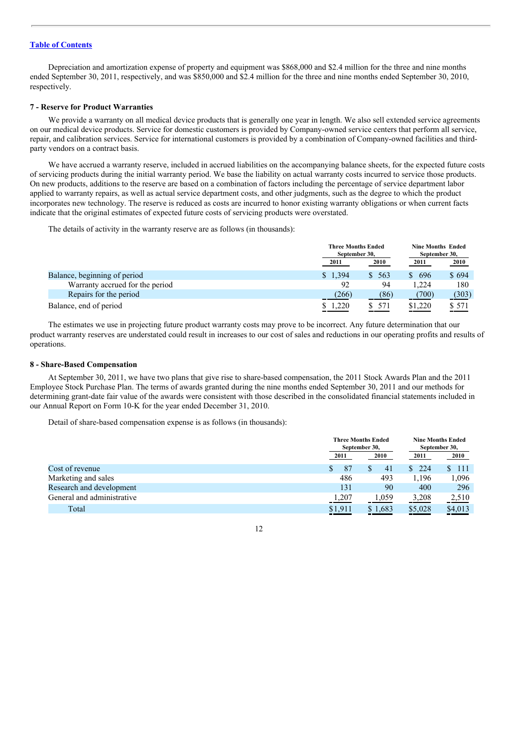Depreciation and amortization expense of property and equipment was \$868,000 and \$2.4 million for the three and nine months ended September 30, 2011, respectively, and was \$850,000 and \$2.4 million for the three and nine months ended September 30, 2010, respectively.

#### **7 - Reserve for Product Warranties**

We provide a warranty on all medical device products that is generally one year in length. We also sell extended service agreements on our medical device products. Service for domestic customers is provided by Company-owned service centers that perform all service, repair, and calibration services. Service for international customers is provided by a combination of Company-owned facilities and thirdparty vendors on a contract basis.

We have accrued a warranty reserve, included in accrued liabilities on the accompanying balance sheets, for the expected future costs of servicing products during the initial warranty period. We base the liability on actual warranty costs incurred to service those products. On new products, additions to the reserve are based on a combination of factors including the percentage of service department labor applied to warranty repairs, as well as actual service department costs, and other judgments, such as the degree to which the product incorporates new technology. The reserve is reduced as costs are incurred to honor existing warranty obligations or when current facts indicate that the original estimates of expected future costs of servicing products were overstated.

The details of activity in the warranty reserve are as follows (in thousands):

|                                 | <b>Three Months Ended</b> |               | <b>Nine Months Ended</b> |               |
|---------------------------------|---------------------------|---------------|--------------------------|---------------|
|                                 |                           | September 30, |                          | September 30, |
|                                 | 2011                      | 2010          | 2011                     | 2010          |
| Balance, beginning of period    | \$1.394                   | \$ 563        | - 696                    | \$694         |
| Warranty accrued for the period | 92                        | 94            | 1.224                    | 180           |
| Repairs for the period          | (266)                     | (86)          | (700)                    | (303)         |
| Balance, end of period          | 1,220                     | 571           | \$1,220                  | \$571         |

The estimates we use in projecting future product warranty costs may prove to be incorrect. Any future determination that our product warranty reserves are understated could result in increases to our cost of sales and reductions in our operating profits and results of operations.

#### **8 - Share-Based Compensation**

At September 30, 2011, we have two plans that give rise to share-based compensation, the 2011 Stock Awards Plan and the 2011 Employee Stock Purchase Plan. The terms of awards granted during the nine months ended September 30, 2011 and our methods for determining grant-date fair value of the awards were consistent with those described in the consolidated financial statements included in our Annual Report on Form 10-K for the year ended December 31, 2010.

Detail of share-based compensation expense is as follows (in thousands):

|                            |              | <b>Three Months Ended</b><br>September 30, |                 | <b>Nine Months Ended</b><br>September 30, |
|----------------------------|--------------|--------------------------------------------|-----------------|-------------------------------------------|
|                            | 2011         | 2010                                       | 2011            | 2010                                      |
| Cost of revenue            | -87<br>S.    | 41                                         | $\frac{1}{224}$ | S.<br>-111                                |
| Marketing and sales        | 486          | 493                                        | 1.196           | 1,096                                     |
| Research and development   | 131          | 90                                         | 400             | 296                                       |
| General and administrative | <u>1,207</u> | 1,059                                      | 3,208           | 2,510                                     |
| Total                      | \$1,911      | \$1,683                                    | \$5,028         | \$4,013                                   |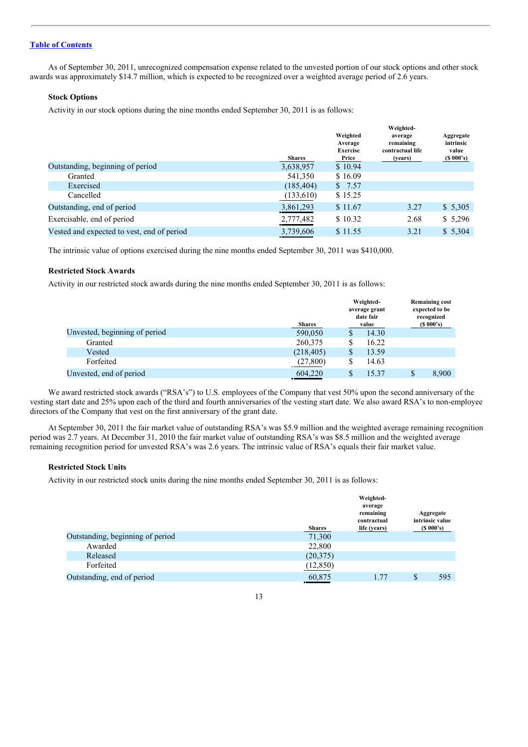As of September 30, 2011, unrecognized compensation expense related to the unvested portion of our stock options and other stock awards was approximately \$14.7 million, which is expected to be recognized over a weighted average period of 2.6 years.

#### **Stock Options**

Activity in our stock options during the nine months ended September 30, 2011 is as follows:

|                                            |               | Weighted-                                       |                                                     |                                                 |
|--------------------------------------------|---------------|-------------------------------------------------|-----------------------------------------------------|-------------------------------------------------|
|                                            | <b>Shares</b> | Weighted<br>Average<br><b>Exercise</b><br>Price | average<br>remaining<br>contractual life<br>(years) | Aggregate<br>intrinsic<br>value<br>$(S\ 000's)$ |
| Outstanding, beginning of period           | 3,638,957     | \$10.94                                         |                                                     |                                                 |
| Granted                                    | 541,350       | \$16.09                                         |                                                     |                                                 |
| Exercised                                  | (185, 404)    | \$7.57                                          |                                                     |                                                 |
| Cancelled                                  | (133,610)     | \$15.25                                         |                                                     |                                                 |
| Outstanding, end of period                 | 3,861,293     | \$11.67                                         | 3.27                                                | \$5,305                                         |
| Exercisable, end of period                 | 2,777,482     | \$10.32                                         | 2.68                                                | \$5,296                                         |
| Vested and expected to vest, end of period | 3,739,606     | \$11.55                                         | 3.21                                                | \$5,304                                         |

The intrinsic value of options exercised during the nine months ended September 30, 2011 was \$410,000.

### **Restricted Stock Awards**

Activity in our restricted stock awards during the nine months ended September 30, 2011 is as follows:

|                               | <b>Shares</b> |   | Weighted-<br>average grant<br>date fair<br>value | <b>Remaining cost</b><br>expected to be<br>recognized<br>(S 000's) |
|-------------------------------|---------------|---|--------------------------------------------------|--------------------------------------------------------------------|
| Unvested, beginning of period | 590,050       | S | 14.30                                            |                                                                    |
| Granted                       | 260,375       |   | 16.22                                            |                                                                    |
| Vested                        | (218, 405)    | S | 13.59                                            |                                                                    |
| Forfeited                     | (27, 800)     | S | 14.63                                            |                                                                    |
| Unvested, end of period       | 604,220       | S | 15.37                                            | \$<br>8.900                                                        |

We award restricted stock awards ("RSA's") to U.S. employees of the Company that vest 50% upon the second anniversary of the vesting start date and 25% upon each of the third and fourth anniversaries of the vesting start date. We also award RSA's to non-employee directors of the Company that vest on the first anniversary of the grant date.

At September 30, 2011 the fair market value of outstanding RSA's was \$5.9 million and the weighted average remaining recognition period was 2.7 years. At December 31, 2010 the fair market value of outstanding RSA's was \$8.5 million and the weighted average remaining recognition period for unvested RSA's was 2.6 years. The intrinsic value of RSA's equals their fair market value.

#### **Restricted Stock Units**

Activity in our restricted stock units during the nine months ended September 30, 2011 is as follows:

|                                  | <b>Shares</b> | Weighted-<br>average<br>remaining<br>contractual<br>life (years) | Aggregate<br>intrinsic value<br>$(S\ 000's)$ |
|----------------------------------|---------------|------------------------------------------------------------------|----------------------------------------------|
| Outstanding, beginning of period | 71,300        |                                                                  |                                              |
| Awarded                          | 22,800        |                                                                  |                                              |
| Released                         | (20,375)      |                                                                  |                                              |
| Forfeited                        | (12, 850)     |                                                                  |                                              |
| Outstanding, end of period       | 60,875        | 1.77                                                             | 595                                          |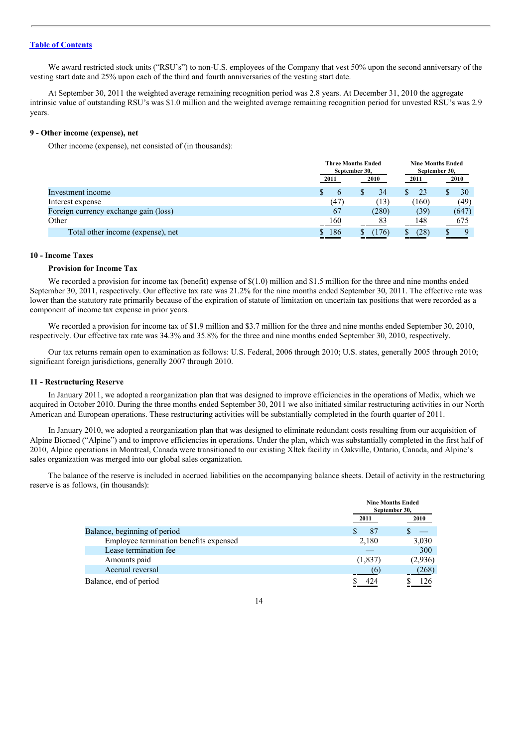We award restricted stock units ("RSU's") to non-U.S. employees of the Company that vest 50% upon the second anniversary of the vesting start date and 25% upon each of the third and fourth anniversaries of the vesting start date.

At September 30, 2011 the weighted average remaining recognition period was 2.8 years. At December 31, 2010 the aggregate intrinsic value of outstanding RSU's was \$1.0 million and the weighted average remaining recognition period for unvested RSU's was 2.9 years.

#### **9 - Other income (expense), net**

Other income (expense), net consisted of (in thousands):

|                                       |      | <b>Three Months Ended</b><br>September 30, |       | <b>Nine Months Ended</b><br>September 30, |
|---------------------------------------|------|--------------------------------------------|-------|-------------------------------------------|
|                                       | 2011 | 2010                                       | 2011  | 2010                                      |
| Investment income                     |      | 34                                         | 23    | 30<br>Я                                   |
| Interest expense                      | (47) | (13)                                       | (160) | (49)                                      |
| Foreign currency exchange gain (loss) | 67   | (280)                                      | (39)  | (647)                                     |
| Other                                 | 160  | 83                                         | 148   | 675                                       |
| Total other income (expense), net     | 186  | (176)                                      | (28   | $\Omega$                                  |

#### **10 - Income Taxes**

#### **Provision for Income Tax**

We recorded a provision for income tax (benefit) expense of  $\$(1.0)$  million and  $\$1.5$  million for the three and nine months ended September 30, 2011, respectively. Our effective tax rate was 21.2% for the nine months ended September 30, 2011. The effective rate was lower than the statutory rate primarily because of the expiration of statute of limitation on uncertain tax positions that were recorded as a component of income tax expense in prior years.

We recorded a provision for income tax of \$1.9 million and \$3.7 million for the three and nine months ended September 30, 2010, respectively. Our effective tax rate was 34.3% and 35.8% for the three and nine months ended September 30, 2010, respectively.

Our tax returns remain open to examination as follows: U.S. Federal, 2006 through 2010; U.S. states, generally 2005 through 2010; significant foreign jurisdictions, generally 2007 through 2010.

#### **11 - Restructuring Reserve**

In January 2011, we adopted a reorganization plan that was designed to improve efficiencies in the operations of Medix, which we acquired in October 2010. During the three months ended September 30, 2011 we also initiated similar restructuring activities in our North American and European operations. These restructuring activities will be substantially completed in the fourth quarter of 2011.

In January 2010, we adopted a reorganization plan that was designed to eliminate redundant costs resulting from our acquisition of Alpine Biomed ("Alpine") and to improve efficiencies in operations. Under the plan, which was substantially completed in the first half of 2010, Alpine operations in Montreal, Canada were transitioned to our existing Xltek facility in Oakville, Ontario, Canada, and Alpine's sales organization was merged into our global sales organization.

The balance of the reserve is included in accrued liabilities on the accompanying balance sheets. Detail of activity in the restructuring reserve is as follows, (in thousands):

|                                        | <b>Nine Months Ended</b><br>September 30, |         |
|----------------------------------------|-------------------------------------------|---------|
|                                        | 2011                                      | 2010    |
| Balance, beginning of period           | 87                                        |         |
| Employee termination benefits expensed | 2,180                                     | 3,030   |
| Lease termination fee                  |                                           | 300     |
| Amounts paid                           | (1,837)                                   | (2,936) |
| Accrual reversal                       | $\overline{6}$                            | (268)   |
| Balance, end of period                 | 424                                       | 126     |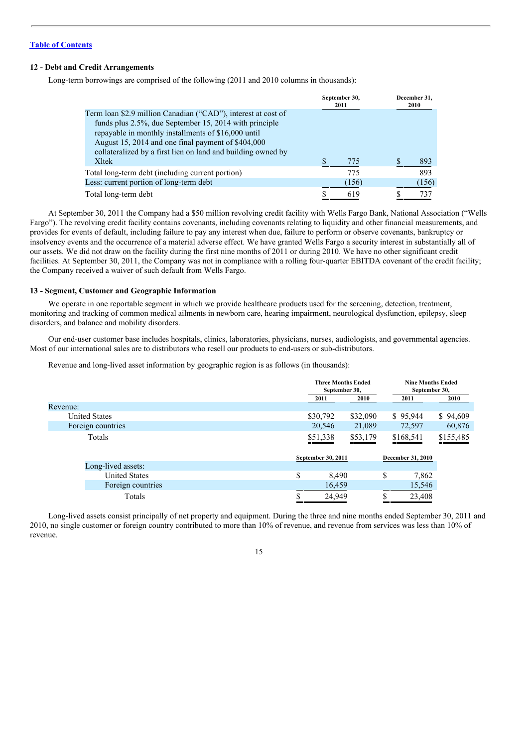### **12 - Debt and Credit Arrangements**

Long-term borrowings are comprised of the following (2011 and 2010 columns in thousands):

|                                                               | September 30,<br>2011 | December 31,<br>2010 |
|---------------------------------------------------------------|-----------------------|----------------------|
| Term loan \$2.9 million Canadian ("CAD"), interest at cost of |                       |                      |
| funds plus 2.5%, due September 15, 2014 with principle        |                       |                      |
| repayable in monthly installments of \$16,000 until           |                       |                      |
| August 15, 2014 and one final payment of \$404,000            |                       |                      |
| collateralized by a first lien on land and building owned by  |                       |                      |
| <b>X</b> ltek                                                 | 775                   | 893                  |
| Total long-term debt (including current portion)              | 775                   | 893                  |
| Less: current portion of long-term debt                       | (156)                 | (156)                |
| Total long-term debt                                          | 619                   | 737                  |

At September 30, 2011 the Company had a \$50 million revolving credit facility with Wells Fargo Bank, National Association ("Wells Fargo"). The revolving credit facility contains covenants, including covenants relating to liquidity and other financial measurements, and provides for events of default, including failure to pay any interest when due, failure to perform or observe covenants, bankruptcy or insolvency events and the occurrence of a material adverse effect. We have granted Wells Fargo a security interest in substantially all of our assets. We did not draw on the facility during the first nine months of 2011 or during 2010. We have no other significant credit facilities. At September 30, 2011, the Company was not in compliance with a rolling four-quarter EBITDA covenant of the credit facility; the Company received a waiver of such default from Wells Fargo.

### **13 - Segment, Customer and Geographic Information**

We operate in one reportable segment in which we provide healthcare products used for the screening, detection, treatment, monitoring and tracking of common medical ailments in newborn care, hearing impairment, neurological dysfunction, epilepsy, sleep disorders, and balance and mobility disorders.

Our end-user customer base includes hospitals, clinics, laboratories, physicians, nurses, audiologists, and governmental agencies. Most of our international sales are to distributors who resell our products to end-users or sub-distributors.

Revenue and long-lived asset information by geographic region is as follows (in thousands):

|                      | <b>Three Months Ended</b><br>September 30, |          | <b>Nine Months Ended</b><br>September 30, |           |
|----------------------|--------------------------------------------|----------|-------------------------------------------|-----------|
|                      | 2011                                       | 2010     | 2011                                      | 2010      |
| Revenue:             |                                            |          |                                           |           |
| <b>United States</b> | \$30,792                                   | \$32,090 | \$95,944                                  | \$94,609  |
| Foreign countries    | 20,546                                     | 21,089   | 72,597                                    | 60,876    |
| Totals               | \$51,338                                   | \$53,179 | \$168,541                                 | \$155,485 |
|                      | September 30, 2011                         |          | December 31, 2010                         |           |
| Long-lived assets:   |                                            |          |                                           |           |
| <b>United States</b> | \$<br>8,490                                |          | \$<br>7,862                               |           |
| Foreign countries    | 16,459                                     |          | 15,546                                    |           |
| Totals               | 24,949                                     |          | 23,408<br>۰Ŋ.                             |           |

Long-lived assets consist principally of net property and equipment. During the three and nine months ended September 30, 2011 and 2010, no single customer or foreign country contributed to more than 10% of revenue, and revenue from services was less than 10% of revenue.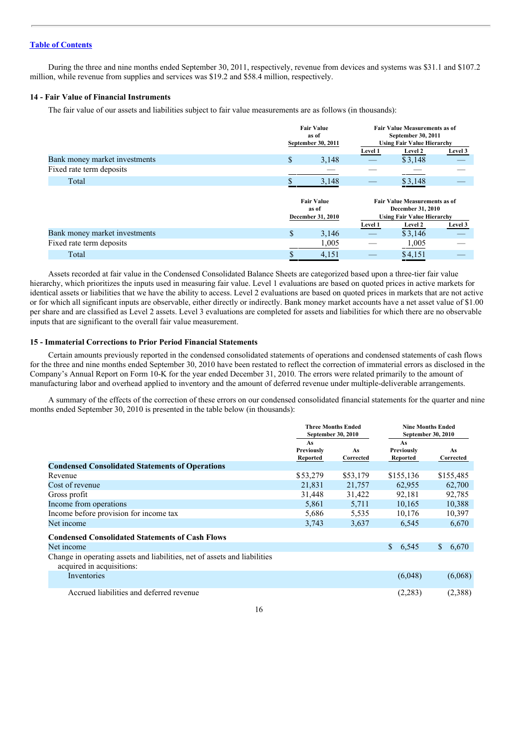During the three and nine months ended September 30, 2011, respectively, revenue from devices and systems was \$31.1 and \$107.2 million, while revenue from supplies and services was \$19.2 and \$58.4 million, respectively.

### **14 - Fair Value of Financial Instruments**

The fair value of our assets and liabilities subject to fair value measurements are as follows (in thousands):

|                               |             | <b>Fair Value</b><br>as of<br>September 30, 2011 |                                                                                                | <b>Fair Value Measurements as of</b><br>September 30, 2011<br><b>Using Fair Value Hierarchy</b> |         |
|-------------------------------|-------------|--------------------------------------------------|------------------------------------------------------------------------------------------------|-------------------------------------------------------------------------------------------------|---------|
|                               |             |                                                  | Level 1                                                                                        | Level 2                                                                                         | Level 3 |
| Bank money market investments | \$          | 3,148                                            |                                                                                                | \$3,148                                                                                         |         |
| Fixed rate term deposits      |             |                                                  |                                                                                                |                                                                                                 |         |
| Total                         |             | 3,148                                            |                                                                                                | \$3,148                                                                                         |         |
|                               |             | <b>Fair Value</b><br>as of<br>December 31, 2010  | <b>Fair Value Measurements as of</b><br>December 31, 2010<br><b>Using Fair Value Hierarchy</b> |                                                                                                 |         |
|                               |             |                                                  | Level 1                                                                                        | Level 2                                                                                         | Level 3 |
| Bank money market investments | $\mathbf S$ | 3,146                                            |                                                                                                | \$3,146                                                                                         |         |
| Fixed rate term deposits      |             | 1,005                                            |                                                                                                | 1,005                                                                                           |         |
| Total                         | \$.         | 4,151                                            |                                                                                                | \$4,151                                                                                         |         |

Assets recorded at fair value in the Condensed Consolidated Balance Sheets are categorized based upon a three-tier fair value hierarchy, which prioritizes the inputs used in measuring fair value. Level 1 evaluations are based on quoted prices in active markets for identical assets or liabilities that we have the ability to access. Level 2 evaluations are based on quoted prices in markets that are not active or for which all significant inputs are observable, either directly or indirectly. Bank money market accounts have a net asset value of \$1.00 per share and are classified as Level 2 assets. Level 3 evaluations are completed for assets and liabilities for which there are no observable inputs that are significant to the overall fair value measurement.

### **15 - Immaterial Corrections to Prior Period Financial Statements**

Certain amounts previously reported in the condensed consolidated statements of operations and condensed statements of cash flows for the three and nine months ended September 30, 2010 have been restated to reflect the correction of immaterial errors as disclosed in the Company's Annual Report on Form 10-K for the year ended December 31, 2010. The errors were related primarily to the amount of manufacturing labor and overhead applied to inventory and the amount of deferred revenue under multiple-deliverable arrangements.

A summary of the effects of the correction of these errors on our condensed consolidated financial statements for the quarter and nine months ended September 30, 2010 is presented in the table below (in thousands):

|                                                                                                        | <b>Three Months Ended</b><br>September 30, 2010 |                 | <b>Nine Months Ended</b><br>September 30, 2010 |                 |  |
|--------------------------------------------------------------------------------------------------------|-------------------------------------------------|-----------------|------------------------------------------------|-----------------|--|
|                                                                                                        | As<br><b>Previously</b><br>Reported             | As<br>Corrected | As<br><b>Previously</b><br>Reported            | As<br>Corrected |  |
| <b>Condensed Consolidated Statements of Operations</b>                                                 |                                                 |                 |                                                |                 |  |
| Revenue                                                                                                | \$53,279                                        | \$53,179        | \$155,136                                      | \$155,485       |  |
| Cost of revenue                                                                                        | 21,831                                          | 21,757          | 62,955                                         | 62,700          |  |
| Gross profit                                                                                           | 31,448                                          | 31,422          | 92,181                                         | 92,785          |  |
| Income from operations                                                                                 | 5,861                                           | 5,711           | 10,165                                         | 10,388          |  |
| Income before provision for income tax                                                                 | 5,686                                           | 5,535           | 10,176                                         | 10,397          |  |
| Net income                                                                                             | 3,743                                           | 3,637           | 6,545                                          | 6,670           |  |
| <b>Condensed Consolidated Statements of Cash Flows</b>                                                 |                                                 |                 |                                                |                 |  |
| Net income                                                                                             |                                                 |                 | 6,545<br>S.                                    | 6,670<br>\$.    |  |
| Change in operating assets and liabilities, net of assets and liabilities<br>acquired in acquisitions: |                                                 |                 |                                                |                 |  |
| Inventories                                                                                            |                                                 |                 | (6,048)                                        | (6,068)         |  |
| Accrued liabilities and deferred revenue                                                               |                                                 |                 | (2,283)                                        | (2,388)         |  |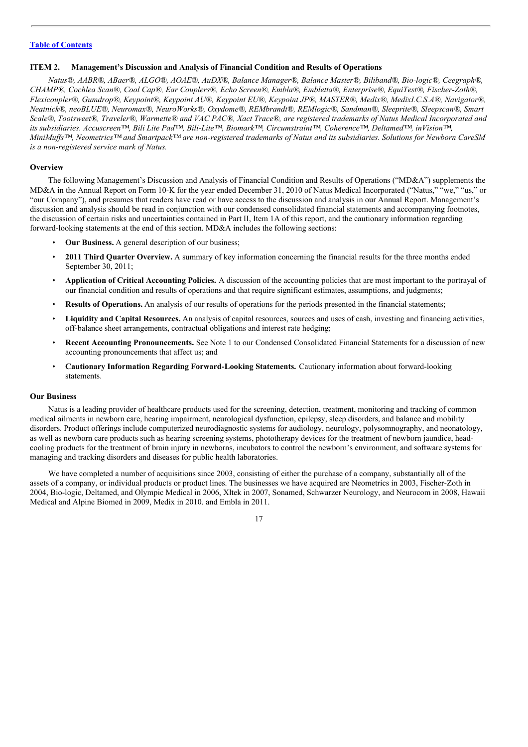### **ITEM 2. Management's Discussion and Analysis of Financial Condition and Results of Operations**

*Natus®, AABR®, ABaer®, ALGO®, AOAE®, AuDX®, Balance Manager®, Balance Master®, Biliband®, Bio-logic®, Ceegraph®, CHAMP®, Cochlea Scan®, Cool Cap®, Ear Couplers®, Echo Screen®, Embla®, Embletta®, Enterprise®, EquiTest®, Fischer-Zoth®, Flexicoupler®, Gumdrop®, Keypoint®, Keypoint AU®, Keypoint EU®, Keypoint JP®, MASTER®, Medix®, MedixI.C.S.A®, Navigator®, Neatnick®, neoBLUE®, Neuromax®, NeuroWorks®, Oxydome®, REMbrandt®, REMlogic®, Sandman®, Sleeprite®, Sleepscan®, Smart* Scale®, Tootsweet®, Traveler®, Warmette® and VAC PAC®, Xact Trace®, are registered trademarks of Natus Medical Incorporated and *its subsidiaries. Accuscreen™, Bili Lite Pad™, Bili-Lite™, Biomark™, Circumstraint™, Coherence™, Deltamed™, inVision™,* MiniMuffs™, Neometrics™ and Smartpack™ are non-registered trademarks of Natus and its subsidiaries. Solutions for Newborn CareSM *is a non-registered service mark of Natus.*

#### **Overview**

The following Management's Discussion and Analysis of Financial Condition and Results of Operations ("MD&A") supplements the MD&A in the Annual Report on Form 10-K for the year ended December 31, 2010 of Natus Medical Incorporated ("Natus," "we," "us," or "our Company"), and presumes that readers have read or have access to the discussion and analysis in our Annual Report. Management's discussion and analysis should be read in conjunction with our condensed consolidated financial statements and accompanying footnotes, the discussion of certain risks and uncertainties contained in Part II, Item 1A of this report, and the cautionary information regarding forward-looking statements at the end of this section. MD&A includes the following sections:

- **Our Business.** A general description of our business;
- **2011 Third Quarter Overview.** A summary of key information concerning the financial results for the three months ended September 30, 2011;
- **Application of Critical Accounting Policies.** A discussion of the accounting policies that are most important to the portrayal of our financial condition and results of operations and that require significant estimates, assumptions, and judgments;
- **Results of Operations.** An analysis of our results of operations for the periods presented in the financial statements;
- **Liquidity and Capital Resources.** An analysis of capital resources, sources and uses of cash, investing and financing activities, off-balance sheet arrangements, contractual obligations and interest rate hedging;
- **Recent Accounting Pronouncements.** See Note 1 to our Condensed Consolidated Financial Statements for a discussion of new accounting pronouncements that affect us; and
- **Cautionary Information Regarding Forward-Looking Statements.** Cautionary information about forward-looking statements.

#### **Our Business**

Natus is a leading provider of healthcare products used for the screening, detection, treatment, monitoring and tracking of common medical ailments in newborn care, hearing impairment, neurological dysfunction, epilepsy, sleep disorders, and balance and mobility disorders. Product offerings include computerized neurodiagnostic systems for audiology, neurology, polysomnography, and neonatology, as well as newborn care products such as hearing screening systems, phototherapy devices for the treatment of newborn jaundice, headcooling products for the treatment of brain injury in newborns, incubators to control the newborn's environment, and software systems for managing and tracking disorders and diseases for public health laboratories.

We have completed a number of acquisitions since 2003, consisting of either the purchase of a company, substantially all of the assets of a company, or individual products or product lines. The businesses we have acquired are Neometrics in 2003, Fischer-Zoth in 2004, Bio-logic, Deltamed, and Olympic Medical in 2006, Xltek in 2007, Sonamed, Schwarzer Neurology, and Neurocom in 2008, Hawaii Medical and Alpine Biomed in 2009, Medix in 2010. and Embla in 2011.

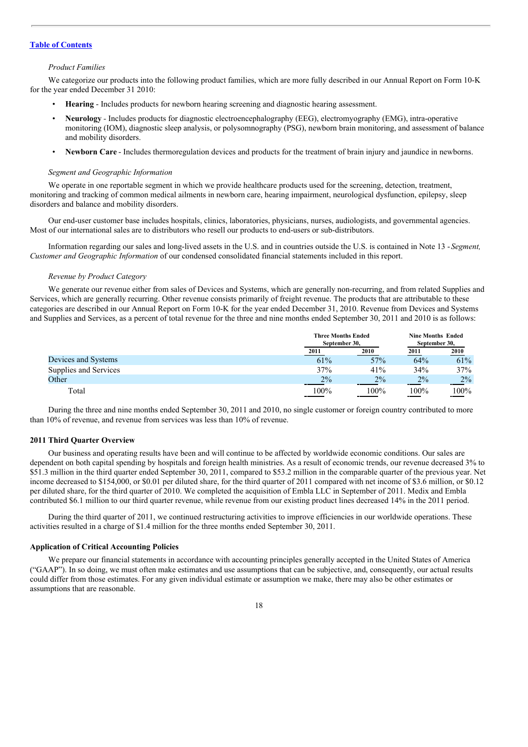#### *Product Families*

We categorize our products into the following product families, which are more fully described in our Annual Report on Form 10-K for the year ended December 31 2010:

- **Hearing** Includes products for newborn hearing screening and diagnostic hearing assessment.
- **Neurology** *-* Includes products for diagnostic electroencephalography (EEG), electromyography (EMG), intra-operative monitoring (IOM), diagnostic sleep analysis, or polysomnography (PSG), newborn brain monitoring, and assessment of balance and mobility disorders.
- **Newborn Care** Includes thermoregulation devices and products for the treatment of brain injury and jaundice in newborns.

#### *Segment and Geographic Information*

We operate in one reportable segment in which we provide healthcare products used for the screening, detection, treatment, monitoring and tracking of common medical ailments in newborn care, hearing impairment, neurological dysfunction, epilepsy, sleep disorders and balance and mobility disorders.

Our end-user customer base includes hospitals, clinics, laboratories, physicians, nurses, audiologists, and governmental agencies. Most of our international sales are to distributors who resell our products to end-users or sub-distributors.

Information regarding our sales and long-lived assets in the U.S. and in countries outside the U.S. is contained in Note 13 -*Segment, Customer and Geographic Information* of our condensed consolidated financial statements included in this report.

#### *Revenue by Product Category*

We generate our revenue either from sales of Devices and Systems, which are generally non-recurring, and from related Supplies and Services, which are generally recurring. Other revenue consists primarily of freight revenue. The products that are attributable to these categories are described in our Annual Report on Form 10-K for the year ended December 31, 2010. Revenue from Devices and Systems and Supplies and Services, as a percent of total revenue for the three and nine months ended September 30, 2011 and 2010 is as follows:

|                       |       | <b>Three Months Ended</b><br>September 30, |       | <b>Nine Months Ended</b><br>September 30, |  |
|-----------------------|-------|--------------------------------------------|-------|-------------------------------------------|--|
|                       | 2011  | 2010                                       | 2011  | 2010                                      |  |
| Devices and Systems   | 61%   | 57%                                        | 64%   | 61%                                       |  |
| Supplies and Services | 37%   | 41%                                        | 34%   | 37%                                       |  |
| Other                 | $2\%$ | $2\%$                                      | $2\%$ | $2\%$                                     |  |
| Total                 | 100%  | 100%                                       | 100%  | 100%<br>$\sim$                            |  |

During the three and nine months ended September 30, 2011 and 2010, no single customer or foreign country contributed to more than 10% of revenue, and revenue from services was less than 10% of revenue.

#### **2011 Third Quarter Overview**

Our business and operating results have been and will continue to be affected by worldwide economic conditions. Our sales are dependent on both capital spending by hospitals and foreign health ministries. As a result of economic trends, our revenue decreased 3% to \$51.3 million in the third quarter ended September 30, 2011, compared to \$53.2 million in the comparable quarter of the previous year. Net income decreased to \$154,000, or \$0.01 per diluted share, for the third quarter of 2011 compared with net income of \$3.6 million, or \$0.12 per diluted share, for the third quarter of 2010. We completed the acquisition of Embla LLC in September of 2011. Medix and Embla contributed \$6.1 million to our third quarter revenue, while revenue from our existing product lines decreased 14% in the 2011 period.

During the third quarter of 2011, we continued restructuring activities to improve efficiencies in our worldwide operations. These activities resulted in a charge of \$1.4 million for the three months ended September 30, 2011.

#### **Application of Critical Accounting Policies**

We prepare our financial statements in accordance with accounting principles generally accepted in the United States of America ("GAAP"). In so doing, we must often make estimates and use assumptions that can be subjective, and, consequently, our actual results could differ from those estimates. For any given individual estimate or assumption we make, there may also be other estimates or assumptions that are reasonable.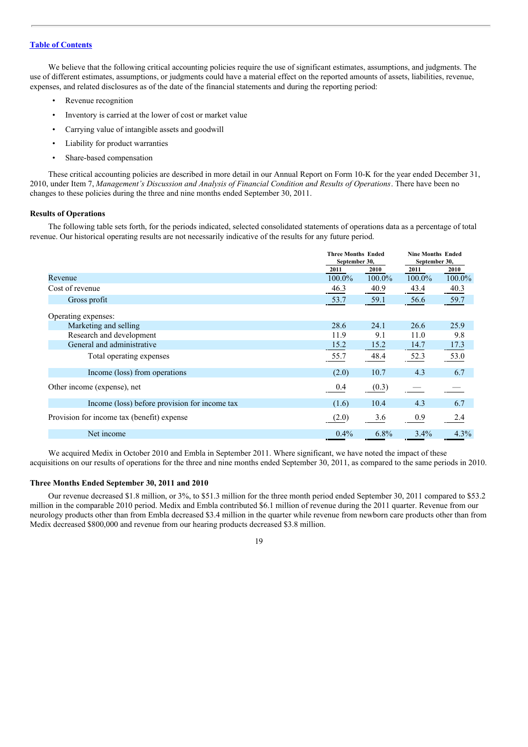We believe that the following critical accounting policies require the use of significant estimates, assumptions, and judgments. The use of different estimates, assumptions, or judgments could have a material effect on the reported amounts of assets, liabilities, revenue, expenses, and related disclosures as of the date of the financial statements and during the reporting period:

- Revenue recognition
- Inventory is carried at the lower of cost or market value
- Carrying value of intangible assets and goodwill
- Liability for product warranties
- Share-based compensation

These critical accounting policies are described in more detail in our Annual Report on Form 10-K for the year ended December 31, 2010, under Item 7, *Management's Discussion and Analysis of Financial Condition and Results of Operations*. There have been no changes to these policies during the three and nine months ended September 30, 2011.

#### **Results of Operations**

The following table sets forth, for the periods indicated, selected consolidated statements of operations data as a percentage of total revenue. Our historical operating results are not necessarily indicative of the results for any future period.

|                                               |         | <b>Three Months Ended</b><br>September 30, |        | <b>Nine Months Ended</b><br>September 30, |  |
|-----------------------------------------------|---------|--------------------------------------------|--------|-------------------------------------------|--|
|                                               | 2011    | 2010                                       | 2011   | 2010                                      |  |
| Revenue                                       | 100.0%  | 100.0%                                     | 100.0% | 100.0%                                    |  |
| Cost of revenue                               | 46.3    | 40.9                                       | 43.4   | 40.3                                      |  |
| Gross profit                                  | 53.7    | 59.1                                       | 56.6   | 59.7                                      |  |
| Operating expenses:                           |         |                                            |        |                                           |  |
| Marketing and selling                         | 28.6    | 24.1                                       | 26.6   | 25.9                                      |  |
| Research and development                      | 11.9    | 9.1                                        | 11.0   | 9.8                                       |  |
| General and administrative                    | 15.2    | 15.2                                       | 14.7   | 17.3                                      |  |
| Total operating expenses                      | 55.7    | 48.4                                       | 52.3   | 53.0                                      |  |
| Income (loss) from operations                 | (2.0)   | 10.7                                       | 4.3    | 6.7                                       |  |
| Other income (expense), net                   | 0.4     | (0.3)                                      |        |                                           |  |
| Income (loss) before provision for income tax | (1.6)   | 10.4                                       | 4.3    | 6.7                                       |  |
| Provision for income tax (benefit) expense    | (2.0)   | 3.6                                        | 0.9    | 2.4                                       |  |
| Net income                                    | $0.4\%$ | $6.8\%$                                    | 3.4%   | $4.3\%$                                   |  |

We acquired Medix in October 2010 and Embla in September 2011. Where significant, we have noted the impact of these acquisitions on our results of operations for the three and nine months ended September 30, 2011, as compared to the same periods in 2010.

#### **Three Months Ended September 30, 2011 and 2010**

Our revenue decreased \$1.8 million, or 3%, to \$51.3 million for the three month period ended September 30, 2011 compared to \$53.2 million in the comparable 2010 period. Medix and Embla contributed \$6.1 million of revenue during the 2011 quarter. Revenue from our neurology products other than from Embla decreased \$3.4 million in the quarter while revenue from newborn care products other than from Medix decreased \$800,000 and revenue from our hearing products decreased \$3.8 million.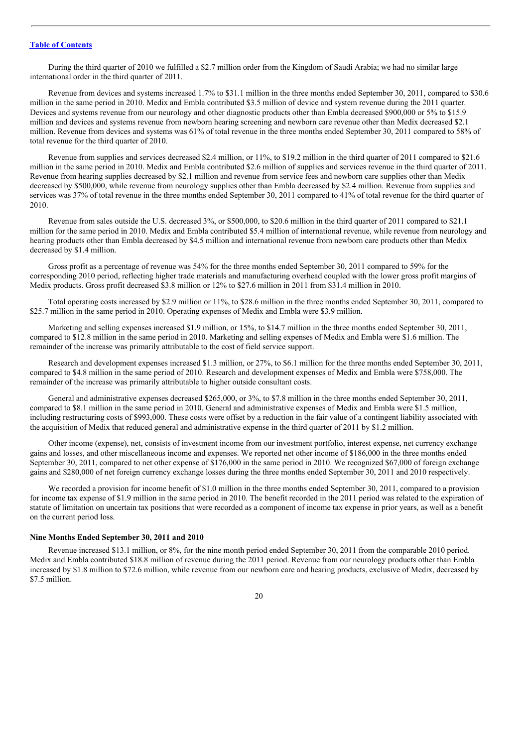During the third quarter of 2010 we fulfilled a \$2.7 million order from the Kingdom of Saudi Arabia; we had no similar large international order in the third quarter of 2011.

Revenue from devices and systems increased 1.7% to \$31.1 million in the three months ended September 30, 2011, compared to \$30.6 million in the same period in 2010. Medix and Embla contributed \$3.5 million of device and system revenue during the 2011 quarter. Devices and systems revenue from our neurology and other diagnostic products other than Embla decreased \$900,000 or 5% to \$15.9 million and devices and systems revenue from newborn hearing screening and newborn care revenue other than Medix decreased \$2.1 million. Revenue from devices and systems was 61% of total revenue in the three months ended September 30, 2011 compared to 58% of total revenue for the third quarter of 2010.

Revenue from supplies and services decreased \$2.4 million, or 11%, to \$19.2 million in the third quarter of 2011 compared to \$21.6 million in the same period in 2010. Medix and Embla contributed \$2.6 million of supplies and services revenue in the third quarter of 2011. Revenue from hearing supplies decreased by \$2.1 million and revenue from service fees and newborn care supplies other than Medix decreased by \$500,000, while revenue from neurology supplies other than Embla decreased by \$2.4 million. Revenue from supplies and services was 37% of total revenue in the three months ended September 30, 2011 compared to 41% of total revenue for the third quarter of 2010.

Revenue from sales outside the U.S. decreased 3%, or \$500,000, to \$20.6 million in the third quarter of 2011 compared to \$21.1 million for the same period in 2010. Medix and Embla contributed \$5.4 million of international revenue, while revenue from neurology and hearing products other than Embla decreased by \$4.5 million and international revenue from newborn care products other than Medix decreased by \$1.4 million.

Gross profit as a percentage of revenue was 54% for the three months ended September 30, 2011 compared to 59% for the corresponding 2010 period, reflecting higher trade materials and manufacturing overhead coupled with the lower gross profit margins of Medix products. Gross profit decreased \$3.8 million or 12% to \$27.6 million in 2011 from \$31.4 million in 2010.

Total operating costs increased by \$2.9 million or 11%, to \$28.6 million in the three months ended September 30, 2011, compared to \$25.7 million in the same period in 2010. Operating expenses of Medix and Embla were \$3.9 million.

Marketing and selling expenses increased \$1.9 million, or 15%, to \$14.7 million in the three months ended September 30, 2011, compared to \$12.8 million in the same period in 2010. Marketing and selling expenses of Medix and Embla were \$1.6 million. The remainder of the increase was primarily attributable to the cost of field service support.

Research and development expenses increased \$1.3 million, or 27%, to \$6.1 million for the three months ended September 30, 2011, compared to \$4.8 million in the same period of 2010. Research and development expenses of Medix and Embla were \$758,000. The remainder of the increase was primarily attributable to higher outside consultant costs.

General and administrative expenses decreased \$265,000, or 3%, to \$7.8 million in the three months ended September 30, 2011, compared to \$8.1 million in the same period in 2010. General and administrative expenses of Medix and Embla were \$1.5 million, including restructuring costs of \$993,000. These costs were offset by a reduction in the fair value of a contingent liability associated with the acquisition of Medix that reduced general and administrative expense in the third quarter of 2011 by \$1.2 million.

Other income (expense), net, consists of investment income from our investment portfolio, interest expense, net currency exchange gains and losses, and other miscellaneous income and expenses. We reported net other income of \$186,000 in the three months ended September 30, 2011, compared to net other expense of \$176,000 in the same period in 2010. We recognized \$67,000 of foreign exchange gains and \$280,000 of net foreign currency exchange losses during the three months ended September 30, 2011 and 2010 respectively.

We recorded a provision for income benefit of \$1.0 million in the three months ended September 30, 2011, compared to a provision for income tax expense of \$1.9 million in the same period in 2010. The benefit recorded in the 2011 period was related to the expiration of statute of limitation on uncertain tax positions that were recorded as a component of income tax expense in prior years, as well as a benefit on the current period loss.

#### **Nine Months Ended September 30, 2011 and 2010**

Revenue increased \$13.1 million, or 8%, for the nine month period ended September 30, 2011 from the comparable 2010 period. Medix and Embla contributed \$18.8 million of revenue during the 2011 period. Revenue from our neurology products other than Embla increased by \$1.8 million to \$72.6 million, while revenue from our newborn care and hearing products, exclusive of Medix, decreased by \$7.5 million.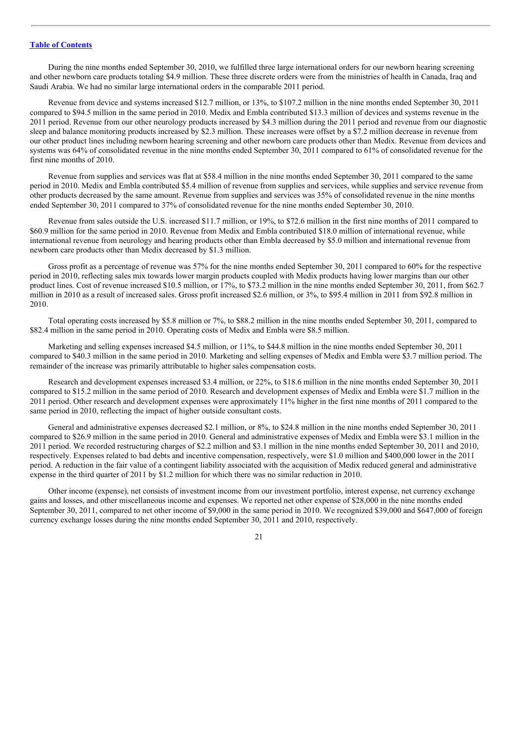During the nine months ended September 30, 2010, we fulfilled three large international orders for our newborn hearing screening and other newborn care products totaling \$4.9 million. These three discrete orders were from the ministries of health in Canada, Iraq and Saudi Arabia. We had no similar large international orders in the comparable 2011 period.

Revenue from device and systems increased \$12.7 million, or 13%, to \$107.2 million in the nine months ended September 30, 2011 compared to \$94.5 million in the same period in 2010. Medix and Embla contributed \$13.3 million of devices and systems revenue in the 2011 period. Revenue from our other neurology products increased by \$4.3 million during the 2011 period and revenue from our diagnostic sleep and balance monitoring products increased by \$2.3 million. These increases were offset by a \$7.2 million decrease in revenue from our other product lines including newborn hearing screening and other newborn care products other than Medix. Revenue from devices and systems was 64% of consolidated revenue in the nine months ended September 30, 2011 compared to 61% of consolidated revenue for the first nine months of 2010.

Revenue from supplies and services was flat at \$58.4 million in the nine months ended September 30, 2011 compared to the same period in 2010. Medix and Embla contributed \$5.4 million of revenue from supplies and services, while supplies and service revenue from other products decreased by the same amount. Revenue from supplies and services was 35% of consolidated revenue in the nine months ended September 30, 2011 compared to 37% of consolidated revenue for the nine months ended September 30, 2010.

Revenue from sales outside the U.S. increased \$11.7 million, or 19%, to \$72.6 million in the first nine months of 2011 compared to \$60.9 million for the same period in 2010. Revenue from Medix and Embla contributed \$18.0 million of international revenue, while international revenue from neurology and hearing products other than Embla decreased by \$5.0 million and international revenue from newborn care products other than Medix decreased by \$1.3 million.

Gross profit as a percentage of revenue was 57% for the nine months ended September 30, 2011 compared to 60% for the respective period in 2010, reflecting sales mix towards lower margin products coupled with Medix products having lower margins than our other product lines. Cost of revenue increased \$10.5 million, or 17%, to \$73.2 million in the nine months ended September 30, 2011, from \$62.7 million in 2010 as a result of increased sales. Gross profit increased \$2.6 million, or 3%, to \$95.4 million in 2011 from \$92.8 million in 2010.

Total operating costs increased by \$5.8 million or 7%, to \$88.2 million in the nine months ended September 30, 2011, compared to \$82.4 million in the same period in 2010. Operating costs of Medix and Embla were \$8.5 million.

Marketing and selling expenses increased \$4.5 million, or 11%, to \$44.8 million in the nine months ended September 30, 2011 compared to \$40.3 million in the same period in 2010. Marketing and selling expenses of Medix and Embla were \$3.7 million period. The remainder of the increase was primarily attributable to higher sales compensation costs.

Research and development expenses increased \$3.4 million, or 22%, to \$18.6 million in the nine months ended September 30, 2011 compared to \$15.2 million in the same period of 2010. Research and development expenses of Medix and Embla were \$1.7 million in the 2011 period. Other research and development expenses were approximately 11% higher in the first nine months of 2011 compared to the same period in 2010, reflecting the impact of higher outside consultant costs.

General and administrative expenses decreased \$2.1 million, or 8%, to \$24.8 million in the nine months ended September 30, 2011 compared to \$26.9 million in the same period in 2010. General and administrative expenses of Medix and Embla were \$3.1 million in the 2011 period. We recorded restructuring charges of \$2.2 million and \$3.1 million in the nine months ended September 30, 2011 and 2010, respectively. Expenses related to bad debts and incentive compensation, respectively, were \$1.0 million and \$400,000 lower in the 2011 period. A reduction in the fair value of a contingent liability associated with the acquisition of Medix reduced general and administrative expense in the third quarter of 2011 by \$1.2 million for which there was no similar reduction in 2010.

Other income (expense), net consists of investment income from our investment portfolio, interest expense, net currency exchange gains and losses, and other miscellaneous income and expenses. We reported net other expense of \$28,000 in the nine months ended September 30, 2011, compared to net other income of \$9,000 in the same period in 2010. We recognized \$39,000 and \$647,000 of foreign currency exchange losses during the nine months ended September 30, 2011 and 2010, respectively.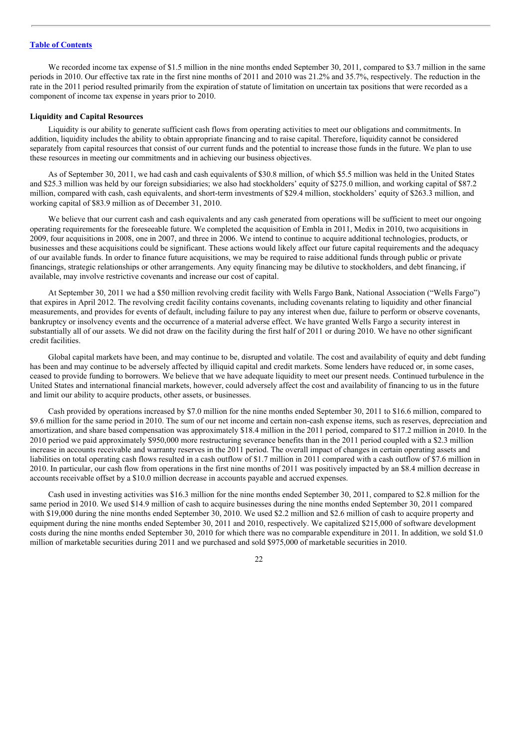We recorded income tax expense of \$1.5 million in the nine months ended September 30, 2011, compared to \$3.7 million in the same periods in 2010. Our effective tax rate in the first nine months of 2011 and 2010 was 21.2% and 35.7%, respectively. The reduction in the rate in the 2011 period resulted primarily from the expiration of statute of limitation on uncertain tax positions that were recorded as a component of income tax expense in years prior to 2010.

#### **Liquidity and Capital Resources**

Liquidity is our ability to generate sufficient cash flows from operating activities to meet our obligations and commitments. In addition, liquidity includes the ability to obtain appropriate financing and to raise capital. Therefore, liquidity cannot be considered separately from capital resources that consist of our current funds and the potential to increase those funds in the future. We plan to use these resources in meeting our commitments and in achieving our business objectives.

As of September 30, 2011, we had cash and cash equivalents of \$30.8 million, of which \$5.5 million was held in the United States and \$25.3 million was held by our foreign subsidiaries; we also had stockholders' equity of \$275.0 million, and working capital of \$87.2 million, compared with cash, cash equivalents, and short-term investments of \$29.4 million, stockholders' equity of \$263.3 million, and working capital of \$83.9 million as of December 31, 2010.

We believe that our current cash and cash equivalents and any cash generated from operations will be sufficient to meet our ongoing operating requirements for the foreseeable future. We completed the acquisition of Embla in 2011, Medix in 2010, two acquisitions in 2009, four acquisitions in 2008, one in 2007, and three in 2006. We intend to continue to acquire additional technologies, products, or businesses and these acquisitions could be significant. These actions would likely affect our future capital requirements and the adequacy of our available funds. In order to finance future acquisitions, we may be required to raise additional funds through public or private financings, strategic relationships or other arrangements. Any equity financing may be dilutive to stockholders, and debt financing, if available, may involve restrictive covenants and increase our cost of capital.

At September 30, 2011 we had a \$50 million revolving credit facility with Wells Fargo Bank, National Association ("Wells Fargo") that expires in April 2012. The revolving credit facility contains covenants, including covenants relating to liquidity and other financial measurements, and provides for events of default, including failure to pay any interest when due, failure to perform or observe covenants, bankruptcy or insolvency events and the occurrence of a material adverse effect. We have granted Wells Fargo a security interest in substantially all of our assets. We did not draw on the facility during the first half of 2011 or during 2010. We have no other significant credit facilities.

Global capital markets have been, and may continue to be, disrupted and volatile. The cost and availability of equity and debt funding has been and may continue to be adversely affected by illiquid capital and credit markets. Some lenders have reduced or, in some cases, ceased to provide funding to borrowers. We believe that we have adequate liquidity to meet our present needs. Continued turbulence in the United States and international financial markets, however, could adversely affect the cost and availability of financing to us in the future and limit our ability to acquire products, other assets, or businesses.

Cash provided by operations increased by \$7.0 million for the nine months ended September 30, 2011 to \$16.6 million, compared to \$9.6 million for the same period in 2010. The sum of our net income and certain non-cash expense items, such as reserves, depreciation and amortization, and share based compensation was approximately \$18.4 million in the 2011 period, compared to \$17.2 million in 2010. In the 2010 period we paid approximately \$950,000 more restructuring severance benefits than in the 2011 period coupled with a \$2.3 million increase in accounts receivable and warranty reserves in the 2011 period. The overall impact of changes in certain operating assets and liabilities on total operating cash flows resulted in a cash outflow of \$1.7 million in 2011 compared with a cash outflow of \$7.6 million in 2010. In particular, our cash flow from operations in the first nine months of 2011 was positively impacted by an \$8.4 million decrease in accounts receivable offset by a \$10.0 million decrease in accounts payable and accrued expenses.

Cash used in investing activities was \$16.3 million for the nine months ended September 30, 2011, compared to \$2.8 million for the same period in 2010. We used \$14.9 million of cash to acquire businesses during the nine months ended September 30, 2011 compared with \$19,000 during the nine months ended September 30, 2010. We used \$2.2 million and \$2.6 million of cash to acquire property and equipment during the nine months ended September 30, 2011 and 2010, respectively. We capitalized \$215,000 of software development costs during the nine months ended September 30, 2010 for which there was no comparable expenditure in 2011. In addition, we sold \$1.0 million of marketable securities during 2011 and we purchased and sold \$975,000 of marketable securities in 2010.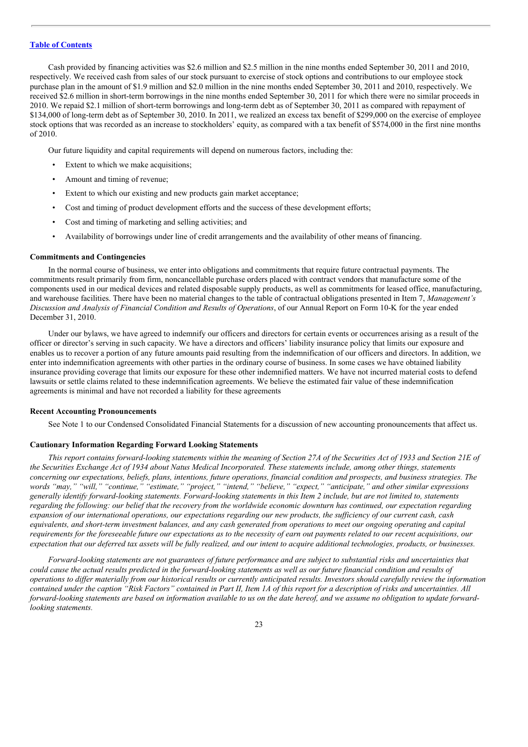Cash provided by financing activities was \$2.6 million and \$2.5 million in the nine months ended September 30, 2011 and 2010, respectively. We received cash from sales of our stock pursuant to exercise of stock options and contributions to our employee stock purchase plan in the amount of \$1.9 million and \$2.0 million in the nine months ended September 30, 2011 and 2010, respectively. We received \$2.6 million in short-term borrowings in the nine months ended September 30, 2011 for which there were no similar proceeds in 2010. We repaid \$2.1 million of short-term borrowings and long-term debt as of September 30, 2011 as compared with repayment of \$134,000 of long-term debt as of September 30, 2010. In 2011, we realized an excess tax benefit of \$299,000 on the exercise of employee stock options that was recorded as an increase to stockholders' equity, as compared with a tax benefit of \$574,000 in the first nine months of 2010.

Our future liquidity and capital requirements will depend on numerous factors, including the:

- Extent to which we make acquisitions;
- Amount and timing of revenue;
- Extent to which our existing and new products gain market acceptance;
- Cost and timing of product development efforts and the success of these development efforts;
- Cost and timing of marketing and selling activities; and
- Availability of borrowings under line of credit arrangements and the availability of other means of financing.

#### **Commitments and Contingencies**

In the normal course of business, we enter into obligations and commitments that require future contractual payments. The commitments result primarily from firm, noncancellable purchase orders placed with contract vendors that manufacture some of the components used in our medical devices and related disposable supply products, as well as commitments for leased office, manufacturing, and warehouse facilities. There have been no material changes to the table of contractual obligations presented in Item 7, *Management's Discussion and Analysis of Financial Condition and Results of Operations*, of our Annual Report on Form 10-K for the year ended December 31, 2010.

Under our bylaws, we have agreed to indemnify our officers and directors for certain events or occurrences arising as a result of the officer or director's serving in such capacity. We have a directors and officers' liability insurance policy that limits our exposure and enables us to recover a portion of any future amounts paid resulting from the indemnification of our officers and directors. In addition, we enter into indemnification agreements with other parties in the ordinary course of business. In some cases we have obtained liability insurance providing coverage that limits our exposure for these other indemnified matters. We have not incurred material costs to defend lawsuits or settle claims related to these indemnification agreements. We believe the estimated fair value of these indemnification agreements is minimal and have not recorded a liability for these agreements

#### **Recent Accounting Pronouncements**

See Note 1 to our Condensed Consolidated Financial Statements for a discussion of new accounting pronouncements that affect us.

#### **Cautionary Information Regarding Forward Looking Statements**

This report contains forward-looking statements within the meaning of Section 27A of the Securities Act of 1933 and Section 21E of the Securities Exchange Act of 1934 about Natus Medical Incorporated. These statements include, among other things, statements concerning our expectations, beliefs, plans, intentions, future operations, financial condition and prospects, and business strategies. The words "may," "will," "continue," "estimate," "project," "intend," "believe," "expect," "anticipate," and other similar expressions generally identify forward-looking statements. Forward-looking statements in this Item 2 include, but are not limited to, statements regarding the following: our belief that the recovery from the worldwide economic downturn has continued, our expectation regarding expansion of our international operations, our expectations regarding our new products, the sufficiency of our current cash, cash equivalents, and short-term investment balances, and any cash generated from operations to meet our ongoing operating and capital requirements for the foreseeable future our expectations as to the necessity of earn out payments related to our recent acquisitions, our expectation that our deferred tax assets will be fully realized, and our intent to acquire additional technologies, products, or businesses.

Forward-looking statements are not guarantees of future performance and are subject to substantial risks and uncertainties that could cause the actual results predicted in the forward-looking statements as well as our future financial condition and results of operations to differ materially from our historical results or currently anticipated results. Investors should carefully review the information contained under the caption "Risk Factors" contained in Part II, Item 1A of this report for a description of risks and uncertainties. All forward-looking statements are based on information available to us on the date hereof, and we assume no obligation to update forward*looking statements.*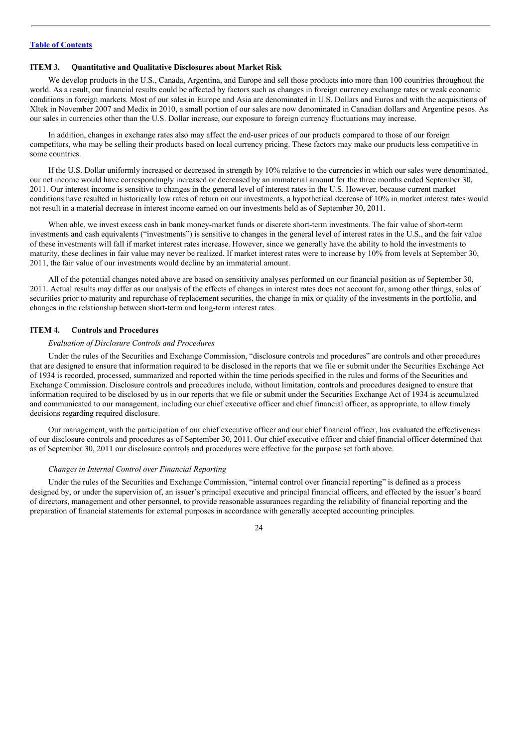### **ITEM 3. Quantitative and Qualitative Disclosures about Market Risk**

We develop products in the U.S., Canada, Argentina, and Europe and sell those products into more than 100 countries throughout the world. As a result, our financial results could be affected by factors such as changes in foreign currency exchange rates or weak economic conditions in foreign markets. Most of our sales in Europe and Asia are denominated in U.S. Dollars and Euros and with the acquisitions of Xltek in November 2007 and Medix in 2010, a small portion of our sales are now denominated in Canadian dollars and Argentine pesos. As our sales in currencies other than the U.S. Dollar increase, our exposure to foreign currency fluctuations may increase.

In addition, changes in exchange rates also may affect the end-user prices of our products compared to those of our foreign competitors, who may be selling their products based on local currency pricing. These factors may make our products less competitive in some countries.

If the U.S. Dollar uniformly increased or decreased in strength by 10% relative to the currencies in which our sales were denominated, our net income would have correspondingly increased or decreased by an immaterial amount for the three months ended September 30, 2011. Our interest income is sensitive to changes in the general level of interest rates in the U.S. However, because current market conditions have resulted in historically low rates of return on our investments, a hypothetical decrease of 10% in market interest rates would not result in a material decrease in interest income earned on our investments held as of September 30, 2011.

When able, we invest excess cash in bank money-market funds or discrete short-term investments. The fair value of short-term investments and cash equivalents ("investments") is sensitive to changes in the general level of interest rates in the U.S., and the fair value of these investments will fall if market interest rates increase. However, since we generally have the ability to hold the investments to maturity, these declines in fair value may never be realized. If market interest rates were to increase by 10% from levels at September 30, 2011, the fair value of our investments would decline by an immaterial amount.

All of the potential changes noted above are based on sensitivity analyses performed on our financial position as of September 30, 2011. Actual results may differ as our analysis of the effects of changes in interest rates does not account for, among other things, sales of securities prior to maturity and repurchase of replacement securities, the change in mix or quality of the investments in the portfolio, and changes in the relationship between short-term and long-term interest rates.

#### **ITEM 4. Controls and Procedures**

### *Evaluation of Disclosure Controls and Procedures*

Under the rules of the Securities and Exchange Commission, "disclosure controls and procedures" are controls and other procedures that are designed to ensure that information required to be disclosed in the reports that we file or submit under the Securities Exchange Act of 1934 is recorded, processed, summarized and reported within the time periods specified in the rules and forms of the Securities and Exchange Commission. Disclosure controls and procedures include, without limitation, controls and procedures designed to ensure that information required to be disclosed by us in our reports that we file or submit under the Securities Exchange Act of 1934 is accumulated and communicated to our management, including our chief executive officer and chief financial officer, as appropriate, to allow timely decisions regarding required disclosure.

Our management, with the participation of our chief executive officer and our chief financial officer, has evaluated the effectiveness of our disclosure controls and procedures as of September 30, 2011. Our chief executive officer and chief financial officer determined that as of September 30, 2011 our disclosure controls and procedures were effective for the purpose set forth above.

### *Changes in Internal Control over Financial Reporting*

Under the rules of the Securities and Exchange Commission, "internal control over financial reporting" is defined as a process designed by, or under the supervision of, an issuer's principal executive and principal financial officers, and effected by the issuer's board of directors, management and other personnel, to provide reasonable assurances regarding the reliability of financial reporting and the preparation of financial statements for external purposes in accordance with generally accepted accounting principles.

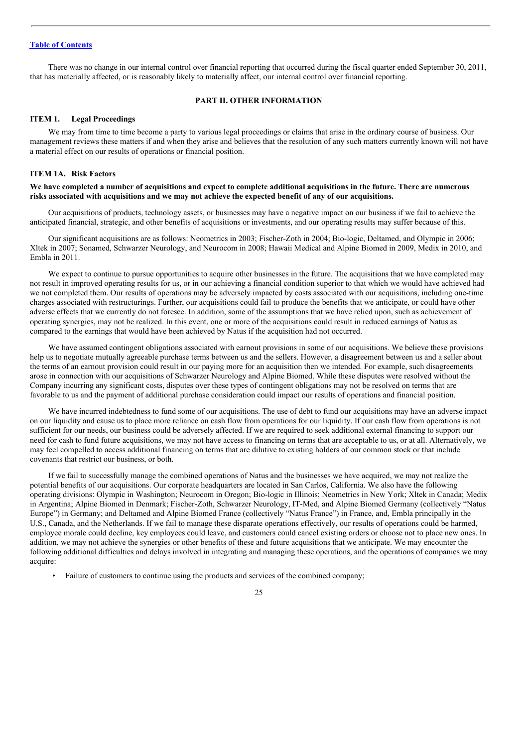There was no change in our internal control over financial reporting that occurred during the fiscal quarter ended September 30, 2011, that has materially affected, or is reasonably likely to materially affect, our internal control over financial reporting.

### **PART II. OTHER INFORMATION**

#### **ITEM 1. Legal Proceedings**

We may from time to time become a party to various legal proceedings or claims that arise in the ordinary course of business. Our management reviews these matters if and when they arise and believes that the resolution of any such matters currently known will not have a material effect on our results of operations or financial position.

#### **ITEM 1A. Risk Factors**

#### We have completed a number of acquisitions and expect to complete additional acquisitions in the future. There are numerous risks associated with acquisitions and we may not achieve the expected benefit of any of our acquisitions.

Our acquisitions of products, technology assets, or businesses may have a negative impact on our business if we fail to achieve the anticipated financial, strategic, and other benefits of acquisitions or investments, and our operating results may suffer because of this.

Our significant acquisitions are as follows: Neometrics in 2003; Fischer-Zoth in 2004; Bio-logic, Deltamed, and Olympic in 2006; Xltek in 2007; Sonamed, Schwarzer Neurology, and Neurocom in 2008; Hawaii Medical and Alpine Biomed in 2009, Medix in 2010, and Embla in 2011.

We expect to continue to pursue opportunities to acquire other businesses in the future. The acquisitions that we have completed may not result in improved operating results for us, or in our achieving a financial condition superior to that which we would have achieved had we not completed them. Our results of operations may be adversely impacted by costs associated with our acquisitions, including one-time charges associated with restructurings. Further, our acquisitions could fail to produce the benefits that we anticipate, or could have other adverse effects that we currently do not foresee. In addition, some of the assumptions that we have relied upon, such as achievement of operating synergies, may not be realized. In this event, one or more of the acquisitions could result in reduced earnings of Natus as compared to the earnings that would have been achieved by Natus if the acquisition had not occurred.

We have assumed contingent obligations associated with earnout provisions in some of our acquisitions. We believe these provisions help us to negotiate mutually agreeable purchase terms between us and the sellers. However, a disagreement between us and a seller about the terms of an earnout provision could result in our paying more for an acquisition then we intended. For example, such disagreements arose in connection with our acquisitions of Schwarzer Neurology and Alpine Biomed. While these disputes were resolved without the Company incurring any significant costs, disputes over these types of contingent obligations may not be resolved on terms that are favorable to us and the payment of additional purchase consideration could impact our results of operations and financial position.

We have incurred indebtedness to fund some of our acquisitions. The use of debt to fund our acquisitions may have an adverse impact on our liquidity and cause us to place more reliance on cash flow from operations for our liquidity. If our cash flow from operations is not sufficient for our needs, our business could be adversely affected. If we are required to seek additional external financing to support our need for cash to fund future acquisitions, we may not have access to financing on terms that are acceptable to us, or at all. Alternatively, we may feel compelled to access additional financing on terms that are dilutive to existing holders of our common stock or that include covenants that restrict our business, or both.

If we fail to successfully manage the combined operations of Natus and the businesses we have acquired, we may not realize the potential benefits of our acquisitions. Our corporate headquarters are located in San Carlos, California. We also have the following operating divisions: Olympic in Washington; Neurocom in Oregon; Bio-logic in Illinois; Neometrics in New York; Xltek in Canada; Medix in Argentina; Alpine Biomed in Denmark; Fischer-Zoth, Schwarzer Neurology, IT-Med, and Alpine Biomed Germany (collectively "Natus Europe") in Germany; and Deltamed and Alpine Biomed France (collectively "Natus France") in France, and, Embla principally in the U.S., Canada, and the Netherlands. If we fail to manage these disparate operations effectively, our results of operations could be harmed, employee morale could decline, key employees could leave, and customers could cancel existing orders or choose not to place new ones. In addition, we may not achieve the synergies or other benefits of these and future acquisitions that we anticipate. We may encounter the following additional difficulties and delays involved in integrating and managing these operations, and the operations of companies we may acquire:

• Failure of customers to continue using the products and services of the combined company;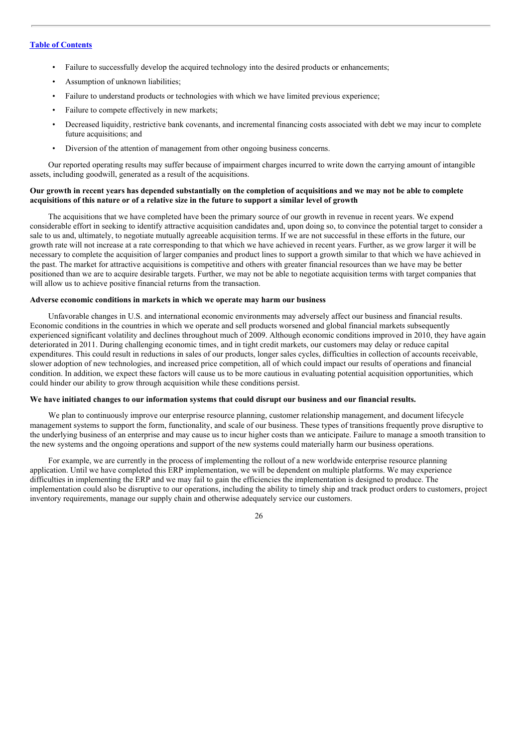- Failure to successfully develop the acquired technology into the desired products or enhancements;
- Assumption of unknown liabilities;
- Failure to understand products or technologies with which we have limited previous experience;
- Failure to compete effectively in new markets;
- Decreased liquidity, restrictive bank covenants, and incremental financing costs associated with debt we may incur to complete future acquisitions; and
- Diversion of the attention of management from other ongoing business concerns.

Our reported operating results may suffer because of impairment charges incurred to write down the carrying amount of intangible assets, including goodwill, generated as a result of the acquisitions.

### Our growth in recent years has depended substantially on the completion of acquisitions and we may not be able to complete acquisitions of this nature or of a relative size in the future to support a similar level of growth

The acquisitions that we have completed have been the primary source of our growth in revenue in recent years. We expend considerable effort in seeking to identify attractive acquisition candidates and, upon doing so, to convince the potential target to consider a sale to us and, ultimately, to negotiate mutually agreeable acquisition terms. If we are not successful in these efforts in the future, our growth rate will not increase at a rate corresponding to that which we have achieved in recent years. Further, as we grow larger it will be necessary to complete the acquisition of larger companies and product lines to support a growth similar to that which we have achieved in the past. The market for attractive acquisitions is competitive and others with greater financial resources than we have may be better positioned than we are to acquire desirable targets. Further, we may not be able to negotiate acquisition terms with target companies that will allow us to achieve positive financial returns from the transaction.

#### **Adverse economic conditions in markets in which we operate may harm our business**

Unfavorable changes in U.S. and international economic environments may adversely affect our business and financial results. Economic conditions in the countries in which we operate and sell products worsened and global financial markets subsequently experienced significant volatility and declines throughout much of 2009. Although economic conditions improved in 2010, they have again deteriorated in 2011. During challenging economic times, and in tight credit markets, our customers may delay or reduce capital expenditures. This could result in reductions in sales of our products, longer sales cycles, difficulties in collection of accounts receivable, slower adoption of new technologies, and increased price competition, all of which could impact our results of operations and financial condition. In addition, we expect these factors will cause us to be more cautious in evaluating potential acquisition opportunities, which could hinder our ability to grow through acquisition while these conditions persist.

#### We have initiated changes to our information systems that could disrupt our business and our financial results.

We plan to continuously improve our enterprise resource planning, customer relationship management, and document lifecycle management systems to support the form, functionality, and scale of our business. These types of transitions frequently prove disruptive to the underlying business of an enterprise and may cause us to incur higher costs than we anticipate. Failure to manage a smooth transition to the new systems and the ongoing operations and support of the new systems could materially harm our business operations.

For example, we are currently in the process of implementing the rollout of a new worldwide enterprise resource planning application. Until we have completed this ERP implementation, we will be dependent on multiple platforms. We may experience difficulties in implementing the ERP and we may fail to gain the efficiencies the implementation is designed to produce. The implementation could also be disruptive to our operations, including the ability to timely ship and track product orders to customers, project inventory requirements, manage our supply chain and otherwise adequately service our customers.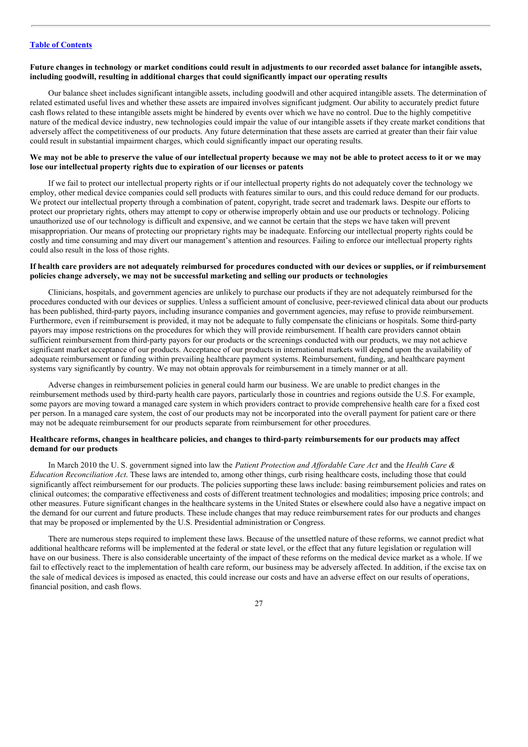### Future changes in technology or market conditions could result in adjustments to our recorded asset balance for intangible assets. **including goodwill, resulting in additional charges that could significantly impact our operating results**

Our balance sheet includes significant intangible assets, including goodwill and other acquired intangible assets. The determination of related estimated useful lives and whether these assets are impaired involves significant judgment. Our ability to accurately predict future cash flows related to these intangible assets might be hindered by events over which we have no control. Due to the highly competitive nature of the medical device industry, new technologies could impair the value of our intangible assets if they create market conditions that adversely affect the competitiveness of our products. Any future determination that these assets are carried at greater than their fair value could result in substantial impairment charges, which could significantly impact our operating results.

#### We may not be able to preserve the value of our intellectual property because we may not be able to protect access to it or we may **lose our intellectual property rights due to expiration of our licenses or patents**

If we fail to protect our intellectual property rights or if our intellectual property rights do not adequately cover the technology we employ, other medical device companies could sell products with features similar to ours, and this could reduce demand for our products. We protect our intellectual property through a combination of patent, copyright, trade secret and trademark laws. Despite our efforts to protect our proprietary rights, others may attempt to copy or otherwise improperly obtain and use our products or technology. Policing unauthorized use of our technology is difficult and expensive, and we cannot be certain that the steps we have taken will prevent misappropriation. Our means of protecting our proprietary rights may be inadequate. Enforcing our intellectual property rights could be costly and time consuming and may divert our management's attention and resources. Failing to enforce our intellectual property rights could also result in the loss of those rights.

### If health care providers are not adequately reimbursed for procedures conducted with our devices or supplies, or if reimbursement **policies change adversely, we may not be successful marketing and selling our products or technologies**

Clinicians, hospitals, and government agencies are unlikely to purchase our products if they are not adequately reimbursed for the procedures conducted with our devices or supplies. Unless a sufficient amount of conclusive, peer-reviewed clinical data about our products has been published, third-party payors, including insurance companies and government agencies, may refuse to provide reimbursement. Furthermore, even if reimbursement is provided, it may not be adequate to fully compensate the clinicians or hospitals. Some third-party payors may impose restrictions on the procedures for which they will provide reimbursement. If health care providers cannot obtain sufficient reimbursement from third-party payors for our products or the screenings conducted with our products, we may not achieve significant market acceptance of our products. Acceptance of our products in international markets will depend upon the availability of adequate reimbursement or funding within prevailing healthcare payment systems. Reimbursement, funding, and healthcare payment systems vary significantly by country. We may not obtain approvals for reimbursement in a timely manner or at all.

Adverse changes in reimbursement policies in general could harm our business. We are unable to predict changes in the reimbursement methods used by third-party health care payors, particularly those in countries and regions outside the U.S. For example, some payors are moving toward a managed care system in which providers contract to provide comprehensive health care for a fixed cost per person. In a managed care system, the cost of our products may not be incorporated into the overall payment for patient care or there may not be adequate reimbursement for our products separate from reimbursement for other procedures.

### Healthcare reforms, changes in healthcare policies, and changes to third-party reimbursements for our products may affect **demand for our products**

In March 2010 the U. S. government signed into law the *Patient Protection and Affordable Care Act* and the *Health Care & Education Reconciliation Act*. These laws are intended to, among other things, curb rising healthcare costs, including those that could significantly affect reimbursement for our products. The policies supporting these laws include: basing reimbursement policies and rates on clinical outcomes; the comparative effectiveness and costs of different treatment technologies and modalities; imposing price controls; and other measures. Future significant changes in the healthcare systems in the United States or elsewhere could also have a negative impact on the demand for our current and future products. These include changes that may reduce reimbursement rates for our products and changes that may be proposed or implemented by the U.S. Presidential administration or Congress.

There are numerous steps required to implement these laws. Because of the unsettled nature of these reforms, we cannot predict what additional healthcare reforms will be implemented at the federal or state level, or the effect that any future legislation or regulation will have on our business. There is also considerable uncertainty of the impact of these reforms on the medical device market as a whole. If we fail to effectively react to the implementation of health care reform, our business may be adversely affected. In addition, if the excise tax on the sale of medical devices is imposed as enacted, this could increase our costs and have an adverse effect on our results of operations, financial position, and cash flows.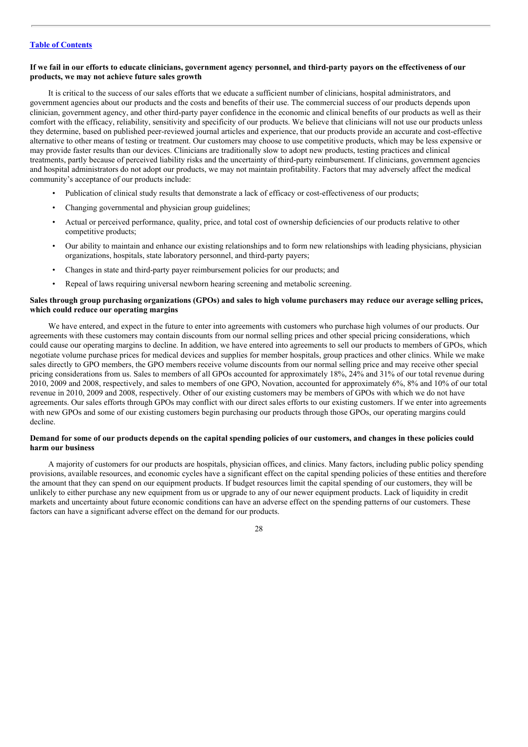### If we fail in our efforts to educate clinicians, government agency personnel, and third-party payors on the effectiveness of our **products, we may not achieve future sales growth**

It is critical to the success of our sales efforts that we educate a sufficient number of clinicians, hospital administrators, and government agencies about our products and the costs and benefits of their use. The commercial success of our products depends upon clinician, government agency, and other third-party payer confidence in the economic and clinical benefits of our products as well as their comfort with the efficacy, reliability, sensitivity and specificity of our products. We believe that clinicians will not use our products unless they determine, based on published peer-reviewed journal articles and experience, that our products provide an accurate and cost-effective alternative to other means of testing or treatment. Our customers may choose to use competitive products, which may be less expensive or may provide faster results than our devices. Clinicians are traditionally slow to adopt new products, testing practices and clinical treatments, partly because of perceived liability risks and the uncertainty of third-party reimbursement. If clinicians, government agencies and hospital administrators do not adopt our products, we may not maintain profitability. Factors that may adversely affect the medical community's acceptance of our products include:

- Publication of clinical study results that demonstrate a lack of efficacy or cost-effectiveness of our products;
- Changing governmental and physician group guidelines;
- Actual or perceived performance, quality, price, and total cost of ownership deficiencies of our products relative to other competitive products;
- Our ability to maintain and enhance our existing relationships and to form new relationships with leading physicians, physician organizations, hospitals, state laboratory personnel, and third-party payers;
- Changes in state and third-party payer reimbursement policies for our products; and
- Repeal of laws requiring universal newborn hearing screening and metabolic screening.

### Sales through group purchasing organizations (GPOs) and sales to high volume purchasers may reduce our average selling prices, **which could reduce our operating margins**

We have entered, and expect in the future to enter into agreements with customers who purchase high volumes of our products. Our agreements with these customers may contain discounts from our normal selling prices and other special pricing considerations, which could cause our operating margins to decline. In addition, we have entered into agreements to sell our products to members of GPOs, which negotiate volume purchase prices for medical devices and supplies for member hospitals, group practices and other clinics. While we make sales directly to GPO members, the GPO members receive volume discounts from our normal selling price and may receive other special pricing considerations from us. Sales to members of all GPOs accounted for approximately 18%, 24% and 31% of our total revenue during 2010, 2009 and 2008, respectively, and sales to members of one GPO, Novation, accounted for approximately 6%, 8% and 10% of our total revenue in 2010, 2009 and 2008, respectively. Other of our existing customers may be members of GPOs with which we do not have agreements. Our sales efforts through GPOs may conflict with our direct sales efforts to our existing customers. If we enter into agreements with new GPOs and some of our existing customers begin purchasing our products through those GPOs, our operating margins could decline.

### Demand for some of our products depends on the capital spending policies of our customers, and changes in these policies could **harm our business**

A majority of customers for our products are hospitals, physician offices, and clinics. Many factors, including public policy spending provisions, available resources, and economic cycles have a significant effect on the capital spending policies of these entities and therefore the amount that they can spend on our equipment products. If budget resources limit the capital spending of our customers, they will be unlikely to either purchase any new equipment from us or upgrade to any of our newer equipment products. Lack of liquidity in credit markets and uncertainty about future economic conditions can have an adverse effect on the spending patterns of our customers. These factors can have a significant adverse effect on the demand for our products.

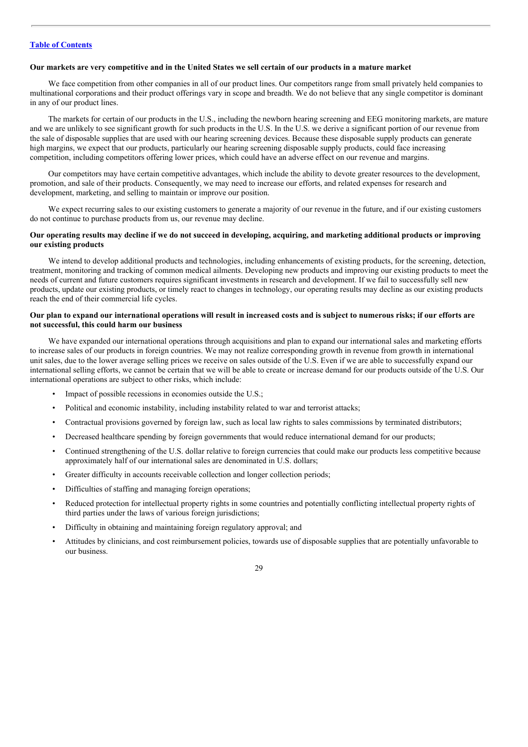### Our markets are very competitive and in the United States we sell certain of our products in a mature market

We face competition from other companies in all of our product lines. Our competitors range from small privately held companies to multinational corporations and their product offerings vary in scope and breadth. We do not believe that any single competitor is dominant in any of our product lines.

The markets for certain of our products in the U.S., including the newborn hearing screening and EEG monitoring markets, are mature and we are unlikely to see significant growth for such products in the U.S. In the U.S. we derive a significant portion of our revenue from the sale of disposable supplies that are used with our hearing screening devices. Because these disposable supply products can generate high margins, we expect that our products, particularly our hearing screening disposable supply products, could face increasing competition, including competitors offering lower prices, which could have an adverse effect on our revenue and margins.

Our competitors may have certain competitive advantages, which include the ability to devote greater resources to the development, promotion, and sale of their products. Consequently, we may need to increase our efforts, and related expenses for research and development, marketing, and selling to maintain or improve our position.

We expect recurring sales to our existing customers to generate a majority of our revenue in the future, and if our existing customers do not continue to purchase products from us, our revenue may decline.

### Our operating results may decline if we do not succeed in developing, acquiring, and marketing additional products or improving **our existing products**

We intend to develop additional products and technologies, including enhancements of existing products, for the screening, detection, treatment, monitoring and tracking of common medical ailments. Developing new products and improving our existing products to meet the needs of current and future customers requires significant investments in research and development. If we fail to successfully sell new products, update our existing products, or timely react to changes in technology, our operating results may decline as our existing products reach the end of their commercial life cycles.

### Our plan to expand our international operations will result in increased costs and is subject to numerous risks; if our efforts are **not successful, this could harm our business**

We have expanded our international operations through acquisitions and plan to expand our international sales and marketing efforts to increase sales of our products in foreign countries. We may not realize corresponding growth in revenue from growth in international unit sales, due to the lower average selling prices we receive on sales outside of the U.S. Even if we are able to successfully expand our international selling efforts, we cannot be certain that we will be able to create or increase demand for our products outside of the U.S. Our international operations are subject to other risks, which include:

- Impact of possible recessions in economies outside the U.S.;
- Political and economic instability, including instability related to war and terrorist attacks;
- Contractual provisions governed by foreign law, such as local law rights to sales commissions by terminated distributors;
- Decreased healthcare spending by foreign governments that would reduce international demand for our products;
- Continued strengthening of the U.S. dollar relative to foreign currencies that could make our products less competitive because approximately half of our international sales are denominated in U.S. dollars;
- Greater difficulty in accounts receivable collection and longer collection periods;
- Difficulties of staffing and managing foreign operations;
- Reduced protection for intellectual property rights in some countries and potentially conflicting intellectual property rights of third parties under the laws of various foreign jurisdictions;
- Difficulty in obtaining and maintaining foreign regulatory approval; and
- Attitudes by clinicians, and cost reimbursement policies, towards use of disposable supplies that are potentially unfavorable to our business.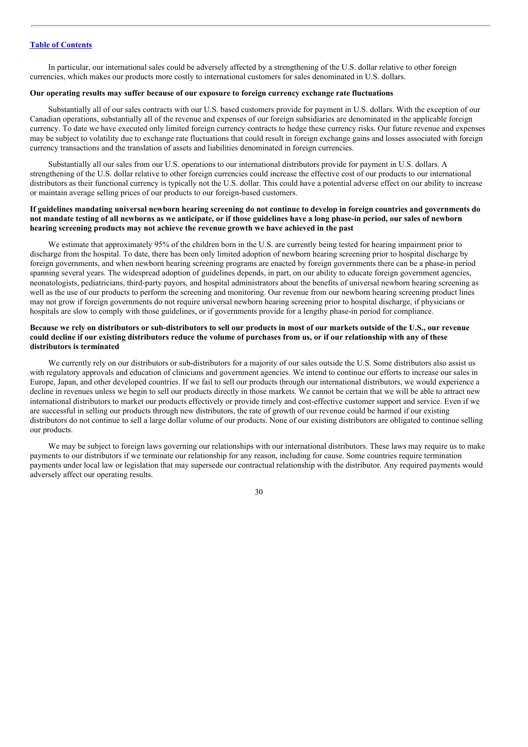In particular, our international sales could be adversely affected by a strengthening of the U.S. dollar relative to other foreign currencies, which makes our products more costly to international customers for sales denominated in U.S. dollars.

### **Our operating results may suffer because of our exposure to foreign currency exchange rate fluctuations**

Substantially all of our sales contracts with our U.S. based customers provide for payment in U.S. dollars. With the exception of our Canadian operations, substantially all of the revenue and expenses of our foreign subsidiaries are denominated in the applicable foreign currency. To date we have executed only limited foreign currency contracts to hedge these currency risks. Our future revenue and expenses may be subject to volatility due to exchange rate fluctuations that could result in foreign exchange gains and losses associated with foreign currency transactions and the translation of assets and liabilities denominated in foreign currencies.

Substantially all our sales from our U.S. operations to our international distributors provide for payment in U.S. dollars. A strengthening of the U.S. dollar relative to other foreign currencies could increase the effective cost of our products to our international distributors as their functional currency is typically not the U.S. dollar. This could have a potential adverse effect on our ability to increase or maintain average selling prices of our products to our foreign-based customers.

### If guidelines mandating universal newborn hearing screening do not continue to develop in foreign countries and governments do not mandate testing of all newborns as we anticipate, or if those guidelines have a long phase-in period, our sales of newborn **hearing screening products may not achieve the revenue growth we have achieved in the past**

We estimate that approximately 95% of the children born in the U.S. are currently being tested for hearing impairment prior to discharge from the hospital. To date, there has been only limited adoption of newborn hearing screening prior to hospital discharge by foreign governments, and when newborn hearing screening programs are enacted by foreign governments there can be a phase-in period spanning several years. The widespread adoption of guidelines depends, in part, on our ability to educate foreign government agencies, neonatologists, pediatricians, third-party payors, and hospital administrators about the benefits of universal newborn hearing screening as well as the use of our products to perform the screening and monitoring. Our revenue from our newborn hearing screening product lines may not grow if foreign governments do not require universal newborn hearing screening prior to hospital discharge, if physicians or hospitals are slow to comply with those guidelines, or if governments provide for a lengthy phase-in period for compliance.

### Because we rely on distributors or sub-distributors to sell our products in most of our markets outside of the U.S., our revenue could decline if our existing distributors reduce the volume of purchases from us, or if our relationship with any of these **distributors is terminated**

We currently rely on our distributors or sub-distributors for a majority of our sales outside the U.S. Some distributors also assist us with regulatory approvals and education of clinicians and government agencies. We intend to continue our efforts to increase our sales in Europe, Japan, and other developed countries. If we fail to sell our products through our international distributors, we would experience a decline in revenues unless we begin to sell our products directly in those markets. We cannot be certain that we will be able to attract new international distributors to market our products effectively or provide timely and cost-effective customer support and service. Even if we are successful in selling our products through new distributors, the rate of growth of our revenue could be harmed if our existing distributors do not continue to sell a large dollar volume of our products. None of our existing distributors are obligated to continue selling our products.

We may be subject to foreign laws governing our relationships with our international distributors. These laws may require us to make payments to our distributors if we terminate our relationship for any reason, including for cause. Some countries require termination payments under local law or legislation that may supersede our contractual relationship with the distributor. Any required payments would adversely affect our operating results.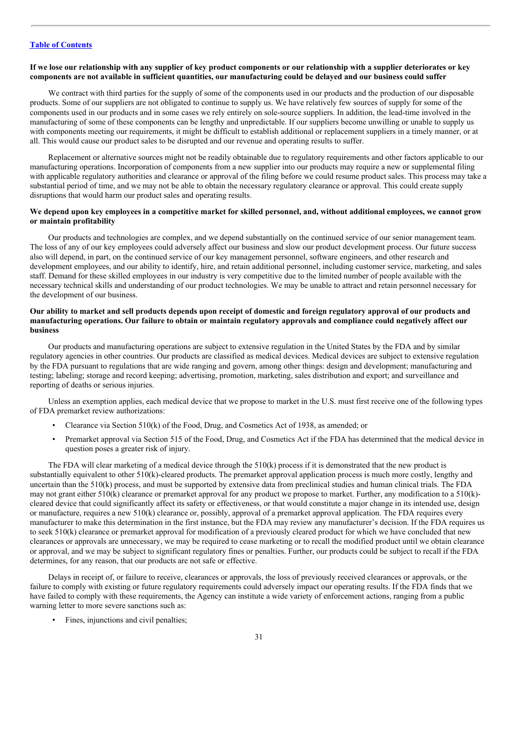### If we lose our relationship with any supplier of key product components or our relationship with a supplier deteriorates or key components are not available in sufficient quantities, our manufacturing could be delayed and our business could suffer

We contract with third parties for the supply of some of the components used in our products and the production of our disposable products. Some of our suppliers are not obligated to continue to supply us. We have relatively few sources of supply for some of the components used in our products and in some cases we rely entirely on sole-source suppliers. In addition, the lead-time involved in the manufacturing of some of these components can be lengthy and unpredictable. If our suppliers become unwilling or unable to supply us with components meeting our requirements, it might be difficult to establish additional or replacement suppliers in a timely manner, or at all. This would cause our product sales to be disrupted and our revenue and operating results to suffer.

Replacement or alternative sources might not be readily obtainable due to regulatory requirements and other factors applicable to our manufacturing operations. Incorporation of components from a new supplier into our products may require a new or supplemental filing with applicable regulatory authorities and clearance or approval of the filing before we could resume product sales. This process may take a substantial period of time, and we may not be able to obtain the necessary regulatory clearance or approval. This could create supply disruptions that would harm our product sales and operating results.

### We depend upon key employees in a competitive market for skilled personnel, and, without additional employees, we cannot grow **or maintain profitability**

Our products and technologies are complex, and we depend substantially on the continued service of our senior management team. The loss of any of our key employees could adversely affect our business and slow our product development process. Our future success also will depend, in part, on the continued service of our key management personnel, software engineers, and other research and development employees, and our ability to identify, hire, and retain additional personnel, including customer service, marketing, and sales staff. Demand for these skilled employees in our industry is very competitive due to the limited number of people available with the necessary technical skills and understanding of our product technologies. We may be unable to attract and retain personnel necessary for the development of our business.

### Our ability to market and sell products depends upon receipt of domestic and foreign regulatory approval of our products and manufacturing operations. Our failure to obtain or maintain regulatory approvals and compliance could negatively affect our **business**

Our products and manufacturing operations are subject to extensive regulation in the United States by the FDA and by similar regulatory agencies in other countries. Our products are classified as medical devices. Medical devices are subject to extensive regulation by the FDA pursuant to regulations that are wide ranging and govern, among other things: design and development; manufacturing and testing; labeling; storage and record keeping; advertising, promotion, marketing, sales distribution and export; and surveillance and reporting of deaths or serious injuries.

Unless an exemption applies, each medical device that we propose to market in the U.S. must first receive one of the following types of FDA premarket review authorizations:

- Clearance via Section 510(k) of the Food, Drug, and Cosmetics Act of 1938, as amended; or
- Premarket approval via Section 515 of the Food, Drug, and Cosmetics Act if the FDA has determined that the medical device in question poses a greater risk of injury.

The FDA will clear marketing of a medical device through the  $510(k)$  process if it is demonstrated that the new product is substantially equivalent to other 510(k)-cleared products. The premarket approval application process is much more costly, lengthy and uncertain than the 510(k) process, and must be supported by extensive data from preclinical studies and human clinical trials. The FDA may not grant either 510(k) clearance or premarket approval for any product we propose to market. Further, any modification to a 510(k) cleared device that could significantly affect its safety or effectiveness, or that would constitute a major change in its intended use, design or manufacture, requires a new 510(k) clearance or, possibly, approval of a premarket approval application. The FDA requires every manufacturer to make this determination in the first instance, but the FDA may review any manufacturer's decision. If the FDA requires us to seek 510(k) clearance or premarket approval for modification of a previously cleared product for which we have concluded that new clearances or approvals are unnecessary, we may be required to cease marketing or to recall the modified product until we obtain clearance or approval, and we may be subject to significant regulatory fines or penalties. Further, our products could be subject to recall if the FDA determines, for any reason, that our products are not safe or effective.

Delays in receipt of, or failure to receive, clearances or approvals, the loss of previously received clearances or approvals, or the failure to comply with existing or future regulatory requirements could adversely impact our operating results. If the FDA finds that we have failed to comply with these requirements, the Agency can institute a wide variety of enforcement actions, ranging from a public warning letter to more severe sanctions such as:

• Fines, injunctions and civil penalties;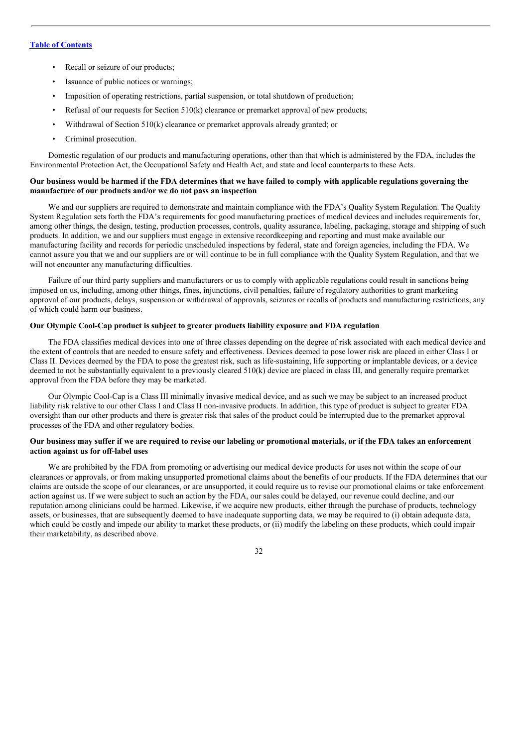- Recall or seizure of our products:
- Issuance of public notices or warnings;
- Imposition of operating restrictions, partial suspension, or total shutdown of production;
- Refusal of our requests for Section 510(k) clearance or premarket approval of new products;
- Withdrawal of Section 510(k) clearance or premarket approvals already granted; or
- Criminal prosecution.

Domestic regulation of our products and manufacturing operations, other than that which is administered by the FDA, includes the Environmental Protection Act, the Occupational Safety and Health Act, and state and local counterparts to these Acts.

### Our business would be harmed if the FDA determines that we have failed to comply with applicable regulations governing the **manufacture of our products and/or we do not pass an inspection**

We and our suppliers are required to demonstrate and maintain compliance with the FDA's Quality System Regulation. The Quality System Regulation sets forth the FDA's requirements for good manufacturing practices of medical devices and includes requirements for, among other things, the design, testing, production processes, controls, quality assurance, labeling, packaging, storage and shipping of such products. In addition, we and our suppliers must engage in extensive recordkeeping and reporting and must make available our manufacturing facility and records for periodic unscheduled inspections by federal, state and foreign agencies, including the FDA. We cannot assure you that we and our suppliers are or will continue to be in full compliance with the Quality System Regulation, and that we will not encounter any manufacturing difficulties.

Failure of our third party suppliers and manufacturers or us to comply with applicable regulations could result in sanctions being imposed on us, including, among other things, fines, injunctions, civil penalties, failure of regulatory authorities to grant marketing approval of our products, delays, suspension or withdrawal of approvals, seizures or recalls of products and manufacturing restrictions, any of which could harm our business.

### **Our Olympic Cool-Cap product is subject to greater products liability exposure and FDA regulation**

The FDA classifies medical devices into one of three classes depending on the degree of risk associated with each medical device and the extent of controls that are needed to ensure safety and effectiveness. Devices deemed to pose lower risk are placed in either Class I or Class II. Devices deemed by the FDA to pose the greatest risk, such as life-sustaining, life supporting or implantable devices, or a device deemed to not be substantially equivalent to a previously cleared 510(k) device are placed in class III, and generally require premarket approval from the FDA before they may be marketed.

Our Olympic Cool-Cap is a Class III minimally invasive medical device, and as such we may be subject to an increased product liability risk relative to our other Class I and Class II non-invasive products. In addition, this type of product is subject to greater FDA oversight than our other products and there is greater risk that sales of the product could be interrupted due to the premarket approval processes of the FDA and other regulatory bodies.

### Our business may suffer if we are required to revise our labeling or promotional materials, or if the FDA takes an enforcement **action against us for off-label uses**

We are prohibited by the FDA from promoting or advertising our medical device products for uses not within the scope of our clearances or approvals, or from making unsupported promotional claims about the benefits of our products. If the FDA determines that our claims are outside the scope of our clearances, or are unsupported, it could require us to revise our promotional claims or take enforcement action against us. If we were subject to such an action by the FDA, our sales could be delayed, our revenue could decline, and our reputation among clinicians could be harmed. Likewise, if we acquire new products, either through the purchase of products, technology assets, or businesses, that are subsequently deemed to have inadequate supporting data, we may be required to (i) obtain adequate data, which could be costly and impede our ability to market these products, or (ii) modify the labeling on these products, which could impair their marketability, as described above.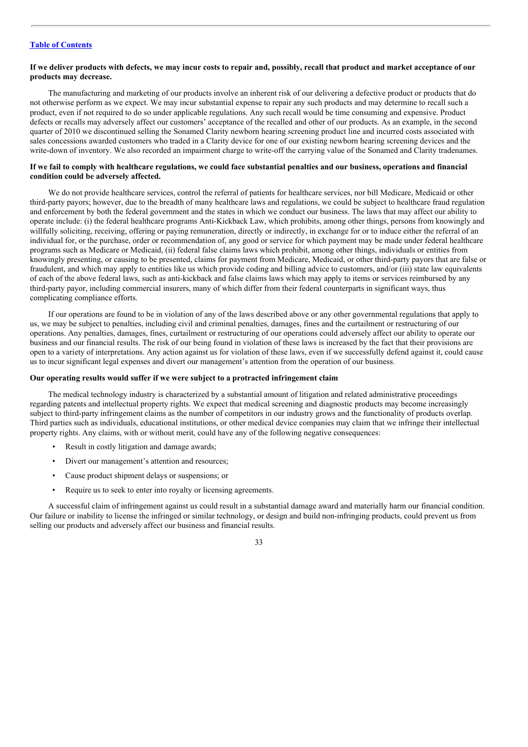### If we deliver products with defects, we may incur costs to repair and, possibly, recall that product and market acceptance of our **products may decrease.**

The manufacturing and marketing of our products involve an inherent risk of our delivering a defective product or products that do not otherwise perform as we expect. We may incur substantial expense to repair any such products and may determine to recall such a product, even if not required to do so under applicable regulations. Any such recall would be time consuming and expensive. Product defects or recalls may adversely affect our customers' acceptance of the recalled and other of our products. As an example, in the second quarter of 2010 we discontinued selling the Sonamed Clarity newborn hearing screening product line and incurred costs associated with sales concessions awarded customers who traded in a Clarity device for one of our existing newborn hearing screening devices and the write-down of inventory. We also recorded an impairment charge to write-off the carrying value of the Sonamed and Clarity tradenames.

#### If we fail to comply with healthcare regulations, we could face substantial penalties and our business, operations and financial **condition could be adversely affected.**

We do not provide healthcare services, control the referral of patients for healthcare services, nor bill Medicare, Medicaid or other third-party payors; however, due to the breadth of many healthcare laws and regulations, we could be subject to healthcare fraud regulation and enforcement by both the federal government and the states in which we conduct our business. The laws that may affect our ability to operate include: (i) the federal healthcare programs Anti-Kickback Law, which prohibits, among other things, persons from knowingly and willfully soliciting, receiving, offering or paying remuneration, directly or indirectly, in exchange for or to induce either the referral of an individual for, or the purchase, order or recommendation of, any good or service for which payment may be made under federal healthcare programs such as Medicare or Medicaid, (ii) federal false claims laws which prohibit, among other things, individuals or entities from knowingly presenting, or causing to be presented, claims for payment from Medicare, Medicaid, or other third-party payors that are false or fraudulent, and which may apply to entities like us which provide coding and billing advice to customers, and/or (iii) state law equivalents of each of the above federal laws, such as anti-kickback and false claims laws which may apply to items or services reimbursed by any third-party payor, including commercial insurers, many of which differ from their federal counterparts in significant ways, thus complicating compliance efforts.

If our operations are found to be in violation of any of the laws described above or any other governmental regulations that apply to us, we may be subject to penalties, including civil and criminal penalties, damages, fines and the curtailment or restructuring of our operations. Any penalties, damages, fines, curtailment or restructuring of our operations could adversely affect our ability to operate our business and our financial results. The risk of our being found in violation of these laws is increased by the fact that their provisions are open to a variety of interpretations. Any action against us for violation of these laws, even if we successfully defend against it, could cause us to incur significant legal expenses and divert our management's attention from the operation of our business.

#### **Our operating results would suffer if we were subject to a protracted infringement claim**

The medical technology industry is characterized by a substantial amount of litigation and related administrative proceedings regarding patents and intellectual property rights. We expect that medical screening and diagnostic products may become increasingly subject to third-party infringement claims as the number of competitors in our industry grows and the functionality of products overlap. Third parties such as individuals, educational institutions, or other medical device companies may claim that we infringe their intellectual property rights. Any claims, with or without merit, could have any of the following negative consequences:

- Result in costly litigation and damage awards;
- Divert our management's attention and resources;
- Cause product shipment delays or suspensions; or
- Require us to seek to enter into royalty or licensing agreements.

A successful claim of infringement against us could result in a substantial damage award and materially harm our financial condition. Our failure or inability to license the infringed or similar technology, or design and build non-infringing products, could prevent us from selling our products and adversely affect our business and financial results.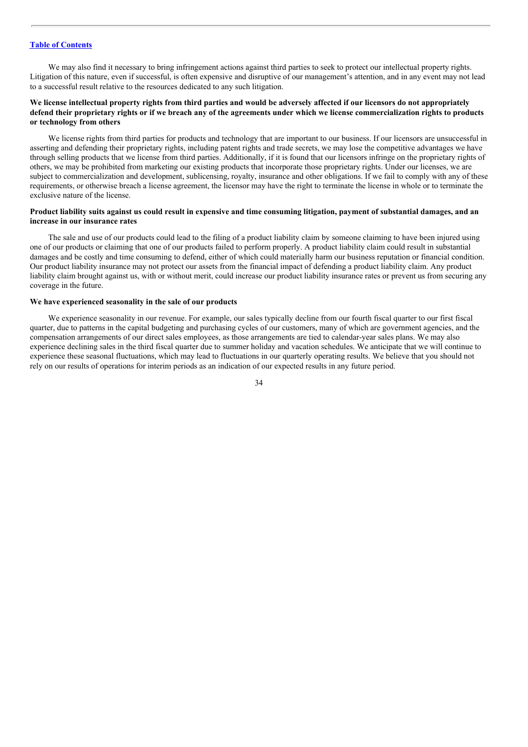We may also find it necessary to bring infringement actions against third parties to seek to protect our intellectual property rights. Litigation of this nature, even if successful, is often expensive and disruptive of our management's attention, and in any event may not lead to a successful result relative to the resources dedicated to any such litigation.

### We license intellectual property rights from third parties and would be adversely affected if our licensors do not appropriately defend their proprietary rights or if we breach any of the agreements under which we license commercialization rights to products **or technology from others**

We license rights from third parties for products and technology that are important to our business. If our licensors are unsuccessful in asserting and defending their proprietary rights, including patent rights and trade secrets, we may lose the competitive advantages we have through selling products that we license from third parties. Additionally, if it is found that our licensors infringe on the proprietary rights of others, we may be prohibited from marketing our existing products that incorporate those proprietary rights. Under our licenses, we are subject to commercialization and development, sublicensing, royalty, insurance and other obligations. If we fail to comply with any of these requirements, or otherwise breach a license agreement, the licensor may have the right to terminate the license in whole or to terminate the exclusive nature of the license.

### Product liability suits against us could result in expensive and time consuming litigation, payment of substantial damages, and an **increase in our insurance rates**

The sale and use of our products could lead to the filing of a product liability claim by someone claiming to have been injured using one of our products or claiming that one of our products failed to perform properly. A product liability claim could result in substantial damages and be costly and time consuming to defend, either of which could materially harm our business reputation or financial condition. Our product liability insurance may not protect our assets from the financial impact of defending a product liability claim. Any product liability claim brought against us, with or without merit, could increase our product liability insurance rates or prevent us from securing any coverage in the future.

### **We have experienced seasonality in the sale of our products**

We experience seasonality in our revenue. For example, our sales typically decline from our fourth fiscal quarter to our first fiscal quarter, due to patterns in the capital budgeting and purchasing cycles of our customers, many of which are government agencies, and the compensation arrangements of our direct sales employees, as those arrangements are tied to calendar-year sales plans. We may also experience declining sales in the third fiscal quarter due to summer holiday and vacation schedules. We anticipate that we will continue to experience these seasonal fluctuations, which may lead to fluctuations in our quarterly operating results. We believe that you should not rely on our results of operations for interim periods as an indication of our expected results in any future period.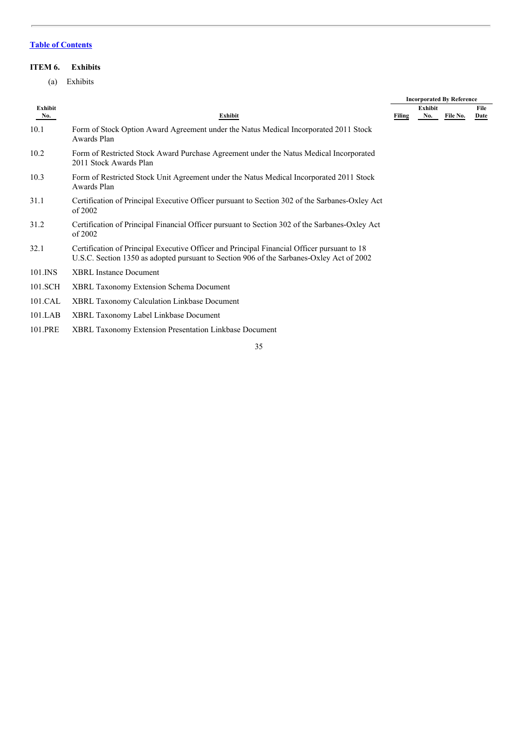# **ITEM 6. Exhibits**

(a) Exhibits

| Exhibit<br>No. |                                                                                                                                                                                         |               | <b>Incorporated By Reference</b> |          |              |  |
|----------------|-----------------------------------------------------------------------------------------------------------------------------------------------------------------------------------------|---------------|----------------------------------|----------|--------------|--|
|                | Exhibit                                                                                                                                                                                 | <b>Filing</b> | <b>Exhibit</b><br>No.            | File No. | File<br>Date |  |
| 10.1           | Form of Stock Option Award Agreement under the Natus Medical Incorporated 2011 Stock<br>Awards Plan                                                                                     |               |                                  |          |              |  |
| 10.2           | Form of Restricted Stock Award Purchase Agreement under the Natus Medical Incorporated<br>2011 Stock Awards Plan                                                                        |               |                                  |          |              |  |
| 10.3           | Form of Restricted Stock Unit Agreement under the Natus Medical Incorporated 2011 Stock<br>Awards Plan                                                                                  |               |                                  |          |              |  |
| 31.1           | Certification of Principal Executive Officer pursuant to Section 302 of the Sarbanes-Oxley Act<br>of 2002                                                                               |               |                                  |          |              |  |
| 31.2           | Certification of Principal Financial Officer pursuant to Section 302 of the Sarbanes-Oxley Act<br>of $2002$                                                                             |               |                                  |          |              |  |
| 32.1           | Certification of Principal Executive Officer and Principal Financial Officer pursuant to 18<br>U.S.C. Section 1350 as adopted pursuant to Section 906 of the Sarbanes-Oxley Act of 2002 |               |                                  |          |              |  |
| 101.INS        | <b>XBRL</b> Instance Document                                                                                                                                                           |               |                                  |          |              |  |
| 101.SCH        | <b>XBRL Taxonomy Extension Schema Document</b>                                                                                                                                          |               |                                  |          |              |  |
| 101.CAL        | <b>XBRL Taxonomy Calculation Linkbase Document</b>                                                                                                                                      |               |                                  |          |              |  |
| 101.LAB        | XBRL Taxonomy Label Linkbase Document                                                                                                                                                   |               |                                  |          |              |  |
| 101.PRE        | <b>XBRL Taxonomy Extension Presentation Linkbase Document</b>                                                                                                                           |               |                                  |          |              |  |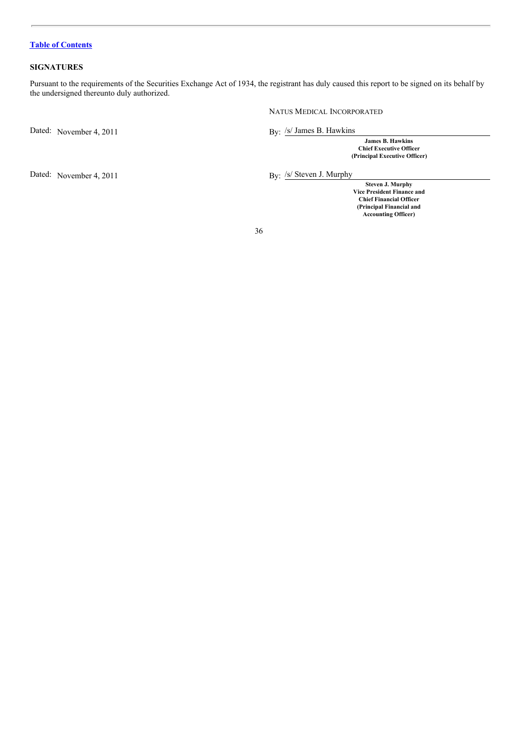# **SIGNATURES**

Pursuant to the requirements of the Securities Exchange Act of 1934, the registrant has duly caused this report to be signed on its behalf by the undersigned thereunto duly authorized.

Dated: November 4, 2011

Dated: November 4, 2011

NATUS MEDICAL INCORPORATED

By: /s/ James B. Hawkins

**James B. Hawkins Chief Executive Officer (Principal Executive Officer)**

By: /s/ Steven J. Murphy

**Steven J. Murphy Vice President Finance and Chief Financial Officer (Principal Financial and Accounting Officer)**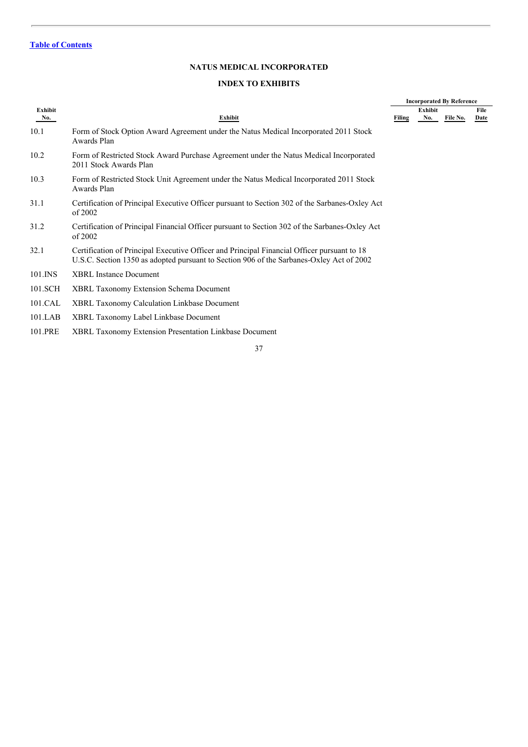# **INDEX TO EXHIBITS**

|                       |                                                                                                                                                                                         |               | <b>Incorporated By Reference</b> |          |              |  |  |
|-----------------------|-----------------------------------------------------------------------------------------------------------------------------------------------------------------------------------------|---------------|----------------------------------|----------|--------------|--|--|
| <b>Exhibit</b><br>No. | Exhibit                                                                                                                                                                                 | <b>Filing</b> | <b>Exhibit</b><br>No.            | File No. | File<br>Date |  |  |
| 10.1                  | Form of Stock Option Award Agreement under the Natus Medical Incorporated 2011 Stock<br>Awards Plan                                                                                     |               |                                  |          |              |  |  |
| 10.2                  | Form of Restricted Stock Award Purchase Agreement under the Natus Medical Incorporated<br>2011 Stock Awards Plan                                                                        |               |                                  |          |              |  |  |
| 10.3                  | Form of Restricted Stock Unit Agreement under the Natus Medical Incorporated 2011 Stock<br>Awards Plan                                                                                  |               |                                  |          |              |  |  |
| 31.1                  | Certification of Principal Executive Officer pursuant to Section 302 of the Sarbanes-Oxley Act<br>of 2002                                                                               |               |                                  |          |              |  |  |
| 31.2                  | Certification of Principal Financial Officer pursuant to Section 302 of the Sarbanes-Oxley Act<br>of 2002                                                                               |               |                                  |          |              |  |  |
| 32.1                  | Certification of Principal Executive Officer and Principal Financial Officer pursuant to 18<br>U.S.C. Section 1350 as adopted pursuant to Section 906 of the Sarbanes-Oxley Act of 2002 |               |                                  |          |              |  |  |
| 101.INS               | <b>XBRL Instance Document</b>                                                                                                                                                           |               |                                  |          |              |  |  |
| 101.SCH               | XBRL Taxonomy Extension Schema Document                                                                                                                                                 |               |                                  |          |              |  |  |
| 101.CAL               | <b>XBRL Taxonomy Calculation Linkbase Document</b>                                                                                                                                      |               |                                  |          |              |  |  |
| 101.LAB               | XBRL Taxonomy Label Linkbase Document                                                                                                                                                   |               |                                  |          |              |  |  |
| 101.PRE               | <b>XBRL Taxonomy Extension Presentation Linkbase Document</b>                                                                                                                           |               |                                  |          |              |  |  |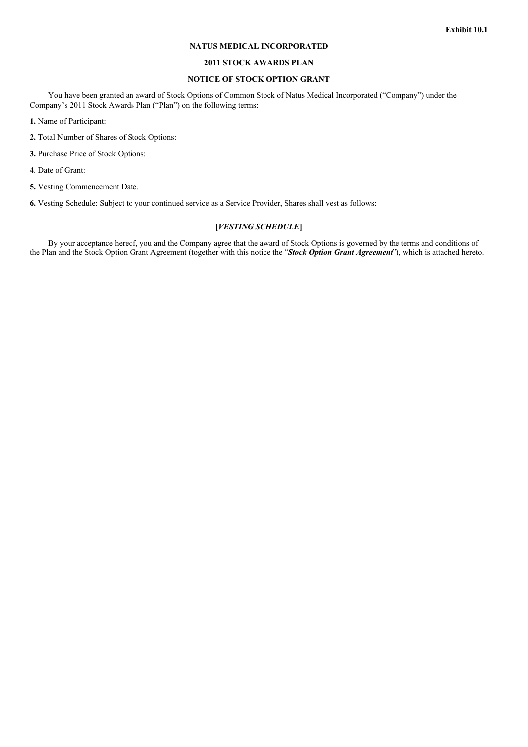### **2011 STOCK AWARDS PLAN**

### **NOTICE OF STOCK OPTION GRANT**

You have been granted an award of Stock Options of Common Stock of Natus Medical Incorporated ("Company") under the Company's 2011 Stock Awards Plan ("Plan") on the following terms:

**1.** Name of Participant:

**2.** Total Number of Shares of Stock Options:

**3.** Purchase Price of Stock Options:

**4**. Date of Grant:

**5.** Vesting Commencement Date.

**6.** Vesting Schedule: Subject to your continued service as a Service Provider, Shares shall vest as follows:

### **[***VESTING SCHEDULE***]**

By your acceptance hereof, you and the Company agree that the award of Stock Options is governed by the terms and conditions of the Plan and the Stock Option Grant Agreement (together with this notice the "*Stock Option Grant Agreement*"), which is attached hereto.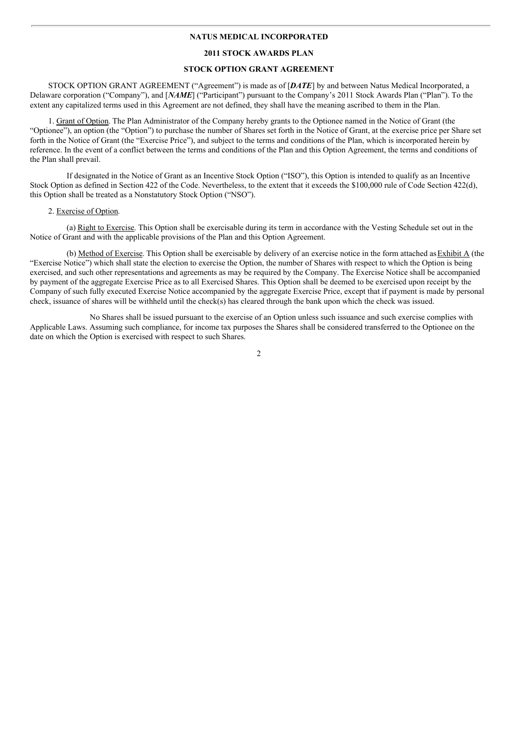### **2011 STOCK AWARDS PLAN**

### **STOCK OPTION GRANT AGREEMENT**

STOCK OPTION GRANT AGREEMENT ("Agreement") is made as of [*DATE*] by and between Natus Medical Incorporated, a Delaware corporation ("Company"), and [*NAME*] ("Participant") pursuant to the Company's 2011 Stock Awards Plan ("Plan"). To the extent any capitalized terms used in this Agreement are not defined, they shall have the meaning ascribed to them in the Plan.

1. Grant of Option. The Plan Administrator of the Company hereby grants to the Optionee named in the Notice of Grant (the "Optionee"), an option (the "Option") to purchase the number of Shares set forth in the Notice of Grant, at the exercise price per Share set forth in the Notice of Grant (the "Exercise Price"), and subject to the terms and conditions of the Plan, which is incorporated herein by reference. In the event of a conflict between the terms and conditions of the Plan and this Option Agreement, the terms and conditions of the Plan shall prevail.

If designated in the Notice of Grant as an Incentive Stock Option ("ISO"), this Option is intended to qualify as an Incentive Stock Option as defined in Section 422 of the Code. Nevertheless, to the extent that it exceeds the \$100,000 rule of Code Section 422(d), this Option shall be treated as a Nonstatutory Stock Option ("NSO").

#### 2. Exercise of Option.

(a) Right to Exercise. This Option shall be exercisable during its term in accordance with the Vesting Schedule set out in the Notice of Grant and with the applicable provisions of the Plan and this Option Agreement.

(b) Method of Exercise. This Option shall be exercisable by delivery of an exercise notice in the form attached as  $Exhibit A$  (the "Exercise Notice") which shall state the election to exercise the Option, the number of Shares with respect to which the Option is being exercised, and such other representations and agreements as may be required by the Company. The Exercise Notice shall be accompanied by payment of the aggregate Exercise Price as to all Exercised Shares. This Option shall be deemed to be exercised upon receipt by the Company of such fully executed Exercise Notice accompanied by the aggregate Exercise Price, except that if payment is made by personal check, issuance of shares will be withheld until the check(s) has cleared through the bank upon which the check was issued.

No Shares shall be issued pursuant to the exercise of an Option unless such issuance and such exercise complies with Applicable Laws. Assuming such compliance, for income tax purposes the Shares shall be considered transferred to the Optionee on the date on which the Option is exercised with respect to such Shares.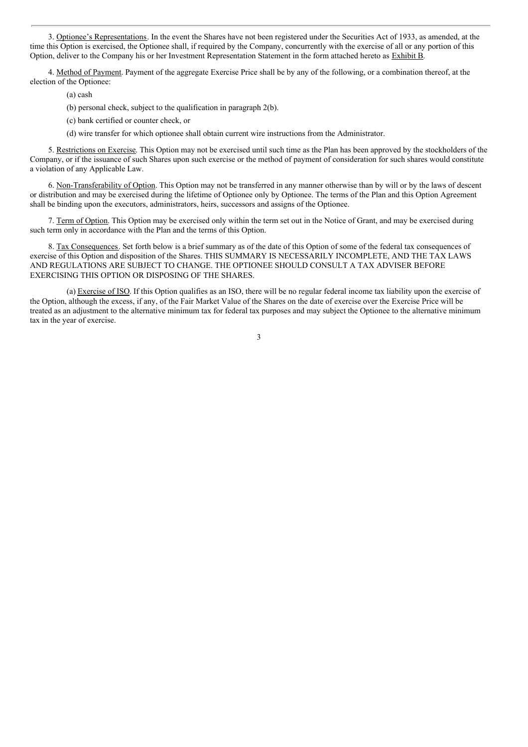3. Optionee's Representations. In the event the Shares have not been registered under the Securities Act of 1933, as amended, at the time this Option is exercised, the Optionee shall, if required by the Company, concurrently with the exercise of all or any portion of this Option, deliver to the Company his or her Investment Representation Statement in the form attached hereto as Exhibit B.

4. Method of Payment. Payment of the aggregate Exercise Price shall be by any of the following, or a combination thereof, at the election of the Optionee:

(a) cash

(b) personal check, subject to the qualification in paragraph 2(b).

(c) bank certified or counter check, or

(d) wire transfer for which optionee shall obtain current wire instructions from the Administrator.

5. Restrictions on Exercise. This Option may not be exercised until such time as the Plan has been approved by the stockholders of the Company, or if the issuance of such Shares upon such exercise or the method of payment of consideration for such shares would constitute a violation of any Applicable Law.

6. Non-Transferability of Option. This Option may not be transferred in any manner otherwise than by will or by the laws of descent or distribution and may be exercised during the lifetime of Optionee only by Optionee. The terms of the Plan and this Option Agreement shall be binding upon the executors, administrators, heirs, successors and assigns of the Optionee.

7. Term of Option. This Option may be exercised only within the term set out in the Notice of Grant, and may be exercised during such term only in accordance with the Plan and the terms of this Option.

8. Tax Consequences. Set forth below is a brief summary as of the date of this Option of some of the federal tax consequences of exercise of this Option and disposition of the Shares. THIS SUMMARY IS NECESSARILY INCOMPLETE, AND THE TAX LAWS AND REGULATIONS ARE SUBJECT TO CHANGE. THE OPTIONEE SHOULD CONSULT A TAX ADVISER BEFORE EXERCISING THIS OPTION OR DISPOSING OF THE SHARES.

(a) Exercise of ISO. If this Option qualifies as an ISO, there will be no regular federal income tax liability upon the exercise of the Option, although the excess, if any, of the Fair Market Value of the Shares on the date of exercise over the Exercise Price will be treated as an adjustment to the alternative minimum tax for federal tax purposes and may subject the Optionee to the alternative minimum tax in the year of exercise.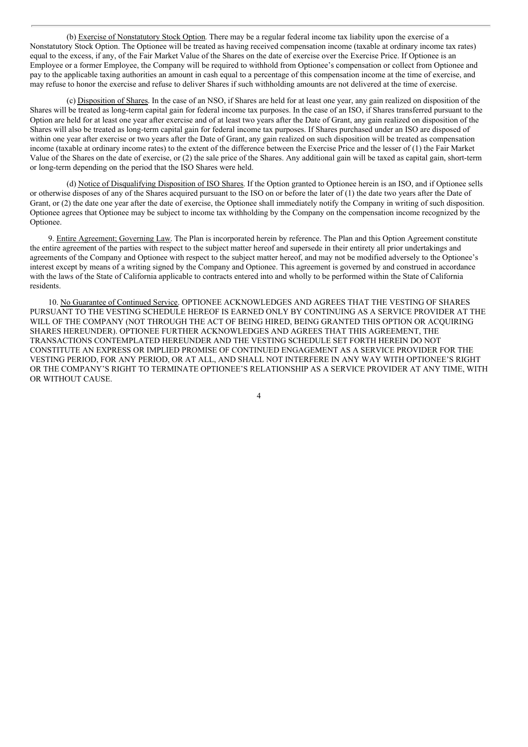(b) Exercise of Nonstatutory Stock Option. There may be a regular federal income tax liability upon the exercise of a Nonstatutory Stock Option. The Optionee will be treated as having received compensation income (taxable at ordinary income tax rates) equal to the excess, if any, of the Fair Market Value of the Shares on the date of exercise over the Exercise Price. If Optionee is an Employee or a former Employee, the Company will be required to withhold from Optionee's compensation or collect from Optionee and pay to the applicable taxing authorities an amount in cash equal to a percentage of this compensation income at the time of exercise, and may refuse to honor the exercise and refuse to deliver Shares if such withholding amounts are not delivered at the time of exercise.

(c) Disposition of Shares. In the case of an NSO, if Shares are held for at least one year, any gain realized on disposition of the Shares will be treated as long-term capital gain for federal income tax purposes. In the case of an ISO, if Shares transferred pursuant to the Option are held for at least one year after exercise and of at least two years after the Date of Grant, any gain realized on disposition of the Shares will also be treated as long-term capital gain for federal income tax purposes. If Shares purchased under an ISO are disposed of within one year after exercise or two years after the Date of Grant, any gain realized on such disposition will be treated as compensation income (taxable at ordinary income rates) to the extent of the difference between the Exercise Price and the lesser of (1) the Fair Market Value of the Shares on the date of exercise, or (2) the sale price of the Shares. Any additional gain will be taxed as capital gain, short-term or long-term depending on the period that the ISO Shares were held.

(d) Notice of Disqualifying Disposition of ISO Shares. If the Option granted to Optionee herein is an ISO, and if Optionee sells or otherwise disposes of any of the Shares acquired pursuant to the ISO on or before the later of (1) the date two years after the Date of Grant, or (2) the date one year after the date of exercise, the Optionee shall immediately notify the Company in writing of such disposition. Optionee agrees that Optionee may be subject to income tax withholding by the Company on the compensation income recognized by the Optionee.

9. Entire Agreement; Governing Law. The Plan is incorporated herein by reference. The Plan and this Option Agreement constitute the entire agreement of the parties with respect to the subject matter hereof and supersede in their entirety all prior undertakings and agreements of the Company and Optionee with respect to the subject matter hereof, and may not be modified adversely to the Optionee's interest except by means of a writing signed by the Company and Optionee. This agreement is governed by and construed in accordance with the laws of the State of California applicable to contracts entered into and wholly to be performed within the State of California residents.

10. No Guarantee of Continued Service. OPTIONEE ACKNOWLEDGES AND AGREES THAT THE VESTING OF SHARES PURSUANT TO THE VESTING SCHEDULE HEREOF IS EARNED ONLY BY CONTINUING AS A SERVICE PROVIDER AT THE WILL OF THE COMPANY (NOT THROUGH THE ACT OF BEING HIRED, BEING GRANTED THIS OPTION OR ACQUIRING SHARES HEREUNDER). OPTIONEE FURTHER ACKNOWLEDGES AND AGREES THAT THIS AGREEMENT, THE TRANSACTIONS CONTEMPLATED HEREUNDER AND THE VESTING SCHEDULE SET FORTH HEREIN DO NOT CONSTITUTE AN EXPRESS OR IMPLIED PROMISE OF CONTINUED ENGAGEMENT AS A SERVICE PROVIDER FOR THE VESTING PERIOD, FOR ANY PERIOD, OR AT ALL, AND SHALL NOT INTERFERE IN ANY WAY WITH OPTIONEE'S RIGHT OR THE COMPANY'S RIGHT TO TERMINATE OPTIONEE'S RELATIONSHIP AS A SERVICE PROVIDER AT ANY TIME, WITH OR WITHOUT CAUSE.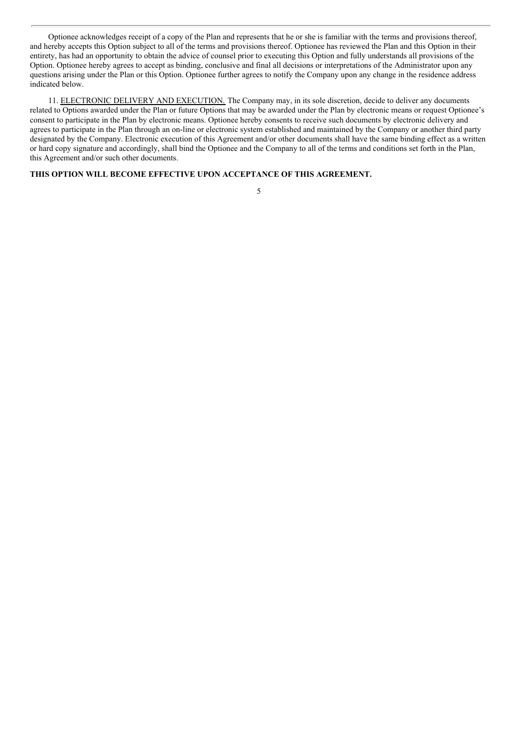Optionee acknowledges receipt of a copy of the Plan and represents that he or she is familiar with the terms and provisions thereof, and hereby accepts this Option subject to all of the terms and provisions thereof. Optionee has reviewed the Plan and this Option in their entirety, has had an opportunity to obtain the advice of counsel prior to executing this Option and fully understands all provisions of the Option. Optionee hereby agrees to accept as binding, conclusive and final all decisions or interpretations of the Administrator upon any questions arising under the Plan or this Option. Optionee further agrees to notify the Company upon any change in the residence address indicated below.

11. ELECTRONIC DELIVERY AND EXECUTION. The Company may, in its sole discretion, decide to deliver any documents related to Options awarded under the Plan or future Options that may be awarded under the Plan by electronic means or request Optionee's consent to participate in the Plan by electronic means. Optionee hereby consents to receive such documents by electronic delivery and agrees to participate in the Plan through an on-line or electronic system established and maintained by the Company or another third party designated by the Company. Electronic execution of this Agreement and/or other documents shall have the same binding effect as a written or hard copy signature and accordingly, shall bind the Optionee and the Company to all of the terms and conditions set forth in the Plan, this Agreement and/or such other documents.

### **THIS OPTION WILL BECOME EFFECTIVE UPON ACCEPTANCE OF THIS AGREEMENT.**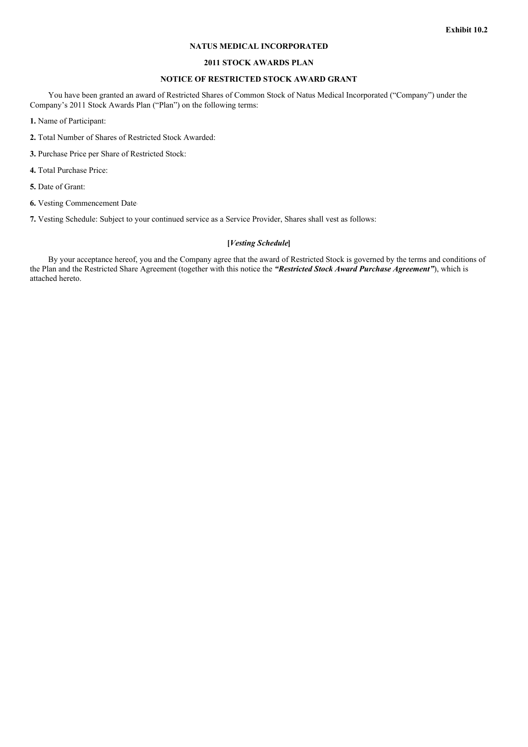### **2011 STOCK AWARDS PLAN**

### **NOTICE OF RESTRICTED STOCK AWARD GRANT**

You have been granted an award of Restricted Shares of Common Stock of Natus Medical Incorporated ("Company") under the Company's 2011 Stock Awards Plan ("Plan") on the following terms:

**1.** Name of Participant:

**2.** Total Number of Shares of Restricted Stock Awarded:

**3.** Purchase Price per Share of Restricted Stock:

**4.** Total Purchase Price:

**5.** Date of Grant:

**6.** Vesting Commencement Date .

**7.** Vesting Schedule: Subject to your continued service as a Service Provider, Shares shall vest as follows:

### **[***Vesting Schedule***]**

By your acceptance hereof, you and the Company agree that the award of Restricted Stock is governed by the terms and conditions of the Plan and the Restricted Share Agreement (together with this notice the *"Restricted Stock Award Purchase Agreement"*), which is attached hereto.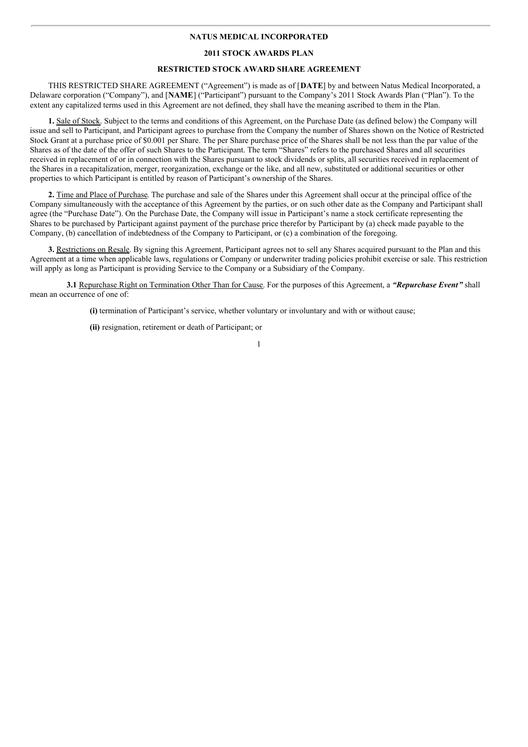### **2011 STOCK AWARDS PLAN**

#### **RESTRICTED STOCK AWARD SHARE AGREEMENT**

THIS RESTRICTED SHARE AGREEMENT ("Agreement") is made as of [**DATE**] by and between Natus Medical Incorporated, a Delaware corporation ("Company"), and [**NAME**] ("Participant") pursuant to the Company's 2011 Stock Awards Plan ("Plan"). To the extent any capitalized terms used in this Agreement are not defined, they shall have the meaning ascribed to them in the Plan.

**1.** Sale of Stock. Subject to the terms and conditions of this Agreement, on the Purchase Date (as defined below) the Company will issue and sell to Participant, and Participant agrees to purchase from the Company the number of Shares shown on the Notice of Restricted Stock Grant at a purchase price of \$0.001 per Share. The per Share purchase price of the Shares shall be not less than the par value of the Shares as of the date of the offer of such Shares to the Participant. The term "Shares" refers to the purchased Shares and all securities received in replacement of or in connection with the Shares pursuant to stock dividends or splits, all securities received in replacement of the Shares in a recapitalization, merger, reorganization, exchange or the like, and all new, substituted or additional securities or other properties to which Participant is entitled by reason of Participant's ownership of the Shares.

**2.** Time and Place of Purchase. The purchase and sale of the Shares under this Agreement shall occur at the principal office of the Company simultaneously with the acceptance of this Agreement by the parties, or on such other date as the Company and Participant shall agree (the "Purchase Date"). On the Purchase Date, the Company will issue in Participant's name a stock certificate representing the Shares to be purchased by Participant against payment of the purchase price therefor by Participant by (a) check made payable to the Company, (b) cancellation of indebtedness of the Company to Participant, or (c) a combination of the foregoing.

**3.** Restrictions on Resale. By signing this Agreement, Participant agrees not to sell any Shares acquired pursuant to the Plan and this Agreement at a time when applicable laws, regulations or Company or underwriter trading policies prohibit exercise or sale. This restriction will apply as long as Participant is providing Service to the Company or a Subsidiary of the Company.

**3.1** Repurchase Right on Termination Other Than for Cause. For the purposes of this Agreement, a *"Repurchase Event"* shall mean an occurrence of one of:

**(i)** termination of Participant's service, whether voluntary or involuntary and with or without cause;

**(ii)** resignation, retirement or death of Participant; or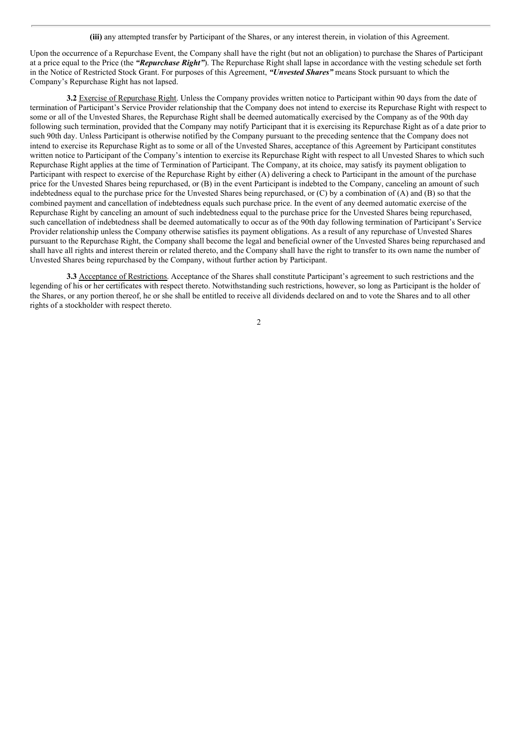**(iii)** any attempted transfer by Participant of the Shares, or any interest therein, in violation of this Agreement.

Upon the occurrence of a Repurchase Event, the Company shall have the right (but not an obligation) to purchase the Shares of Participant at a price equal to the Price (the *"Repurchase Right"*). The Repurchase Right shall lapse in accordance with the vesting schedule set forth in the Notice of Restricted Stock Grant. For purposes of this Agreement, *"Unvested Shares"* means Stock pursuant to which the Company's Repurchase Right has not lapsed.

**3.2** Exercise of Repurchase Right. Unless the Company provides written notice to Participant within 90 days from the date of termination of Participant's Service Provider relationship that the Company does not intend to exercise its Repurchase Right with respect to some or all of the Unvested Shares, the Repurchase Right shall be deemed automatically exercised by the Company as of the 90th day following such termination, provided that the Company may notify Participant that it is exercising its Repurchase Right as of a date prior to such 90th day. Unless Participant is otherwise notified by the Company pursuant to the preceding sentence that the Company does not intend to exercise its Repurchase Right as to some or all of the Unvested Shares, acceptance of this Agreement by Participant constitutes written notice to Participant of the Company's intention to exercise its Repurchase Right with respect to all Unvested Shares to which such Repurchase Right applies at the time of Termination of Participant. The Company, at its choice, may satisfy its payment obligation to Participant with respect to exercise of the Repurchase Right by either (A) delivering a check to Participant in the amount of the purchase price for the Unvested Shares being repurchased, or (B) in the event Participant is indebted to the Company, canceling an amount of such indebtedness equal to the purchase price for the Unvested Shares being repurchased, or (C) by a combination of (A) and (B) so that the combined payment and cancellation of indebtedness equals such purchase price. In the event of any deemed automatic exercise of the Repurchase Right by canceling an amount of such indebtedness equal to the purchase price for the Unvested Shares being repurchased, such cancellation of indebtedness shall be deemed automatically to occur as of the 90th day following termination of Participant's Service Provider relationship unless the Company otherwise satisfies its payment obligations. As a result of any repurchase of Unvested Shares pursuant to the Repurchase Right, the Company shall become the legal and beneficial owner of the Unvested Shares being repurchased and shall have all rights and interest therein or related thereto, and the Company shall have the right to transfer to its own name the number of Unvested Shares being repurchased by the Company, without further action by Participant.

**3.3** Acceptance of Restrictions. Acceptance of the Shares shall constitute Participant's agreement to such restrictions and the legending of his or her certificates with respect thereto. Notwithstanding such restrictions, however, so long as Participant is the holder of the Shares, or any portion thereof, he or she shall be entitled to receive all dividends declared on and to vote the Shares and to all other rights of a stockholder with respect thereto.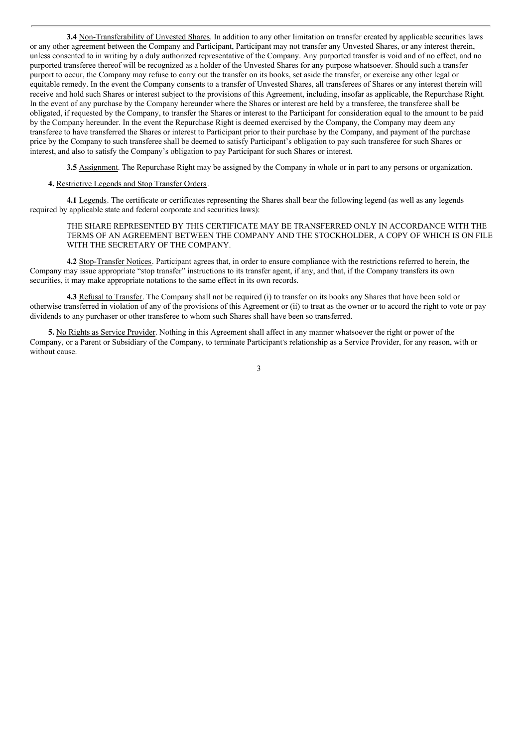**3.4** Non-Transferability of Unvested Shares. In addition to any other limitation on transfer created by applicable securities laws or any other agreement between the Company and Participant, Participant may not transfer any Unvested Shares, or any interest therein, unless consented to in writing by a duly authorized representative of the Company. Any purported transfer is void and of no effect, and no purported transferee thereof will be recognized as a holder of the Unvested Shares for any purpose whatsoever. Should such a transfer purport to occur, the Company may refuse to carry out the transfer on its books, set aside the transfer, or exercise any other legal or equitable remedy. In the event the Company consents to a transfer of Unvested Shares, all transferees of Shares or any interest therein will receive and hold such Shares or interest subject to the provisions of this Agreement, including, insofar as applicable, the Repurchase Right. In the event of any purchase by the Company hereunder where the Shares or interest are held by a transferee, the transferee shall be obligated, if requested by the Company, to transfer the Shares or interest to the Participant for consideration equal to the amount to be paid by the Company hereunder. In the event the Repurchase Right is deemed exercised by the Company, the Company may deem any transferee to have transferred the Shares or interest to Participant prior to their purchase by the Company, and payment of the purchase price by the Company to such transferee shall be deemed to satisfy Participant's obligation to pay such transferee for such Shares or interest, and also to satisfy the Company's obligation to pay Participant for such Shares or interest.

**3.5** Assignment. The Repurchase Right may be assigned by the Company in whole or in part to any persons or organization.

### **4.** Restrictive Legends and Stop Transfer Orders.

**4.1** Legends. The certificate or certificates representing the Shares shall bear the following legend (as well as any legends required by applicable state and federal corporate and securities laws):

### THE SHARE REPRESENTED BY THIS CERTIFICATE MAY BE TRANSFERRED ONLY IN ACCORDANCE WITH THE TERMS OF AN AGREEMENT BETWEEN THE COMPANY AND THE STOCKHOLDER, A COPY OF WHICH IS ON FILE WITH THE SECRETARY OF THE COMPANY.

**4.2** Stop-Transfer Notices. Participant agrees that, in order to ensure compliance with the restrictions referred to herein, the Company may issue appropriate "stop transfer" instructions to its transfer agent, if any, and that, if the Company transfers its own securities, it may make appropriate notations to the same effect in its own records.

**4.3** Refusal to Transfer. The Company shall not be required (i) to transfer on its books any Shares that have been sold or otherwise transferred in violation of any of the provisions of this Agreement or (ii) to treat as the owner or to accord the right to vote or pay dividends to any purchaser or other transferee to whom such Shares shall have been so transferred.

**5.** No Rights as Service Provider. Nothing in this Agreement shall affect in any manner whatsoever the right or power of the Company, or a Parent or Subsidiary of the Company, to terminate Participant s relationship as a Service Provider, for any reason, with or 'without cause.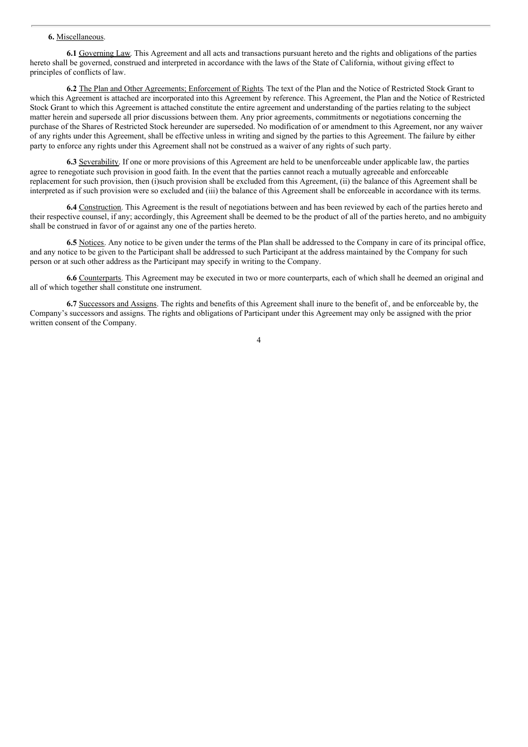### **6.** Miscellaneous.

**6.1** Governing Law. This Agreement and all acts and transactions pursuant hereto and the rights and obligations of the parties hereto shall be governed, construed and interpreted in accordance with the laws of the State of California, without giving effect to principles of conflicts of law.

**6.2** The Plan and Other Agreements; Enforcement of Rights. The text of the Plan and the Notice of Restricted Stock Grant to which this Agreement is attached are incorporated into this Agreement by reference. This Agreement, the Plan and the Notice of Restricted Stock Grant to which this Agreement is attached constitute the entire agreement and understanding of the parties relating to the subject matter herein and supersede all prior discussions between them. Any prior agreements, commitments or negotiations concerning the purchase of the Shares of Restricted Stock hereunder are superseded. No modification of or amendment to this Agreement, nor any waiver of any rights under this Agreement, shall be effective unless in writing and signed by the parties to this Agreement. The failure by either party to enforce any rights under this Agreement shall not be construed as a waiver of any rights of such party.

**6.3** Severability. If one or more provisions of this Agreement are held to be unenforceable under applicable law, the parties agree to renegotiate such provision in good faith. In the event that the parties cannot reach a mutually agreeable and enforceable replacement for such provision, then (i)such provision shall be excluded from this Agreement, (ii) the balance of this Agreement shall be interpreted as if such provision were so excluded and (iii) the balance of this Agreement shall be enforceable in accordance with its terms.

**6.4** Construction. This Agreement is the result of negotiations between and has been reviewed by each of the parties hereto and their respective counsel, if any; accordingly, this Agreement shall be deemed to be the product of all of the parties hereto, and no ambiguity shall be construed in favor of or against any one of the parties hereto.

**6.5** Notices. Any notice to be given under the terms of the Plan shall be addressed to the Company in care of its principal office, and any notice to be given to the Participant shall be addressed to such Participant at the address maintained by the Company for such person or at such other address as the Participant may specify in writing to the Company.

**6.6** Counterparts. This Agreement may be executed in two or more counterparts, each of which shall he deemed an original and all of which together shall constitute one instrument.

6.7 Successors and Assigns. The rights and benefits of this Agreement shall inure to the benefit of, and be enforceable by, the Company's successors and assigns. The rights and obligations of Participant under this Agreement may only be assigned with the prior written consent of the Company.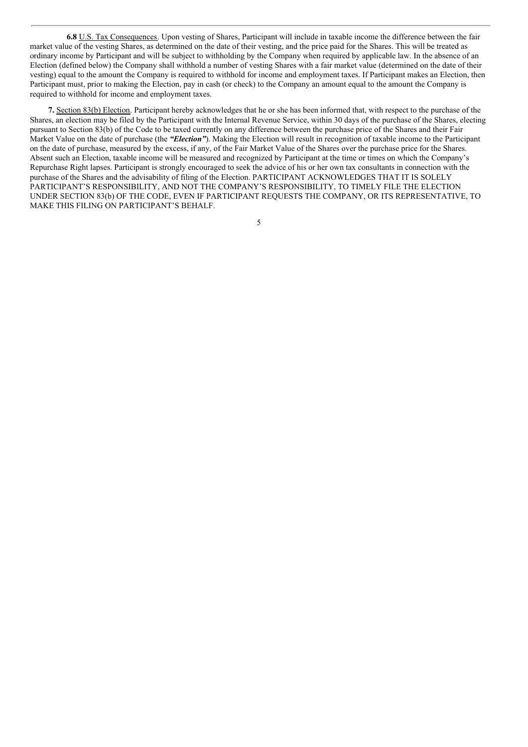**6.8** U.S. Tax Consequences. Upon vesting of Shares, Participant will include in taxable income the difference between the fair market value of the vesting Shares, as determined on the date of their vesting, and the price paid for the Shares. This will be treated as ordinary income by Participant and will be subject to withholding by the Company when required by applicable law. In the absence of an Election (defined below) the Company shall withhold a number of vesting Shares with a fair market value (determined on the date of their vesting) equal to the amount the Company is required to withhold for income and employment taxes. If Participant makes an Election, then Participant must, prior to making the Election, pay in cash (or check) to the Company an amount equal to the amount the Company is required to withhold for income and employment taxes.

**7.** Section 83(b) Election. Participant hereby acknowledges that he or she has been informed that, with respect to the purchase of the Shares, an election may be filed by the Participant with the Internal Revenue Service, within 30 days of the purchase of the Shares, electing pursuant to Section 83(b) of the Code to be taxed currently on any difference between the purchase price of the Shares and their Fair Market Value on the date of purchase (the *"Election"*). Making the Election will result in recognition of taxable income to the Participant on the date of purchase, measured by the excess, if any, of the Fair Market Value of the Shares over the purchase price for the Shares. Absent such an Election, taxable income will be measured and recognized by Participant at the time or times on which the Company's Repurchase Right lapses. Participant is strongly encouraged to seek the advice of his or her own tax consultants in connection with the purchase of the Shares and the advisability of filing of the Election. PARTICIPANT ACKNOWLEDGES THAT IT IS SOLELY PARTICIPANT'S RESPONSIBILITY, AND NOT THE COMPANY'S RESPONSIBILITY, TO TIMELY FILE THE ELECTION UNDER SECTION 83(b) OF THE CODE, EVEN IF PARTICIPANT REQUESTS THE COMPANY, OR ITS REPRESENTATIVE, TO MAKE THIS FILING ON PARTICIPANT'S BEHALF.

<sup>5</sup>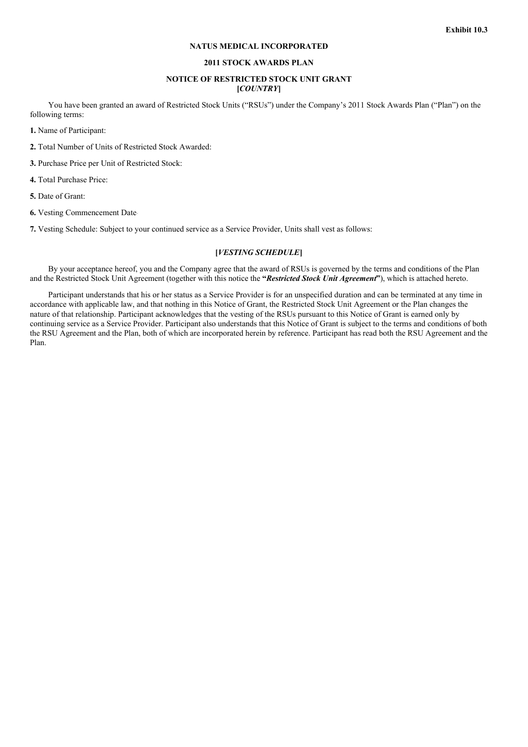### **2011 STOCK AWARDS PLAN**

### **NOTICE OF RESTRICTED STOCK UNIT GRANT [***COUNTRY***]**

You have been granted an award of Restricted Stock Units ("RSUs") under the Company's 2011 Stock Awards Plan ("Plan") on the following terms:

**1.** Name of Participant:

**2.** Total Number of Units of Restricted Stock Awarded:

**3.** Purchase Price per Unit of Restricted Stock:

**4.** Total Purchase Price:

**5.** Date of Grant:

**6.** Vesting Commencement Date .

**7.** Vesting Schedule: Subject to your continued service as a Service Provider, Units shall vest as follows:

### **[***VESTING SCHEDULE***]**

By your acceptance hereof, you and the Company agree that the award of RSUs is governed by the terms and conditions of the Plan and the Restricted Stock Unit Agreement (together with this notice the **"***Restricted Stock Unit Agreement***"**), which is attached hereto.

Participant understands that his or her status as a Service Provider is for an unspecified duration and can be terminated at any time in accordance with applicable law, and that nothing in this Notice of Grant, the Restricted Stock Unit Agreement or the Plan changes the nature of that relationship. Participant acknowledges that the vesting of the RSUs pursuant to this Notice of Grant is earned only by continuing service as a Service Provider. Participant also understands that this Notice of Grant is subject to the terms and conditions of both the RSU Agreement and the Plan, both of which are incorporated herein by reference. Participant has read both the RSU Agreement and the Plan.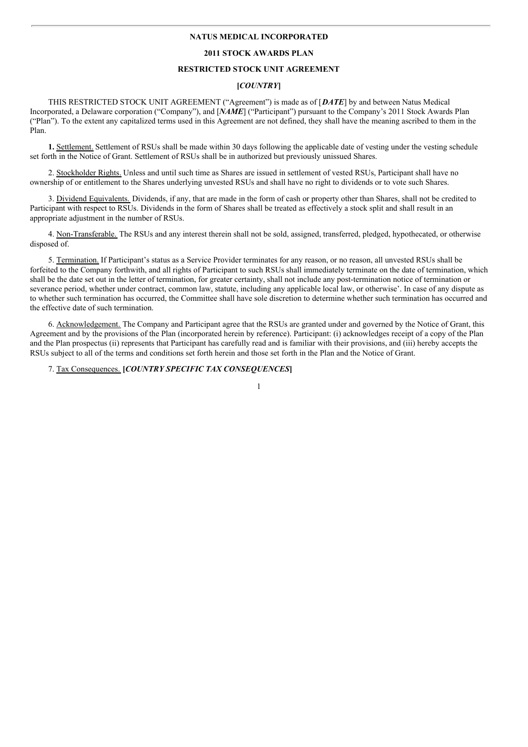### **2011 STOCK AWARDS PLAN**

#### **RESTRICTED STOCK UNIT AGREEMENT**

### **[***COUNTRY***]**

THIS RESTRICTED STOCK UNIT AGREEMENT ("Agreement") is made as of [*DATE*] by and between Natus Medical Incorporated, a Delaware corporation ("Company"), and [*NAME*] ("Participant") pursuant to the Company's 2011 Stock Awards Plan ("Plan"). To the extent any capitalized terms used in this Agreement are not defined, they shall have the meaning ascribed to them in the Plan.

**1.** Settlement. Settlement of RSUs shall be made within 30 days following the applicable date of vesting under the vesting schedule set forth in the Notice of Grant. Settlement of RSUs shall be in authorized but previously unissued Shares.

2. Stockholder Rights. Unless and until such time as Shares are issued in settlement of vested RSUs, Participant shall have no ownership of or entitlement to the Shares underlying unvested RSUs and shall have no right to dividends or to vote such Shares.

3. Dividend Equivalents. Dividends, if any, that are made in the form of cash or property other than Shares, shall not be credited to Participant with respect to RSUs. Dividends in the form of Shares shall be treated as effectively a stock split and shall result in an appropriate adjustment in the number of RSUs.

4. Non-Transferable. The RSUs and any interest therein shall not be sold, assigned, transferred, pledged, hypothecated, or otherwise disposed of.

5. Termination. If Participant's status as a Service Provider terminates for any reason, or no reason, all unvested RSUs shall be forfeited to the Company forthwith, and all rights of Participant to such RSUs shall immediately terminate on the date of termination, which shall be the date set out in the letter of termination, for greater certainty, shall not include any post-termination notice of termination or severance period, whether under contract, common law, statute, including any applicable local law, or otherwise'. In case of any dispute as to whether such termination has occurred, the Committee shall have sole discretion to determine whether such termination has occurred and the effective date of such termination.

6. Acknowledgement. The Company and Participant agree that the RSUs are granted under and governed by the Notice of Grant, this Agreement and by the provisions of the Plan (incorporated herein by reference). Participant: (i) acknowledges receipt of a copy of the Plan and the Plan prospectus (ii) represents that Participant has carefully read and is familiar with their provisions, and (iii) hereby accepts the RSUs subject to all of the terms and conditions set forth herein and those set forth in the Plan and the Notice of Grant.

7. Tax Consequences. **[***COUNTRY SPECIFIC TAX CONSEQUENCES***]**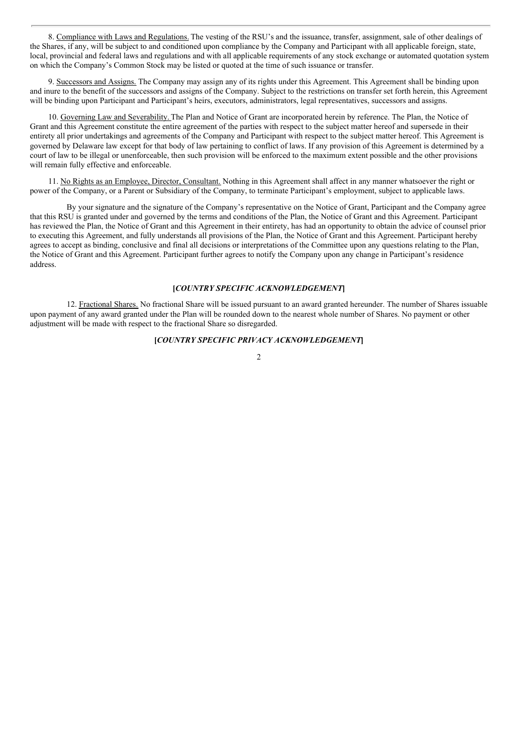8. Compliance with Laws and Regulations. The vesting of the RSU's and the issuance, transfer, assignment, sale of other dealings of the Shares, if any, will be subject to and conditioned upon compliance by the Company and Participant with all applicable foreign, state, local, provincial and federal laws and regulations and with all applicable requirements of any stock exchange or automated quotation system on which the Company's Common Stock may be listed or quoted at the time of such issuance or transfer.

9. Successors and Assigns. The Company may assign any of its rights under this Agreement. This Agreement shall be binding upon and inure to the benefit of the successors and assigns of the Company. Subject to the restrictions on transfer set forth herein, this Agreement will be binding upon Participant and Participant's heirs, executors, administrators, legal representatives, successors and assigns.

10. Governing Law and Severability. The Plan and Notice of Grant are incorporated herein by reference. The Plan, the Notice of Grant and this Agreement constitute the entire agreement of the parties with respect to the subject matter hereof and supersede in their entirety all prior undertakings and agreements of the Company and Participant with respect to the subject matter hereof. This Agreement is governed by Delaware law except for that body of law pertaining to conflict of laws. If any provision of this Agreement is determined by a court of law to be illegal or unenforceable, then such provision will be enforced to the maximum extent possible and the other provisions will remain fully effective and enforceable.

11. No Rights as an Employee, Director, Consultant. Nothing in this Agreement shall affect in any manner whatsoever the right or power of the Company, or a Parent or Subsidiary of the Company, to terminate Participant's employment, subject to applicable laws.

By your signature and the signature of the Company's representative on the Notice of Grant, Participant and the Company agree that this RSU is granted under and governed by the terms and conditions of the Plan, the Notice of Grant and this Agreement. Participant has reviewed the Plan, the Notice of Grant and this Agreement in their entirety, has had an opportunity to obtain the advice of counsel prior to executing this Agreement, and fully understands all provisions of the Plan, the Notice of Grant and this Agreement. Participant hereby agrees to accept as binding, conclusive and final all decisions or interpretations of the Committee upon any questions relating to the Plan, the Notice of Grant and this Agreement. Participant further agrees to notify the Company upon any change in Participant's residence address.

### **[***COUNTRY SPECIFIC ACKNOWLEDGEMENT***]**

12. Fractional Shares. No fractional Share will be issued pursuant to an award granted hereunder. The number of Shares issuable upon payment of any award granted under the Plan will be rounded down to the nearest whole number of Shares. No payment or other adjustment will be made with respect to the fractional Share so disregarded.

# **[***COUNTRY SPECIFIC PRIVACY ACKNOWLEDGEMENT***]**

# $\mathcal{D}$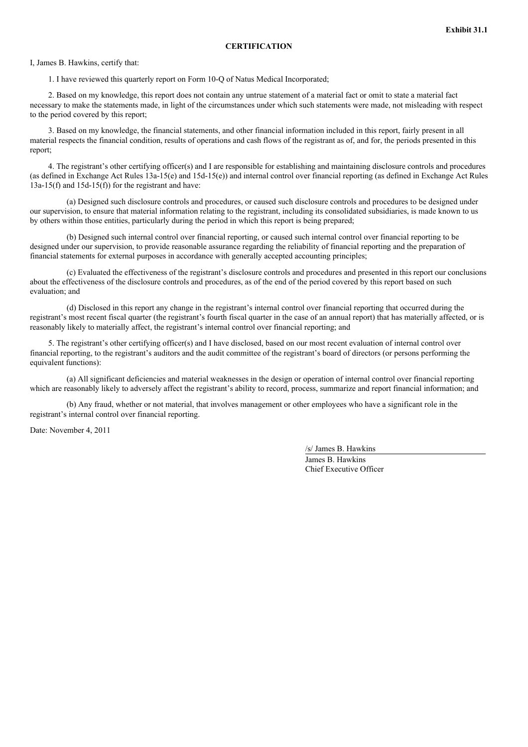## **CERTIFICATION**

### I, James B. Hawkins, certify that:

1. I have reviewed this quarterly report on Form 10-Q of Natus Medical Incorporated;

2. Based on my knowledge, this report does not contain any untrue statement of a material fact or omit to state a material fact necessary to make the statements made, in light of the circumstances under which such statements were made, not misleading with respect to the period covered by this report;

3. Based on my knowledge, the financial statements, and other financial information included in this report, fairly present in all material respects the financial condition, results of operations and cash flows of the registrant as of, and for, the periods presented in this report;

4. The registrant's other certifying officer(s) and I are responsible for establishing and maintaining disclosure controls and procedures (as defined in Exchange Act Rules 13a-15(e) and 15d-15(e)) and internal control over financial reporting (as defined in Exchange Act Rules 13a-15(f) and 15d-15(f)) for the registrant and have:

(a) Designed such disclosure controls and procedures, or caused such disclosure controls and procedures to be designed under our supervision, to ensure that material information relating to the registrant, including its consolidated subsidiaries, is made known to us by others within those entities, particularly during the period in which this report is being prepared;

(b) Designed such internal control over financial reporting, or caused such internal control over financial reporting to be designed under our supervision, to provide reasonable assurance regarding the reliability of financial reporting and the preparation of financial statements for external purposes in accordance with generally accepted accounting principles;

(c) Evaluated the effectiveness of the registrant's disclosure controls and procedures and presented in this report our conclusions about the effectiveness of the disclosure controls and procedures, as of the end of the period covered by this report based on such evaluation; and

(d) Disclosed in this report any change in the registrant's internal control over financial reporting that occurred during the registrant's most recent fiscal quarter (the registrant's fourth fiscal quarter in the case of an annual report) that has materially affected, or is reasonably likely to materially affect, the registrant's internal control over financial reporting; and

5. The registrant's other certifying officer(s) and I have disclosed, based on our most recent evaluation of internal control over financial reporting, to the registrant's auditors and the audit committee of the registrant's board of directors (or persons performing the equivalent functions):

(a) All significant deficiencies and material weaknesses in the design or operation of internal control over financial reporting which are reasonably likely to adversely affect the registrant's ability to record, process, summarize and report financial information; and

(b) Any fraud, whether or not material, that involves management or other employees who have a significant role in the registrant's internal control over financial reporting.

Date: November 4, 2011

/s/ James B. Hawkins James B. Hawkins

Chief Executive Officer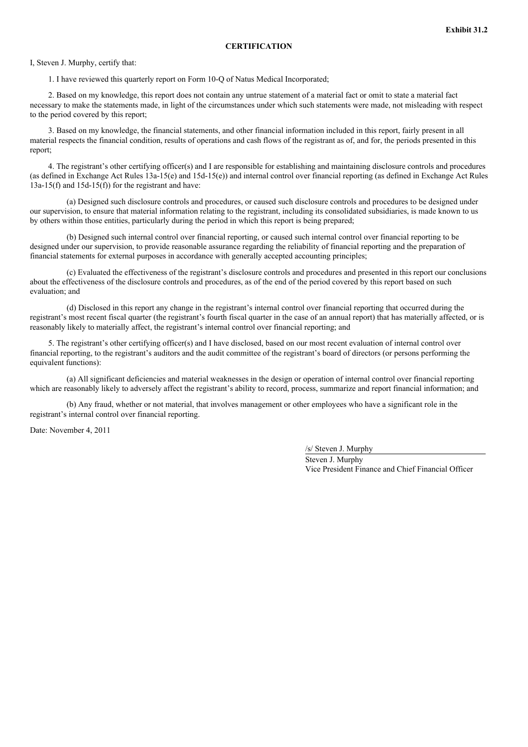# **CERTIFICATION**

### I, Steven J. Murphy, certify that:

1. I have reviewed this quarterly report on Form 10-Q of Natus Medical Incorporated;

2. Based on my knowledge, this report does not contain any untrue statement of a material fact or omit to state a material fact necessary to make the statements made, in light of the circumstances under which such statements were made, not misleading with respect to the period covered by this report;

3. Based on my knowledge, the financial statements, and other financial information included in this report, fairly present in all material respects the financial condition, results of operations and cash flows of the registrant as of, and for, the periods presented in this report;

4. The registrant's other certifying officer(s) and I are responsible for establishing and maintaining disclosure controls and procedures (as defined in Exchange Act Rules 13a-15(e) and 15d-15(e)) and internal control over financial reporting (as defined in Exchange Act Rules 13a-15(f) and 15d-15(f)) for the registrant and have:

(a) Designed such disclosure controls and procedures, or caused such disclosure controls and procedures to be designed under our supervision, to ensure that material information relating to the registrant, including its consolidated subsidiaries, is made known to us by others within those entities, particularly during the period in which this report is being prepared;

(b) Designed such internal control over financial reporting, or caused such internal control over financial reporting to be designed under our supervision, to provide reasonable assurance regarding the reliability of financial reporting and the preparation of financial statements for external purposes in accordance with generally accepted accounting principles;

(c) Evaluated the effectiveness of the registrant's disclosure controls and procedures and presented in this report our conclusions about the effectiveness of the disclosure controls and procedures, as of the end of the period covered by this report based on such evaluation; and

(d) Disclosed in this report any change in the registrant's internal control over financial reporting that occurred during the registrant's most recent fiscal quarter (the registrant's fourth fiscal quarter in the case of an annual report) that has materially affected, or is reasonably likely to materially affect, the registrant's internal control over financial reporting; and

5. The registrant's other certifying officer(s) and I have disclosed, based on our most recent evaluation of internal control over financial reporting, to the registrant's auditors and the audit committee of the registrant's board of directors (or persons performing the equivalent functions):

(a) All significant deficiencies and material weaknesses in the design or operation of internal control over financial reporting which are reasonably likely to adversely affect the registrant's ability to record, process, summarize and report financial information; and

(b) Any fraud, whether or not material, that involves management or other employees who have a significant role in the registrant's internal control over financial reporting.

Date: November 4, 2011

/s/ Steven J. Murphy

Steven J. Murphy Vice President Finance and Chief Financial Officer